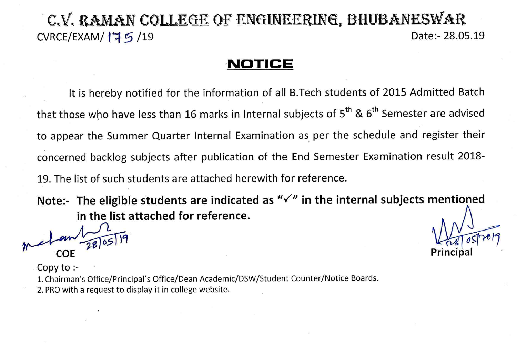## C.V. RAMAN COLLEGE OF ENGINEERING. BHUBANESWAR Date:- 28.05.19 CVRCE/EXAM/175/19

## NOTICE

It is hereby notified for the information of all B.Tech students of 2015 Admitted Batch that those who have less than 16 marks in Internal subjects of 5<sup>th</sup> & 6<sup>th</sup> Semester are advised to appear the Summer Quarter Internal Examination as per the schedule and register their concerned backlog subjects after publication of the End Semester Examination result 2018-19. The list of such students are attached herewith for reference.

Note:- The eligible students are indicated as  $\sqrt{\ }$  in the internal subjects mentioned in the list attached for reference.

Copy to  $\cdot$ -

1. Chairman's Office/Principal's Office/Dean Academic/DSW/Student Counter/Notice Boards.

2. PRO with a request to display it in college website.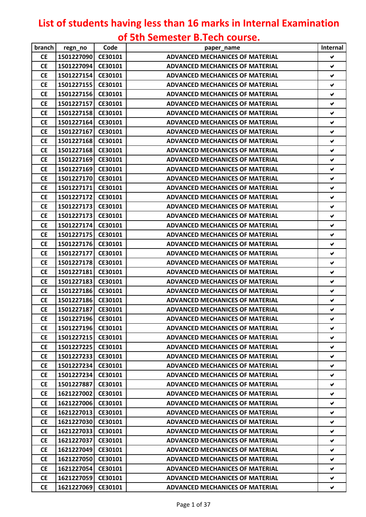## **List of students having less than 16 marks in Internal Examination of 5th Semester B.Tech course.**

| branch    | regn_no            | Code    | paper name                             | Internal             |
|-----------|--------------------|---------|----------------------------------------|----------------------|
| <b>CE</b> | 1501227090         | CE30101 | <b>ADVANCED MECHANICES OF MATERIAL</b> | V                    |
| <b>CE</b> | 1501227094         | CE30101 | <b>ADVANCED MECHANICES OF MATERIAL</b> | ✔                    |
| <b>CE</b> | 1501227154         | CE30101 | <b>ADVANCED MECHANICES OF MATERIAL</b> | V                    |
| <b>CE</b> | 1501227155         | CE30101 | <b>ADVANCED MECHANICES OF MATERIAL</b> | V                    |
| <b>CE</b> | 1501227156         | CE30101 | <b>ADVANCED MECHANICES OF MATERIAL</b> | ✔                    |
| <b>CE</b> | 1501227157         | CE30101 | <b>ADVANCED MECHANICES OF MATERIAL</b> | $\checkmark$         |
| <b>CE</b> | 1501227158         | CE30101 | <b>ADVANCED MECHANICES OF MATERIAL</b> | $\blacktriangledown$ |
| <b>CE</b> | 1501227164         | CE30101 | <b>ADVANCED MECHANICES OF MATERIAL</b> | ✔                    |
| <b>CE</b> | 1501227167         | CE30101 | <b>ADVANCED MECHANICES OF MATERIAL</b> | $\checkmark$         |
| <b>CE</b> | 1501227168         | CE30101 | <b>ADVANCED MECHANICES OF MATERIAL</b> | ✔                    |
| <b>CE</b> | 1501227168         | CE30101 | <b>ADVANCED MECHANICES OF MATERIAL</b> | ✔                    |
| <b>CE</b> | 1501227169         | CE30101 | <b>ADVANCED MECHANICES OF MATERIAL</b> | V                    |
| <b>CE</b> | 1501227169         | CE30101 | <b>ADVANCED MECHANICES OF MATERIAL</b> | $\blacktriangledown$ |
| <b>CE</b> | 1501227170         | CE30101 | <b>ADVANCED MECHANICES OF MATERIAL</b> | ✔                    |
| <b>CE</b> | 1501227171         | CE30101 | <b>ADVANCED MECHANICES OF MATERIAL</b> | ✔                    |
| <b>CE</b> | 1501227172         | CE30101 | <b>ADVANCED MECHANICES OF MATERIAL</b> | ✔                    |
| <b>CE</b> | 1501227173         | CE30101 | <b>ADVANCED MECHANICES OF MATERIAL</b> | ✔                    |
| <b>CE</b> | 1501227173         | CE30101 | <b>ADVANCED MECHANICES OF MATERIAL</b> | V                    |
| <b>CE</b> | 1501227174         | CE30101 | <b>ADVANCED MECHANICES OF MATERIAL</b> | $\checkmark$         |
| <b>CE</b> | 1501227175         | CE30101 | <b>ADVANCED MECHANICES OF MATERIAL</b> | $\checkmark$         |
| <b>CE</b> | 1501227176         | CE30101 | <b>ADVANCED MECHANICES OF MATERIAL</b> | V                    |
| <b>CE</b> | 1501227177         | CE30101 | <b>ADVANCED MECHANICES OF MATERIAL</b> | $\blacktriangledown$ |
| <b>CE</b> | 1501227178         | CE30101 | <b>ADVANCED MECHANICES OF MATERIAL</b> | ✔                    |
| <b>CE</b> | 1501227181         | CE30101 | <b>ADVANCED MECHANICES OF MATERIAL</b> | V                    |
| <b>CE</b> | 1501227183         | CE30101 | <b>ADVANCED MECHANICES OF MATERIAL</b> | V                    |
| <b>CE</b> | 1501227186         | CE30101 | <b>ADVANCED MECHANICES OF MATERIAL</b> | ✔                    |
| <b>CE</b> | 1501227186 CE30101 |         | <b>ADVANCED MECHANICES OF MATERIAL</b> | ✔                    |
| <b>CE</b> | 1501227187         | CE30101 | <b>ADVANCED MECHANICES OF MATERIAL</b> | $\blacktriangledown$ |
| <b>CE</b> | 1501227196 CE30101 |         | ADVANCED MECHANICES OF MATERIAL        | ✔                    |
| <b>CE</b> | 1501227196         | CE30101 | <b>ADVANCED MECHANICES OF MATERIAL</b> | V                    |
| <b>CE</b> | 1501227215         | CE30101 | ADVANCED MECHANICES OF MATERIAL        | Ñ.                   |
| <b>CE</b> | 1501227225         | CE30101 | <b>ADVANCED MECHANICES OF MATERIAL</b> | V                    |
| <b>CE</b> | 1501227233         | CE30101 | <b>ADVANCED MECHANICES OF MATERIAL</b> | V.                   |
| <b>CE</b> | 1501227234         | CE30101 | <b>ADVANCED MECHANICES OF MATERIAL</b> | V                    |
| <b>CE</b> | 1501227234         | CE30101 | <b>ADVANCED MECHANICES OF MATERIAL</b> | ✔                    |
| <b>CE</b> | 1501227887         | CE30101 | <b>ADVANCED MECHANICES OF MATERIAL</b> | ✔                    |
| <b>CE</b> | 1621227002         | CE30101 | ADVANCED MECHANICES OF MATERIAL        | V                    |
| <b>CE</b> | 1621227006         | CE30101 | <b>ADVANCED MECHANICES OF MATERIAL</b> | V                    |
| <b>CE</b> | 1621227013         | CE30101 | <b>ADVANCED MECHANICES OF MATERIAL</b> | V                    |
| <b>CE</b> | 1621227030         | CE30101 | ADVANCED MECHANICES OF MATERIAL        | V                    |
| <b>CE</b> | 1621227033         | CE30101 | <b>ADVANCED MECHANICES OF MATERIAL</b> | ✔                    |
| <b>CE</b> | 1621227037         | CE30101 | <b>ADVANCED MECHANICES OF MATERIAL</b> | V                    |
| <b>CE</b> | 1621227049         | CE30101 | <b>ADVANCED MECHANICES OF MATERIAL</b> | V                    |
| <b>CE</b> | 1621227050         | CE30101 | <b>ADVANCED MECHANICES OF MATERIAL</b> | V                    |
| <b>CE</b> | 1621227054         | CE30101 | <b>ADVANCED MECHANICES OF MATERIAL</b> | V                    |
| <b>CE</b> | 1621227059         | CE30101 | <b>ADVANCED MECHANICES OF MATERIAL</b> | ✔                    |
| <b>CE</b> | 1621227069         | CE30101 | <b>ADVANCED MECHANICES OF MATERIAL</b> | ✔                    |
|           |                    |         |                                        |                      |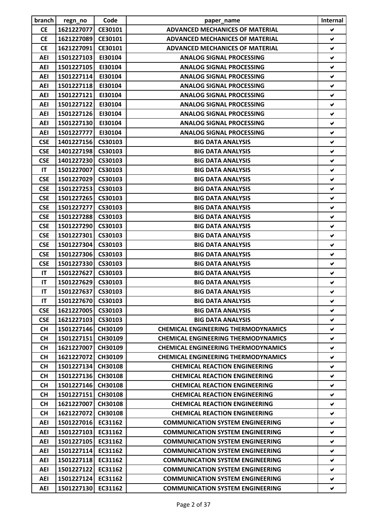| branch     | regn_no            | Code           | paper_name                                 | <b>Internal</b>      |
|------------|--------------------|----------------|--------------------------------------------|----------------------|
| <b>CE</b>  | 1621227077         | CE30101        | <b>ADVANCED MECHANICES OF MATERIAL</b>     | V                    |
| <b>CE</b>  | 1621227089         | CE30101        | <b>ADVANCED MECHANICES OF MATERIAL</b>     | ✔                    |
| <b>CE</b>  | 1621227091         | CE30101        | <b>ADVANCED MECHANICES OF MATERIAL</b>     | V                    |
| <b>AEI</b> | 1501227103         | EI30104        | <b>ANALOG SIGNAL PROCESSING</b>            | ✔                    |
| <b>AEI</b> | 1501227105         | EI30104        | <b>ANALOG SIGNAL PROCESSING</b>            | ✔                    |
| <b>AEI</b> | 1501227114         | EI30104        | <b>ANALOG SIGNAL PROCESSING</b>            | ✔                    |
| <b>AEI</b> | 1501227118         | EI30104        | <b>ANALOG SIGNAL PROCESSING</b>            | $\blacktriangledown$ |
| <b>AEI</b> | 1501227121         | EI30104        | <b>ANALOG SIGNAL PROCESSING</b>            | ✔                    |
| <b>AEI</b> | 1501227122         | EI30104        | <b>ANALOG SIGNAL PROCESSING</b>            | ✔                    |
| <b>AEI</b> | 1501227126         | EI30104        | <b>ANALOG SIGNAL PROCESSING</b>            | ✔                    |
| <b>AEI</b> | 1501227130         | EI30104        | <b>ANALOG SIGNAL PROCESSING</b>            | ✔                    |
| AEI        | 1501227777         | EI30104        | <b>ANALOG SIGNAL PROCESSING</b>            | V                    |
| <b>CSE</b> | 1401227156         | CS30103        | <b>BIG DATA ANALYSIS</b>                   | ✔                    |
| <b>CSE</b> | 1401227198         | CS30103        | <b>BIG DATA ANALYSIS</b>                   | ✔                    |
| <b>CSE</b> | 1401227230         | CS30103        | <b>BIG DATA ANALYSIS</b>                   | V                    |
| IT         | 1501227007         | CS30103        | <b>BIG DATA ANALYSIS</b>                   | ✔                    |
| <b>CSE</b> | 1501227029         | CS30103        | <b>BIG DATA ANALYSIS</b>                   | ✔                    |
| <b>CSE</b> | 1501227253         | CS30103        | <b>BIG DATA ANALYSIS</b>                   | ✔                    |
| <b>CSE</b> | 1501227265         | CS30103        | <b>BIG DATA ANALYSIS</b>                   | ✔                    |
| <b>CSE</b> | 1501227277         | CS30103        | <b>BIG DATA ANALYSIS</b>                   | ✔                    |
| <b>CSE</b> | 1501227288         | CS30103        | <b>BIG DATA ANALYSIS</b>                   | ✔                    |
| <b>CSE</b> | 1501227290         | CS30103        | <b>BIG DATA ANALYSIS</b>                   | ✔                    |
| <b>CSE</b> | 1501227301         |                |                                            | ✔                    |
|            |                    | CS30103        | <b>BIG DATA ANALYSIS</b>                   | $\blacktriangledown$ |
| <b>CSE</b> | 1501227304         | CS30103        | <b>BIG DATA ANALYSIS</b>                   |                      |
| <b>CSE</b> | 1501227306         | CS30103        | <b>BIG DATA ANALYSIS</b>                   | ✔                    |
| <b>CSE</b> | 1501227330         | CS30103        | <b>BIG DATA ANALYSIS</b>                   | ✔                    |
| IT         | 1501227627         | CS30103        | <b>BIG DATA ANALYSIS</b>                   | V                    |
| IT         | 1501227629         | CS30103        | <b>BIG DATA ANALYSIS</b>                   | ✔                    |
| IT         | 1501227637         | CS30103        | <b>BIG DATA ANALYSIS</b>                   | ✔                    |
| IT         | 1501227670         | CS30103        | <b>BIG DATA ANALYSIS</b>                   | ✔                    |
| <b>CSE</b> | 1621227005         | CS30103        | <b>BIG DATA ANALYSIS</b>                   | V                    |
| <b>CSE</b> | 1621227103         | CS30103        | <b>BIG DATA ANALYSIS</b>                   | ✔                    |
| <b>CH</b>  | 1501227146         | CH30109        | <b>CHEMICAL ENGINEERING THERMODYNAMICS</b> | V                    |
| <b>CH</b>  | 1501227151         | <b>CH30109</b> | <b>CHEMICAL ENGINEERING THERMODYNAMICS</b> | ✔                    |
| <b>CH</b>  | 1621227007         | CH30109        | <b>CHEMICAL ENGINEERING THERMODYNAMICS</b> | ✔                    |
| <b>CH</b>  | 1621227072         | CH30109        | <b>CHEMICAL ENGINEERING THERMODYNAMICS</b> | V                    |
| <b>CH</b>  | 1501227134         | <b>CH30108</b> | <b>CHEMICAL REACTION ENGINEERING</b>       | ✔                    |
| <b>CH</b>  | 1501227136         | CH30108        | <b>CHEMICAL REACTION ENGINEERING</b>       | ✔                    |
| <b>CH</b>  | 1501227146         | CH30108        | <b>CHEMICAL REACTION ENGINEERING</b>       | V                    |
| <b>CH</b>  | 1501227151         | CH30108        | <b>CHEMICAL REACTION ENGINEERING</b>       | V                    |
| <b>CH</b>  | 1621227007         | CH30108        | <b>CHEMICAL REACTION ENGINEERING</b>       | ✔                    |
| <b>CH</b>  | 1621227072         | <b>CH30108</b> | <b>CHEMICAL REACTION ENGINEERING</b>       | V                    |
| AEI        | 1501227016 EC31162 |                | <b>COMMUNICATION SYSTEM ENGINEERING</b>    | V                    |
| <b>AEI</b> | 1501227103         | EC31162        | <b>COMMUNICATION SYSTEM ENGINEERING</b>    | ✔                    |
| AEI        | 1501227105         | EC31162        | <b>COMMUNICATION SYSTEM ENGINEERING</b>    | ✔                    |
| AEI        | 1501227114         | EC31162        | <b>COMMUNICATION SYSTEM ENGINEERING</b>    | ✔                    |
| AEI        | 1501227118         | EC31162        | <b>COMMUNICATION SYSTEM ENGINEERING</b>    | V                    |
| AEI        | 1501227122         | EC31162        | <b>COMMUNICATION SYSTEM ENGINEERING</b>    | V                    |
| AEI        | 1501227124         | EC31162        | <b>COMMUNICATION SYSTEM ENGINEERING</b>    | ✔                    |
| <b>AEI</b> | 1501227130         | EC31162        | <b>COMMUNICATION SYSTEM ENGINEERING</b>    | V                    |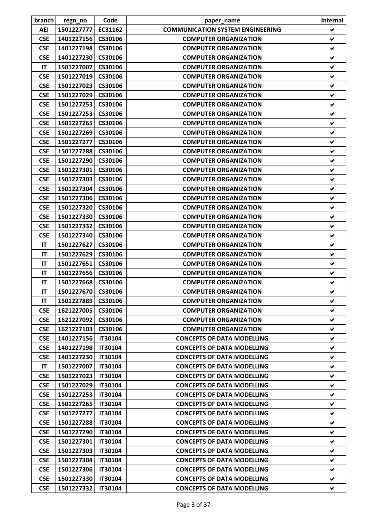| branch     | regn_no            | Code           | paper_name                              | Internal             |
|------------|--------------------|----------------|-----------------------------------------|----------------------|
| AEI        | 1501227777         | EC31162        | <b>COMMUNICATION SYSTEM ENGINEERING</b> | V                    |
| <b>CSE</b> | 1401227156         | CS30106        | <b>COMPUTER ORGANIZATION</b>            | ✔                    |
| <b>CSE</b> | 1401227198         | CS30106        | <b>COMPUTER ORGANIZATION</b>            | V                    |
| <b>CSE</b> | 1401227230         | CS30106        | <b>COMPUTER ORGANIZATION</b>            | ✔                    |
| IT         | 1501227007         | CS30106        | <b>COMPUTER ORGANIZATION</b>            | ✔                    |
| <b>CSE</b> | 1501227019         | CS30106        | <b>COMPUTER ORGANIZATION</b>            | V                    |
| <b>CSE</b> | 1501227023         | CS30106        | <b>COMPUTER ORGANIZATION</b>            | ✔                    |
| <b>CSE</b> | 1501227029         | CS30106        | <b>COMPUTER ORGANIZATION</b>            | ✔                    |
| <b>CSE</b> | 1501227253         | CS30106        | <b>COMPUTER ORGANIZATION</b>            | ✔                    |
| <b>CSE</b> | 1501227253         | CS30106        | <b>COMPUTER ORGANIZATION</b>            | ✔                    |
| <b>CSE</b> | 1501227265         | CS30106        | <b>COMPUTER ORGANIZATION</b>            | ✔                    |
| <b>CSE</b> | 1501227269         | CS30106        | <b>COMPUTER ORGANIZATION</b>            | V                    |
| <b>CSE</b> | 1501227277         | CS30106        | <b>COMPUTER ORGANIZATION</b>            | ✔                    |
| <b>CSE</b> | 1501227288         | CS30106        | <b>COMPUTER ORGANIZATION</b>            | ✔                    |
| <b>CSE</b> | 1501227290         | CS30106        | <b>COMPUTER ORGANIZATION</b>            | $\checkmark$         |
| <b>CSE</b> | 1501227301         | CS30106        | <b>COMPUTER ORGANIZATION</b>            | ✔                    |
| <b>CSE</b> | 1501227303         | CS30106        | <b>COMPUTER ORGANIZATION</b>            | ✔                    |
| <b>CSE</b> | 1501227304         | CS30106        | <b>COMPUTER ORGANIZATION</b>            | V                    |
| <b>CSE</b> | 1501227306         | CS30106        | <b>COMPUTER ORGANIZATION</b>            | ✔                    |
| <b>CSE</b> | 1501227320         | CS30106        | <b>COMPUTER ORGANIZATION</b>            | ✔                    |
| <b>CSE</b> | 1501227330         | CS30106        | <b>COMPUTER ORGANIZATION</b>            | $\blacktriangledown$ |
| <b>CSE</b> | 1501227332         | CS30106        | <b>COMPUTER ORGANIZATION</b>            | ✔                    |
| <b>CSE</b> | 1501227340         | CS30106        | <b>COMPUTER ORGANIZATION</b>            | ✔                    |
| IT         | 1501227627         | CS30106        | <b>COMPUTER ORGANIZATION</b>            | ✔                    |
| IT         | 1501227629         | CS30106        | <b>COMPUTER ORGANIZATION</b>            | ✔                    |
| IT         | 1501227651         | CS30106        | <b>COMPUTER ORGANIZATION</b>            | ✔                    |
| IT         | 1501227656         | CS30106        | <b>COMPUTER ORGANIZATION</b>            | $\blacktriangledown$ |
| IT         | 1501227668         | CS30106        | <b>COMPUTER ORGANIZATION</b>            | ✔                    |
| IT         | 1501227670 CS30106 |                | <b>COMPUTER ORGANIZATION</b>            | ✔                    |
| IT         | 1501227889         | CS30106        | <b>COMPUTER ORGANIZATION</b>            | ✔                    |
| <b>CSE</b> | 1621227005         | CS30106        | <b>COMPUTER ORGANIZATION</b>            | V                    |
| <b>CSE</b> | 1621227092         | CS30106        | <b>COMPUTER ORGANIZATION</b>            | ✔                    |
| <b>CSE</b> | 1621227103         | CS30106        | <b>COMPUTER ORGANIZATION</b>            | V                    |
| <b>CSE</b> | 1401227156         | <b>IT30104</b> | <b>CONCEPTS OF DATA MODELLING</b>       | ✔                    |
| <b>CSE</b> | 1401227198         | <b>IT30104</b> | <b>CONCEPTS OF DATA MODELLING</b>       | ✔                    |
| <b>CSE</b> | 1401227230         | <b>IT30104</b> | <b>CONCEPTS OF DATA MODELLING</b>       | ✔                    |
| IT         | 1501227007         | <b>IT30104</b> | <b>CONCEPTS OF DATA MODELLING</b>       | ✔                    |
| <b>CSE</b> | 1501227023         | <b>IT30104</b> | <b>CONCEPTS OF DATA MODELLING</b>       | V                    |
| <b>CSE</b> | 1501227029         | <b>IT30104</b> | <b>CONCEPTS OF DATA MODELLING</b>       | V                    |
| <b>CSE</b> | 1501227253         | <b>IT30104</b> | <b>CONCEPTS OF DATA MODELLING</b>       | V                    |
| <b>CSE</b> | 1501227265         | <b>IT30104</b> | <b>CONCEPTS OF DATA MODELLING</b>       | ✔                    |
| <b>CSE</b> | 1501227277         | <b>IT30104</b> | <b>CONCEPTS OF DATA MODELLING</b>       | V                    |
| <b>CSE</b> | 1501227288         | <b>IT30104</b> | <b>CONCEPTS OF DATA MODELLING</b>       | ✔                    |
| <b>CSE</b> | 1501227290         | <b>IT30104</b> | <b>CONCEPTS OF DATA MODELLING</b>       | V                    |
| <b>CSE</b> | 1501227301         | <b>IT30104</b> | <b>CONCEPTS OF DATA MODELLING</b>       | ✔                    |
| <b>CSE</b> | 1501227303         | <b>IT30104</b> | <b>CONCEPTS OF DATA MODELLING</b>       | V                    |
| <b>CSE</b> | 1501227304         | <b>IT30104</b> | <b>CONCEPTS OF DATA MODELLING</b>       | ✔                    |
| <b>CSE</b> | 1501227306         | <b>IT30104</b> | <b>CONCEPTS OF DATA MODELLING</b>       | ✔                    |
| <b>CSE</b> | 1501227330         | <b>IT30104</b> | <b>CONCEPTS OF DATA MODELLING</b>       | V                    |
| <b>CSE</b> | 1501227332         | <b>IT30104</b> | <b>CONCEPTS OF DATA MODELLING</b>       | V                    |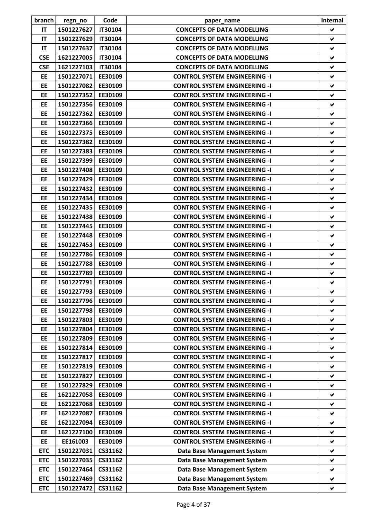| branch                 | regn_no                  | Code           | paper_name                           | Internal             |
|------------------------|--------------------------|----------------|--------------------------------------|----------------------|
| <b>IT</b>              | 1501227627               | <b>IT30104</b> | <b>CONCEPTS OF DATA MODELLING</b>    | V                    |
| IT                     | 1501227629               | <b>IT30104</b> | <b>CONCEPTS OF DATA MODELLING</b>    | ✔                    |
| IT                     | 1501227637               | <b>IT30104</b> | <b>CONCEPTS OF DATA MODELLING</b>    | V                    |
| <b>CSE</b>             | 1621227005               | <b>IT30104</b> | <b>CONCEPTS OF DATA MODELLING</b>    | $\checkmark$         |
| <b>CSE</b>             | 1621227103               | <b>IT30104</b> | <b>CONCEPTS OF DATA MODELLING</b>    | ✔                    |
| EE                     | 1501227071               | EE30109        | <b>CONTROL SYSTEM ENGINEERING -I</b> | V                    |
| EE                     | 1501227082               | EE30109        | <b>CONTROL SYSTEM ENGINEERING -I</b> | ✔                    |
| EE                     | 1501227352               | EE30109        | <b>CONTROL SYSTEM ENGINEERING -I</b> | ✔                    |
| EE                     | 1501227356               | EE30109        | <b>CONTROL SYSTEM ENGINEERING -I</b> | V                    |
| EE                     | 1501227362               | EE30109        | <b>CONTROL SYSTEM ENGINEERING -I</b> | ✔                    |
| <b>EE</b>              | 1501227366               | EE30109        | <b>CONTROL SYSTEM ENGINEERING -I</b> | ✔                    |
| EE                     | 1501227375               | EE30109        | <b>CONTROL SYSTEM ENGINEERING -I</b> | V                    |
| EE                     | 1501227382               | EE30109        | <b>CONTROL SYSTEM ENGINEERING -I</b> | ✔                    |
| EE                     | 1501227383               | EE30109        | <b>CONTROL SYSTEM ENGINEERING -I</b> | ✔                    |
| EE                     | 1501227399               | EE30109        | <b>CONTROL SYSTEM ENGINEERING -I</b> | $\blacktriangledown$ |
| EE                     | 1501227408               | EE30109        | <b>CONTROL SYSTEM ENGINEERING -I</b> | $\blacktriangledown$ |
| EE                     | 1501227429               | EE30109        | <b>CONTROL SYSTEM ENGINEERING -I</b> | ✔                    |
| EE                     | 1501227432               | EE30109        | <b>CONTROL SYSTEM ENGINEERING -I</b> | $\checkmark$         |
| EE                     | 1501227434               | EE30109        | <b>CONTROL SYSTEM ENGINEERING -I</b> | ✔                    |
| EE                     | 1501227435               | EE30109        | <b>CONTROL SYSTEM ENGINEERING -I</b> | ✔                    |
| EE                     | 1501227438               | EE30109        | <b>CONTROL SYSTEM ENGINEERING -I</b> | ✔                    |
| <b>EE</b>              | 1501227445               | EE30109        | <b>CONTROL SYSTEM ENGINEERING -I</b> | $\blacktriangledown$ |
| <b>EE</b>              | 1501227448               | EE30109        | <b>CONTROL SYSTEM ENGINEERING -I</b> | ✔                    |
| EE                     | 1501227453               | EE30109        | <b>CONTROL SYSTEM ENGINEERING -I</b> | V                    |
| EE                     | 1501227786               | EE30109        | <b>CONTROL SYSTEM ENGINEERING -I</b> | ✔                    |
| EE                     | 1501227788               | EE30109        | <b>CONTROL SYSTEM ENGINEERING -I</b> | ✔                    |
| EE                     | 1501227789               | EE30109        | <b>CONTROL SYSTEM ENGINEERING -I</b> | V                    |
| EE                     | 1501227791               | EE30109        | <b>CONTROL SYSTEM ENGINEERING -I</b> | ✔                    |
| EE                     | 1501227793 EE30109       |                | <b>CONTROL SYSTEM ENGINEERING -I</b> |                      |
| EE                     | 1501227796               | EE30109        | <b>CONTROL SYSTEM ENGINEERING -I</b> | ✔<br>✔               |
| EE                     | 1501227798               | EE30109        | <b>CONTROL SYSTEM ENGINEERING -I</b> | ✔                    |
| EE                     |                          | EE30109        |                                      |                      |
|                        | 1501227803               | EE30109        | <b>CONTROL SYSTEM ENGINEERING -I</b> | ✔                    |
| <b>EE</b><br><b>EE</b> | 1501227804<br>1501227809 |                | <b>CONTROL SYSTEM ENGINEERING -I</b> | V                    |
|                        |                          | EE30109        | <b>CONTROL SYSTEM ENGINEERING -I</b> | ✔                    |
| <b>EE</b>              | 1501227814               | EE30109        | <b>CONTROL SYSTEM ENGINEERING -I</b> | ✔                    |
| <b>EE</b>              | 1501227817               | EE30109        | <b>CONTROL SYSTEM ENGINEERING -I</b> | V                    |
| EE<br>EE               | 1501227819<br>1501227827 | EE30109        | <b>CONTROL SYSTEM ENGINEERING -I</b> | ✔<br>V               |
|                        |                          | EE30109        | <b>CONTROL SYSTEM ENGINEERING -I</b> |                      |
| <b>EE</b>              | 1501227829               | EE30109        | <b>CONTROL SYSTEM ENGINEERING -I</b> | V                    |
| EE                     | 1621227058               | EE30109        | <b>CONTROL SYSTEM ENGINEERING -I</b> | V                    |
| EE                     | 1621227068               | EE30109        | <b>CONTROL SYSTEM ENGINEERING -I</b> | $\blacktriangledown$ |
| EE                     | 1621227087               | EE30109        | <b>CONTROL SYSTEM ENGINEERING -I</b> | $\blacktriangledown$ |
| EE                     | 1621227094               | EE30109        | <b>CONTROL SYSTEM ENGINEERING -I</b> | V                    |
| EE                     | 1621227100               | EE30109        | <b>CONTROL SYSTEM ENGINEERING -I</b> | ✔                    |
| <b>EE</b>              | EE16L003                 | EE30109        | <b>CONTROL SYSTEM ENGINEERING -I</b> | ✔                    |
| <b>ETC</b>             | 1501227031               | CS31162        | <b>Data Base Management System</b>   | ✔                    |
| <b>ETC</b>             | 1501227035               | CS31162        | <b>Data Base Management System</b>   | V                    |
| <b>ETC</b>             | 1501227464               | CS31162        | <b>Data Base Management System</b>   | ✔                    |
| <b>ETC</b>             | 1501227469               | CS31162        | <b>Data Base Management System</b>   | ✔                    |
| <b>ETC</b>             | 1501227472               | CS31162        | <b>Data Base Management System</b>   | V                    |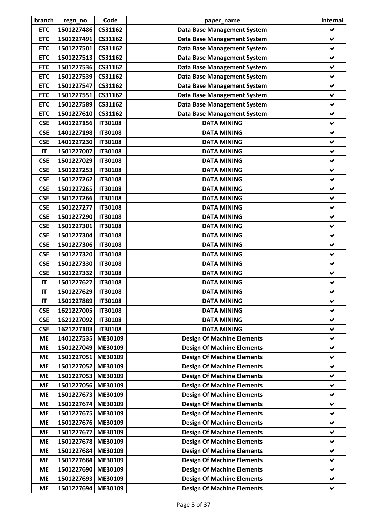| branch     | regn_no    | Code                             | paper name                         | Internal             |
|------------|------------|----------------------------------|------------------------------------|----------------------|
| <b>ETC</b> | 1501227486 | CS31162                          | <b>Data Base Management System</b> | ✔                    |
| <b>ETC</b> | 1501227491 | CS31162                          | <b>Data Base Management System</b> | ✔                    |
| <b>ETC</b> | 1501227501 | CS31162                          | <b>Data Base Management System</b> | V                    |
| <b>ETC</b> | 1501227513 | CS31162                          | <b>Data Base Management System</b> | ✔                    |
| <b>ETC</b> | 1501227536 | CS31162                          | <b>Data Base Management System</b> | $\checkmark$         |
| <b>ETC</b> | 1501227539 | CS31162                          | <b>Data Base Management System</b> | $\checkmark$         |
| <b>ETC</b> | 1501227547 | CS31162                          | <b>Data Base Management System</b> | $\blacktriangledown$ |
| <b>ETC</b> | 1501227551 | CS31162                          | <b>Data Base Management System</b> | ✔                    |
| <b>ETC</b> | 1501227589 | CS31162                          | <b>Data Base Management System</b> | $\blacktriangledown$ |
| <b>ETC</b> | 1501227610 | CS31162                          | <b>Data Base Management System</b> | ✔                    |
| <b>CSE</b> | 1401227156 | <b>IT30108</b>                   | <b>DATA MINING</b>                 | ✔                    |
| <b>CSE</b> | 1401227198 | <b>IT30108</b>                   | <b>DATA MINING</b>                 | $\blacktriangledown$ |
| <b>CSE</b> | 1401227230 | <b>IT30108</b>                   | <b>DATA MINING</b>                 | $\blacktriangledown$ |
| IT         | 1501227007 | <b>IT30108</b>                   | <b>DATA MINING</b>                 | ✔                    |
| <b>CSE</b> | 1501227029 | <b>IT30108</b>                   | <b>DATA MINING</b>                 | ✔                    |
| <b>CSE</b> | 1501227253 | <b>IT30108</b>                   | <b>DATA MINING</b>                 | ✔                    |
| <b>CSE</b> | 1501227262 | <b>IT30108</b>                   | <b>DATA MINING</b>                 | ✔                    |
| <b>CSE</b> | 1501227265 | <b>IT30108</b>                   | <b>DATA MINING</b>                 | $\blacktriangledown$ |
| <b>CSE</b> | 1501227266 | <b>IT30108</b>                   | <b>DATA MINING</b>                 | $\blacktriangledown$ |
| <b>CSE</b> | 1501227277 | <b>IT30108</b>                   | <b>DATA MINING</b>                 | $\checkmark$         |
| <b>CSE</b> | 1501227290 | <b>IT30108</b>                   | <b>DATA MINING</b>                 | $\blacktriangledown$ |
| <b>CSE</b> | 1501227301 | <b>IT30108</b>                   | <b>DATA MINING</b>                 | ✔                    |
| <b>CSE</b> | 1501227304 | <b>IT30108</b>                   | <b>DATA MINING</b>                 | $\blacktriangledown$ |
| <b>CSE</b> | 1501227306 |                                  | <b>DATA MINING</b>                 | $\blacktriangledown$ |
| <b>CSE</b> | 1501227320 | <b>IT30108</b><br><b>IT30108</b> | <b>DATA MINING</b>                 | ✔                    |
| <b>CSE</b> | 1501227330 | <b>IT30108</b>                   |                                    | ✔                    |
| <b>CSE</b> | 1501227332 | <b>IT30108</b>                   | <b>DATA MINING</b>                 |                      |
|            |            |                                  | <b>DATA MINING</b>                 | ✔                    |
| IT         | 1501227627 | <b>IT30108</b>                   | <b>DATA MINING</b>                 | ✔                    |
| IT         | 1501227629 | <b>IT30108</b>                   | <b>DATA MINING</b>                 |                      |
| IT         | 1501227889 | <b>IT30108</b>                   | <b>DATA MINING</b>                 | $\blacktriangledown$ |
| <b>CSE</b> | 1621227005 | <b>IT30108</b>                   | <b>DATA MINING</b>                 | $\blacktriangledown$ |
| <b>CSE</b> | 1621227092 | <b>IT30108</b>                   | <b>DATA MINING</b>                 | V                    |
| <b>CSE</b> | 1621227103 | <b>IT30108</b>                   | <b>DATA MINING</b>                 | $\blacktriangledown$ |
| <b>ME</b>  | 1401227535 | ME30109                          | <b>Design Of Machine Elements</b>  | ✔                    |
| <b>ME</b>  | 1501227049 | ME30109                          | <b>Design Of Machine Elements</b>  | ✔                    |
| <b>ME</b>  | 1501227051 | ME30109                          | <b>Design Of Machine Elements</b>  | V                    |
| <b>ME</b>  | 1501227052 | ME30109                          | <b>Design Of Machine Elements</b>  | ✔                    |
| <b>ME</b>  | 1501227053 | ME30109                          | <b>Design Of Machine Elements</b>  | ✔                    |
| <b>ME</b>  | 1501227056 | ME30109                          | <b>Design Of Machine Elements</b>  | ✔                    |
| <b>ME</b>  | 1501227673 | ME30109                          | <b>Design Of Machine Elements</b>  | ✔                    |
| <b>ME</b>  | 1501227674 | ME30109                          | <b>Design Of Machine Elements</b>  | ✔                    |
| <b>ME</b>  | 1501227675 | ME30109                          | <b>Design Of Machine Elements</b>  | Ŵ.                   |
| <b>ME</b>  | 1501227676 | ME30109                          | <b>Design Of Machine Elements</b>  | $\checkmark$         |
| <b>ME</b>  | 1501227677 | ME30109                          | <b>Design Of Machine Elements</b>  | $\blacktriangledown$ |
| <b>ME</b>  | 1501227678 | ME30109                          | <b>Design Of Machine Elements</b>  | $\blacktriangledown$ |
| <b>ME</b>  | 1501227684 | ME30109                          | <b>Design Of Machine Elements</b>  | ✔                    |
| <b>ME</b>  | 1501227684 | ME30109                          | <b>Design Of Machine Elements</b>  | ✔                    |
| <b>ME</b>  | 1501227690 | ME30109                          | <b>Design Of Machine Elements</b>  | $\blacktriangledown$ |
| <b>ME</b>  | 1501227693 | ME30109                          | <b>Design Of Machine Elements</b>  | ✔                    |
| <b>ME</b>  | 1501227694 | ME30109                          | <b>Design Of Machine Elements</b>  | $\blacktriangledown$ |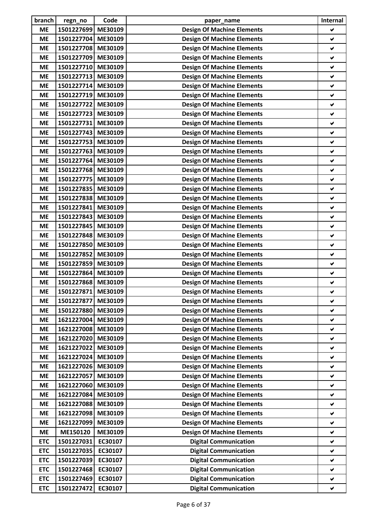| branch     | regn_no            | Code               | paper_name                                                             | Internal             |
|------------|--------------------|--------------------|------------------------------------------------------------------------|----------------------|
| <b>ME</b>  | 1501227699         | ME30109            | <b>Design Of Machine Elements</b>                                      | ✔                    |
| <b>ME</b>  | 1501227704         | ME30109            | <b>Design Of Machine Elements</b>                                      | ✔                    |
| <b>ME</b>  | 1501227708 ME30109 |                    | <b>Design Of Machine Elements</b>                                      | V                    |
| <b>ME</b>  | 1501227709 ME30109 |                    | <b>Design Of Machine Elements</b>                                      | ✔                    |
| <b>ME</b>  | 1501227710         | ME30109            | <b>Design Of Machine Elements</b>                                      | ✔                    |
| <b>ME</b>  | 1501227713         | ME30109            | <b>Design Of Machine Elements</b>                                      | V                    |
| <b>ME</b>  | 1501227714         | ME30109            | <b>Design Of Machine Elements</b>                                      | ✔                    |
| <b>ME</b>  | 1501227719         | ME30109            | <b>Design Of Machine Elements</b>                                      | ✔                    |
| <b>ME</b>  | 1501227722         | ME30109            | <b>Design Of Machine Elements</b>                                      | $\checkmark$         |
| <b>ME</b>  | 1501227723         | ME30109            | <b>Design Of Machine Elements</b>                                      | ✔                    |
| <b>ME</b>  | 1501227731         | ME30109            | <b>Design Of Machine Elements</b>                                      | ✔                    |
| <b>ME</b>  | 1501227743         | ME30109            | <b>Design Of Machine Elements</b>                                      | V                    |
| <b>ME</b>  | 1501227753         | ME30109            | <b>Design Of Machine Elements</b>                                      | ✔                    |
| <b>ME</b>  | 1501227763         | ME30109            | <b>Design Of Machine Elements</b>                                      | ✔                    |
| <b>ME</b>  | 1501227764         | ME30109            | <b>Design Of Machine Elements</b>                                      | V                    |
| <b>ME</b>  | 1501227768         | ME30109            | <b>Design Of Machine Elements</b>                                      | ✔                    |
| <b>ME</b>  | 1501227775         | ME30109            | <b>Design Of Machine Elements</b>                                      | ✔                    |
| <b>ME</b>  | 1501227835         | ME30109            | <b>Design Of Machine Elements</b>                                      | ✔                    |
| <b>ME</b>  | 1501227838         | ME30109            | <b>Design Of Machine Elements</b>                                      | ✔                    |
| <b>ME</b>  | 1501227841         | ME30109            | <b>Design Of Machine Elements</b>                                      | ✔                    |
| <b>ME</b>  | 1501227843         | ME30109            | <b>Design Of Machine Elements</b>                                      | V                    |
| <b>ME</b>  | 1501227845         | ME30109            | <b>Design Of Machine Elements</b>                                      | ✔                    |
| <b>ME</b>  | 1501227848         | ME30109            | <b>Design Of Machine Elements</b>                                      | ✔                    |
| <b>ME</b>  | 1501227850         | ME30109            | <b>Design Of Machine Elements</b>                                      | ✔                    |
| <b>ME</b>  | 1501227852         | ME30109            | <b>Design Of Machine Elements</b>                                      | ✔                    |
| <b>ME</b>  | 1501227859         | ME30109            | <b>Design Of Machine Elements</b>                                      | ✔                    |
| <b>ME</b>  | 1501227864         | ME30109            | <b>Design Of Machine Elements</b>                                      | ✔                    |
| <b>ME</b>  | 1501227868 ME30109 |                    | <b>Design Of Machine Elements</b>                                      | ✔                    |
| <b>ME</b>  | 1501227871 ME30109 |                    | <b>Design Of Machine Elements</b>                                      |                      |
| <b>ME</b>  | 1501227877         | ME30109            | <b>Design Of Machine Elements</b>                                      | ✔                    |
| <b>ME</b>  | 1501227880         | ME30109            | <b>Design Of Machine Elements</b>                                      | V                    |
| <b>ME</b>  | 1621227004         | ME30109            | <b>Design Of Machine Elements</b>                                      | ✔                    |
| <b>ME</b>  | 1621227008         | ME30109            | <b>Design Of Machine Elements</b>                                      | $\checkmark$         |
| <b>ME</b>  | 1621227020         | ME30109            | <b>Design Of Machine Elements</b>                                      | ✔                    |
| <b>ME</b>  | 1621227022         | ME30109            | <b>Design Of Machine Elements</b>                                      | ✔                    |
| <b>ME</b>  | 1621227024         | ME30109            | <b>Design Of Machine Elements</b>                                      | ✔                    |
| <b>ME</b>  | 1621227026         | ME30109            | <b>Design Of Machine Elements</b>                                      | $\blacktriangledown$ |
| <b>ME</b>  | 1621227057         | ME30109            |                                                                        | ✔                    |
|            | 1621227060         |                    | <b>Design Of Machine Elements</b>                                      |                      |
| <b>ME</b>  | 1621227084         | ME30109<br>ME30109 | <b>Design Of Machine Elements</b><br><b>Design Of Machine Elements</b> | ✔<br>✔               |
| <b>ME</b>  |                    |                    |                                                                        |                      |
| <b>ME</b>  | 1621227088         | ME30109            | <b>Design Of Machine Elements</b>                                      | ✔                    |
| <b>ME</b>  | 1621227098         | ME30109            | <b>Design Of Machine Elements</b>                                      | ✔                    |
| <b>ME</b>  | 1621227099         | ME30109            | <b>Design Of Machine Elements</b>                                      | ✔                    |
| <b>ME</b>  | ME150120           | ME30109            | <b>Design Of Machine Elements</b>                                      | ✔                    |
| <b>ETC</b> | 1501227031         | EC30107            | <b>Digital Communication</b>                                           | ✔                    |
| <b>ETC</b> | 1501227035         | EC30107            | <b>Digital Communication</b>                                           | ✔                    |
| <b>ETC</b> | 1501227039         | EC30107            | <b>Digital Communication</b>                                           | V                    |
| <b>ETC</b> | 1501227468         | EC30107            | <b>Digital Communication</b>                                           | ✔                    |
| <b>ETC</b> | 1501227469         | EC30107            | <b>Digital Communication</b>                                           | $\checkmark$         |
| <b>ETC</b> | 1501227472         | EC30107            | <b>Digital Communication</b>                                           | $\blacktriangledown$ |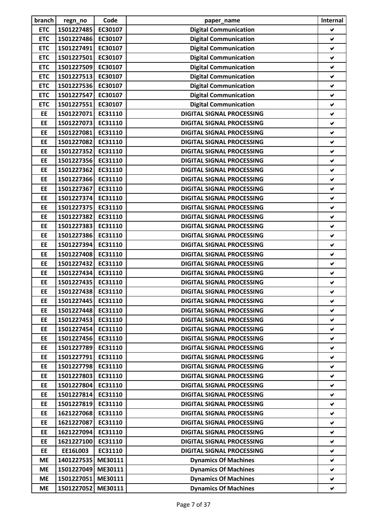| branch     | regn_no            | Code    | paper_name                       | Internal     |
|------------|--------------------|---------|----------------------------------|--------------|
| <b>ETC</b> | 1501227485         | EC30107 | <b>Digital Communication</b>     | ✔            |
| <b>ETC</b> | 1501227486         | EC30107 | <b>Digital Communication</b>     | $\checkmark$ |
| <b>ETC</b> | 1501227491         | EC30107 | <b>Digital Communication</b>     | V            |
| <b>ETC</b> | 1501227501         | EC30107 | <b>Digital Communication</b>     | ✔            |
| <b>ETC</b> | 1501227509         | EC30107 | <b>Digital Communication</b>     | ✔            |
| <b>ETC</b> | 1501227513         | EC30107 | <b>Digital Communication</b>     | ✔            |
| <b>ETC</b> | 1501227536         | EC30107 | <b>Digital Communication</b>     | ✔            |
| <b>ETC</b> | 1501227547         | EC30107 | <b>Digital Communication</b>     | $\checkmark$ |
| <b>ETC</b> | 1501227551         | EC30107 | <b>Digital Communication</b>     | $\checkmark$ |
| EE         | 1501227071         | EC31110 | <b>DIGITAL SIGNAL PROCESSING</b> | ✔            |
| EE         | 1501227073         | EC31110 | <b>DIGITAL SIGNAL PROCESSING</b> | ✔            |
| EE         | 1501227081         | EC31110 | <b>DIGITAL SIGNAL PROCESSING</b> | V            |
| <b>EE</b>  | 1501227082         | EC31110 | <b>DIGITAL SIGNAL PROCESSING</b> | $\checkmark$ |
| <b>EE</b>  | 1501227352         | EC31110 | <b>DIGITAL SIGNAL PROCESSING</b> | ✔            |
| EE         | 1501227356         | EC31110 | <b>DIGITAL SIGNAL PROCESSING</b> | V            |
| EE         | 1501227362         | EC31110 | <b>DIGITAL SIGNAL PROCESSING</b> | ✔            |
| EE         | 1501227366         | EC31110 | <b>DIGITAL SIGNAL PROCESSING</b> | ✔            |
| EE         | 1501227367         | EC31110 | <b>DIGITAL SIGNAL PROCESSING</b> | V            |
| EE         | 1501227374         | EC31110 | <b>DIGITAL SIGNAL PROCESSING</b> | $\checkmark$ |
| EE         | 1501227375         | EC31110 | <b>DIGITAL SIGNAL PROCESSING</b> | ✔            |
| EE         | 1501227382         | EC31110 | <b>DIGITAL SIGNAL PROCESSING</b> | $\checkmark$ |
| EE         | 1501227383         | EC31110 | <b>DIGITAL SIGNAL PROCESSING</b> | $\checkmark$ |
| EE         | 1501227386         | EC31110 | <b>DIGITAL SIGNAL PROCESSING</b> | ✔            |
| <b>EE</b>  | 1501227394         | EC31110 | <b>DIGITAL SIGNAL PROCESSING</b> | $\checkmark$ |
| EE         | 1501227408         | EC31110 | <b>DIGITAL SIGNAL PROCESSING</b> | ✔            |
| EE         | 1501227432         | EC31110 | <b>DIGITAL SIGNAL PROCESSING</b> | ✔            |
| EE         | 1501227434         | EC31110 | <b>DIGITAL SIGNAL PROCESSING</b> | ✔            |
| EE         | 1501227435         | EC31110 | <b>DIGITAL SIGNAL PROCESSING</b> | ✔            |
| EE         | 1501227438 EC31110 |         | <b>DIGITAL SIGNAL PROCESSING</b> |              |
| EE         | 1501227445         | EC31110 | <b>DIGITAL SIGNAL PROCESSING</b> | V            |
| EE         | 1501227448         | EC31110 | <b>DIGITAL SIGNAL PROCESSING</b> | V            |
| <b>EE</b>  | 1501227453         | EC31110 | <b>DIGITAL SIGNAL PROCESSING</b> | V            |
| EE         | 1501227454         | EC31110 | <b>DIGITAL SIGNAL PROCESSING</b> | $\checkmark$ |
| EE         | 1501227456         | EC31110 | <b>DIGITAL SIGNAL PROCESSING</b> | ✔            |
| EE         | 1501227789         | EC31110 | <b>DIGITAL SIGNAL PROCESSING</b> | ✔            |
| <b>EE</b>  | 1501227791         | EC31110 | <b>DIGITAL SIGNAL PROCESSING</b> | V            |
| <b>EE</b>  | 1501227798         | EC31110 | <b>DIGITAL SIGNAL PROCESSING</b> | V            |
| <b>EE</b>  | 1501227803         | EC31110 | <b>DIGITAL SIGNAL PROCESSING</b> | V            |
| <b>EE</b>  | 1501227804         | EC31110 | <b>DIGITAL SIGNAL PROCESSING</b> | Ý.           |
| <b>EE</b>  | 1501227814         | EC31110 | <b>DIGITAL SIGNAL PROCESSING</b> | V            |
| EE         | 1501227819         | EC31110 | <b>DIGITAL SIGNAL PROCESSING</b> | ✔            |
| EE         | 1621227068         | EC31110 | <b>DIGITAL SIGNAL PROCESSING</b> | V            |
| <b>EE</b>  | 1621227087         | EC31110 | <b>DIGITAL SIGNAL PROCESSING</b> | V            |
| EE         | 1621227094         | EC31110 | <b>DIGITAL SIGNAL PROCESSING</b> | ✔            |
| EE         | 1621227100         | EC31110 | <b>DIGITAL SIGNAL PROCESSING</b> | V            |
| EE         | EE16L003           | EC31110 | <b>DIGITAL SIGNAL PROCESSING</b> | ✔            |
| <b>ME</b>  | 1401227535         | ME30111 | <b>Dynamics Of Machines</b>      | V            |
| <b>ME</b>  | 1501227049         | ME30111 | <b>Dynamics Of Machines</b>      | V            |
| <b>ME</b>  | 1501227051         | ME30111 | <b>Dynamics Of Machines</b>      | V            |
| <b>ME</b>  | 1501227052         | ME30111 | <b>Dynamics Of Machines</b>      | V            |
|            |                    |         |                                  |              |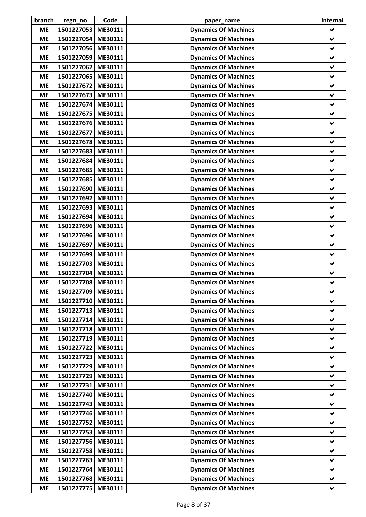| <b>ME</b><br>1501227053<br>ME30111<br><b>Dynamics Of Machines</b><br>✔<br>1501227054<br>ME30111<br><b>Dynamics Of Machines</b><br><b>ME</b><br>✔<br>1501227056<br>ME30111<br><b>Dynamics Of Machines</b><br>V<br><b>ME</b><br>1501227059 ME30111<br><b>Dynamics Of Machines</b><br><b>ME</b><br>V<br>1501227062<br>ME30111<br><b>Dynamics Of Machines</b><br>✔<br><b>ME</b><br><b>Dynamics Of Machines</b><br>1501227065<br>ME30111<br><b>ME</b><br>V<br>1501227672<br>ME30111<br><b>Dynamics Of Machines</b><br><b>ME</b><br>✔<br>1501227673<br>ME30111<br><b>Dynamics Of Machines</b><br><b>ME</b><br>✔<br>1501227674<br>ME30111<br><b>Dynamics Of Machines</b><br>$\checkmark$<br><b>ME</b><br>1501227675<br><b>Dynamics Of Machines</b><br>ME30111<br><b>ME</b><br>V<br>1501227676<br>ME30111<br><b>Dynamics Of Machines</b><br><b>ME</b><br>✔<br>1501227677<br>ME30111<br><b>Dynamics Of Machines</b><br><b>ME</b><br>V<br>1501227678<br>ME30111<br><b>Dynamics Of Machines</b><br><b>ME</b><br>✔<br>1501227683<br>ME30111<br><b>Dynamics Of Machines</b><br><b>ME</b><br>✔<br>ME30111<br><b>Dynamics Of Machines</b><br>1501227684<br>V<br><b>ME</b><br>1501227685<br>ME30111<br><b>Dynamics Of Machines</b><br><b>ME</b><br>V<br>1501227685<br>ME30111<br><b>Dynamics Of Machines</b><br><b>ME</b><br>✔<br>1501227690 ME30111<br><b>Dynamics Of Machines</b><br><b>ME</b><br>V<br><b>Dynamics Of Machines</b><br>1501227692<br>ME30111<br><b>ME</b><br>✔<br>1501227693<br>ME30111<br><b>Dynamics Of Machines</b><br>✔<br><b>ME</b><br>1501227694<br><b>Dynamics Of Machines</b><br>ME30111<br><b>ME</b><br>V<br>1501227696<br>ME30111<br><b>ME</b><br><b>Dynamics Of Machines</b><br>V<br>1501227696<br><b>Dynamics Of Machines</b><br><b>ME</b><br>ME30111<br>✔<br>1501227697<br>ME30111<br><b>Dynamics Of Machines</b><br><b>ME</b><br>✔<br>1501227699<br><b>Dynamics Of Machines</b><br><b>ME</b><br>ME30111<br>✔<br>1501227703<br>ME30111<br><b>Dynamics Of Machines</b><br><b>ME</b><br>✔<br>1501227704<br><b>Dynamics Of Machines</b><br>ME30111<br><b>ME</b><br>✔<br>1501227708 ME30111<br><b>Dynamics Of Machines</b><br><b>ME</b><br>✔<br>1501227709 ME30111<br><b>Dynamics Of Machines</b><br><b>ME</b><br>1501227710 ME30111<br><b>ME</b><br><b>Dynamics Of Machines</b><br>$\blacktriangledown$<br>1501227713 ME30111<br><b>ME</b><br><b>Dynamics Of Machines</b><br>Ñ.<br>1501227714<br>ME30111<br><b>Dynamics Of Machines</b><br><b>ME</b><br>✔<br>1501227718<br>ME30111<br><b>Dynamics Of Machines</b><br><b>ME</b><br>✔<br>1501227719<br>ME30111<br><b>Dynamics Of Machines</b><br><b>ME</b><br>✔<br>1501227722<br>ME30111<br><b>Dynamics Of Machines</b><br><b>ME</b><br>✔<br>1501227723<br>ME30111<br><b>Dynamics Of Machines</b><br><b>ME</b><br>V<br>1501227729<br>ME30111<br><b>Dynamics Of Machines</b><br><b>ME</b><br>✔<br>1501227729<br>ME30111<br><b>Dynamics Of Machines</b><br><b>ME</b><br>V.<br>1501227731<br>ME30111<br><b>ME</b><br><b>Dynamics Of Machines</b><br>Ý.<br>1501227740<br>ME30111<br><b>Dynamics Of Machines</b><br><b>ME</b><br>V<br>1501227743<br>ME30111<br><b>Dynamics Of Machines</b><br><b>ME</b><br>$\blacktriangledown$<br>1501227746 ME30111<br><b>Dynamics Of Machines</b><br><b>ME</b><br>Ý.<br>1501227752<br>ME30111<br><b>Dynamics Of Machines</b><br><b>ME</b><br>$\blacktriangledown$<br>1501227753<br>ME30111<br><b>Dynamics Of Machines</b><br>✔<br><b>ME</b><br>1501227756<br>ME30111<br><b>Dynamics Of Machines</b><br><b>ME</b><br>✔<br>1501227758<br>ME30111<br><b>ME</b><br><b>Dynamics Of Machines</b><br>✔<br>1501227763<br>ME30111<br><b>Dynamics Of Machines</b><br><b>ME</b><br>✔<br>1501227764<br>ME30111<br><b>Dynamics Of Machines</b><br><b>ME</b><br>✔<br>1501227768<br>ME30111<br><b>Dynamics Of Machines</b><br><b>ME</b><br>V<br>1501227775<br>ME30111<br><b>Dynamics Of Machines</b><br><b>ME</b><br>V | branch | regn_no | Code | paper_name | Internal |
|------------------------------------------------------------------------------------------------------------------------------------------------------------------------------------------------------------------------------------------------------------------------------------------------------------------------------------------------------------------------------------------------------------------------------------------------------------------------------------------------------------------------------------------------------------------------------------------------------------------------------------------------------------------------------------------------------------------------------------------------------------------------------------------------------------------------------------------------------------------------------------------------------------------------------------------------------------------------------------------------------------------------------------------------------------------------------------------------------------------------------------------------------------------------------------------------------------------------------------------------------------------------------------------------------------------------------------------------------------------------------------------------------------------------------------------------------------------------------------------------------------------------------------------------------------------------------------------------------------------------------------------------------------------------------------------------------------------------------------------------------------------------------------------------------------------------------------------------------------------------------------------------------------------------------------------------------------------------------------------------------------------------------------------------------------------------------------------------------------------------------------------------------------------------------------------------------------------------------------------------------------------------------------------------------------------------------------------------------------------------------------------------------------------------------------------------------------------------------------------------------------------------------------------------------------------------------------------------------------------------------------------------------------------------------------------------------------------------------------------------------------------------------------------------------------------------------------------------------------------------------------------------------------------------------------------------------------------------------------------------------------------------------------------------------------------------------------------------------------------------------------------------------------------------------------------------------------------------------------------------------------------------------------------------------------------------------------------------------------------------------------------------------------------------------------------------------------------------------------------------------------------------------------------------------------------------------------------------------------------------------------------------------------------------------------------------------------------------------------------------------------------------------------------------------------------------------------------------------------------------------------------------|--------|---------|------|------------|----------|
|                                                                                                                                                                                                                                                                                                                                                                                                                                                                                                                                                                                                                                                                                                                                                                                                                                                                                                                                                                                                                                                                                                                                                                                                                                                                                                                                                                                                                                                                                                                                                                                                                                                                                                                                                                                                                                                                                                                                                                                                                                                                                                                                                                                                                                                                                                                                                                                                                                                                                                                                                                                                                                                                                                                                                                                                                                                                                                                                                                                                                                                                                                                                                                                                                                                                                                                                                                                                                                                                                                                                                                                                                                                                                                                                                                                                                                                                                                |        |         |      |            |          |
|                                                                                                                                                                                                                                                                                                                                                                                                                                                                                                                                                                                                                                                                                                                                                                                                                                                                                                                                                                                                                                                                                                                                                                                                                                                                                                                                                                                                                                                                                                                                                                                                                                                                                                                                                                                                                                                                                                                                                                                                                                                                                                                                                                                                                                                                                                                                                                                                                                                                                                                                                                                                                                                                                                                                                                                                                                                                                                                                                                                                                                                                                                                                                                                                                                                                                                                                                                                                                                                                                                                                                                                                                                                                                                                                                                                                                                                                                                |        |         |      |            |          |
|                                                                                                                                                                                                                                                                                                                                                                                                                                                                                                                                                                                                                                                                                                                                                                                                                                                                                                                                                                                                                                                                                                                                                                                                                                                                                                                                                                                                                                                                                                                                                                                                                                                                                                                                                                                                                                                                                                                                                                                                                                                                                                                                                                                                                                                                                                                                                                                                                                                                                                                                                                                                                                                                                                                                                                                                                                                                                                                                                                                                                                                                                                                                                                                                                                                                                                                                                                                                                                                                                                                                                                                                                                                                                                                                                                                                                                                                                                |        |         |      |            |          |
|                                                                                                                                                                                                                                                                                                                                                                                                                                                                                                                                                                                                                                                                                                                                                                                                                                                                                                                                                                                                                                                                                                                                                                                                                                                                                                                                                                                                                                                                                                                                                                                                                                                                                                                                                                                                                                                                                                                                                                                                                                                                                                                                                                                                                                                                                                                                                                                                                                                                                                                                                                                                                                                                                                                                                                                                                                                                                                                                                                                                                                                                                                                                                                                                                                                                                                                                                                                                                                                                                                                                                                                                                                                                                                                                                                                                                                                                                                |        |         |      |            |          |
|                                                                                                                                                                                                                                                                                                                                                                                                                                                                                                                                                                                                                                                                                                                                                                                                                                                                                                                                                                                                                                                                                                                                                                                                                                                                                                                                                                                                                                                                                                                                                                                                                                                                                                                                                                                                                                                                                                                                                                                                                                                                                                                                                                                                                                                                                                                                                                                                                                                                                                                                                                                                                                                                                                                                                                                                                                                                                                                                                                                                                                                                                                                                                                                                                                                                                                                                                                                                                                                                                                                                                                                                                                                                                                                                                                                                                                                                                                |        |         |      |            |          |
|                                                                                                                                                                                                                                                                                                                                                                                                                                                                                                                                                                                                                                                                                                                                                                                                                                                                                                                                                                                                                                                                                                                                                                                                                                                                                                                                                                                                                                                                                                                                                                                                                                                                                                                                                                                                                                                                                                                                                                                                                                                                                                                                                                                                                                                                                                                                                                                                                                                                                                                                                                                                                                                                                                                                                                                                                                                                                                                                                                                                                                                                                                                                                                                                                                                                                                                                                                                                                                                                                                                                                                                                                                                                                                                                                                                                                                                                                                |        |         |      |            |          |
|                                                                                                                                                                                                                                                                                                                                                                                                                                                                                                                                                                                                                                                                                                                                                                                                                                                                                                                                                                                                                                                                                                                                                                                                                                                                                                                                                                                                                                                                                                                                                                                                                                                                                                                                                                                                                                                                                                                                                                                                                                                                                                                                                                                                                                                                                                                                                                                                                                                                                                                                                                                                                                                                                                                                                                                                                                                                                                                                                                                                                                                                                                                                                                                                                                                                                                                                                                                                                                                                                                                                                                                                                                                                                                                                                                                                                                                                                                |        |         |      |            |          |
|                                                                                                                                                                                                                                                                                                                                                                                                                                                                                                                                                                                                                                                                                                                                                                                                                                                                                                                                                                                                                                                                                                                                                                                                                                                                                                                                                                                                                                                                                                                                                                                                                                                                                                                                                                                                                                                                                                                                                                                                                                                                                                                                                                                                                                                                                                                                                                                                                                                                                                                                                                                                                                                                                                                                                                                                                                                                                                                                                                                                                                                                                                                                                                                                                                                                                                                                                                                                                                                                                                                                                                                                                                                                                                                                                                                                                                                                                                |        |         |      |            |          |
|                                                                                                                                                                                                                                                                                                                                                                                                                                                                                                                                                                                                                                                                                                                                                                                                                                                                                                                                                                                                                                                                                                                                                                                                                                                                                                                                                                                                                                                                                                                                                                                                                                                                                                                                                                                                                                                                                                                                                                                                                                                                                                                                                                                                                                                                                                                                                                                                                                                                                                                                                                                                                                                                                                                                                                                                                                                                                                                                                                                                                                                                                                                                                                                                                                                                                                                                                                                                                                                                                                                                                                                                                                                                                                                                                                                                                                                                                                |        |         |      |            |          |
|                                                                                                                                                                                                                                                                                                                                                                                                                                                                                                                                                                                                                                                                                                                                                                                                                                                                                                                                                                                                                                                                                                                                                                                                                                                                                                                                                                                                                                                                                                                                                                                                                                                                                                                                                                                                                                                                                                                                                                                                                                                                                                                                                                                                                                                                                                                                                                                                                                                                                                                                                                                                                                                                                                                                                                                                                                                                                                                                                                                                                                                                                                                                                                                                                                                                                                                                                                                                                                                                                                                                                                                                                                                                                                                                                                                                                                                                                                |        |         |      |            |          |
|                                                                                                                                                                                                                                                                                                                                                                                                                                                                                                                                                                                                                                                                                                                                                                                                                                                                                                                                                                                                                                                                                                                                                                                                                                                                                                                                                                                                                                                                                                                                                                                                                                                                                                                                                                                                                                                                                                                                                                                                                                                                                                                                                                                                                                                                                                                                                                                                                                                                                                                                                                                                                                                                                                                                                                                                                                                                                                                                                                                                                                                                                                                                                                                                                                                                                                                                                                                                                                                                                                                                                                                                                                                                                                                                                                                                                                                                                                |        |         |      |            |          |
|                                                                                                                                                                                                                                                                                                                                                                                                                                                                                                                                                                                                                                                                                                                                                                                                                                                                                                                                                                                                                                                                                                                                                                                                                                                                                                                                                                                                                                                                                                                                                                                                                                                                                                                                                                                                                                                                                                                                                                                                                                                                                                                                                                                                                                                                                                                                                                                                                                                                                                                                                                                                                                                                                                                                                                                                                                                                                                                                                                                                                                                                                                                                                                                                                                                                                                                                                                                                                                                                                                                                                                                                                                                                                                                                                                                                                                                                                                |        |         |      |            |          |
|                                                                                                                                                                                                                                                                                                                                                                                                                                                                                                                                                                                                                                                                                                                                                                                                                                                                                                                                                                                                                                                                                                                                                                                                                                                                                                                                                                                                                                                                                                                                                                                                                                                                                                                                                                                                                                                                                                                                                                                                                                                                                                                                                                                                                                                                                                                                                                                                                                                                                                                                                                                                                                                                                                                                                                                                                                                                                                                                                                                                                                                                                                                                                                                                                                                                                                                                                                                                                                                                                                                                                                                                                                                                                                                                                                                                                                                                                                |        |         |      |            |          |
|                                                                                                                                                                                                                                                                                                                                                                                                                                                                                                                                                                                                                                                                                                                                                                                                                                                                                                                                                                                                                                                                                                                                                                                                                                                                                                                                                                                                                                                                                                                                                                                                                                                                                                                                                                                                                                                                                                                                                                                                                                                                                                                                                                                                                                                                                                                                                                                                                                                                                                                                                                                                                                                                                                                                                                                                                                                                                                                                                                                                                                                                                                                                                                                                                                                                                                                                                                                                                                                                                                                                                                                                                                                                                                                                                                                                                                                                                                |        |         |      |            |          |
|                                                                                                                                                                                                                                                                                                                                                                                                                                                                                                                                                                                                                                                                                                                                                                                                                                                                                                                                                                                                                                                                                                                                                                                                                                                                                                                                                                                                                                                                                                                                                                                                                                                                                                                                                                                                                                                                                                                                                                                                                                                                                                                                                                                                                                                                                                                                                                                                                                                                                                                                                                                                                                                                                                                                                                                                                                                                                                                                                                                                                                                                                                                                                                                                                                                                                                                                                                                                                                                                                                                                                                                                                                                                                                                                                                                                                                                                                                |        |         |      |            |          |
|                                                                                                                                                                                                                                                                                                                                                                                                                                                                                                                                                                                                                                                                                                                                                                                                                                                                                                                                                                                                                                                                                                                                                                                                                                                                                                                                                                                                                                                                                                                                                                                                                                                                                                                                                                                                                                                                                                                                                                                                                                                                                                                                                                                                                                                                                                                                                                                                                                                                                                                                                                                                                                                                                                                                                                                                                                                                                                                                                                                                                                                                                                                                                                                                                                                                                                                                                                                                                                                                                                                                                                                                                                                                                                                                                                                                                                                                                                |        |         |      |            |          |
|                                                                                                                                                                                                                                                                                                                                                                                                                                                                                                                                                                                                                                                                                                                                                                                                                                                                                                                                                                                                                                                                                                                                                                                                                                                                                                                                                                                                                                                                                                                                                                                                                                                                                                                                                                                                                                                                                                                                                                                                                                                                                                                                                                                                                                                                                                                                                                                                                                                                                                                                                                                                                                                                                                                                                                                                                                                                                                                                                                                                                                                                                                                                                                                                                                                                                                                                                                                                                                                                                                                                                                                                                                                                                                                                                                                                                                                                                                |        |         |      |            |          |
|                                                                                                                                                                                                                                                                                                                                                                                                                                                                                                                                                                                                                                                                                                                                                                                                                                                                                                                                                                                                                                                                                                                                                                                                                                                                                                                                                                                                                                                                                                                                                                                                                                                                                                                                                                                                                                                                                                                                                                                                                                                                                                                                                                                                                                                                                                                                                                                                                                                                                                                                                                                                                                                                                                                                                                                                                                                                                                                                                                                                                                                                                                                                                                                                                                                                                                                                                                                                                                                                                                                                                                                                                                                                                                                                                                                                                                                                                                |        |         |      |            |          |
|                                                                                                                                                                                                                                                                                                                                                                                                                                                                                                                                                                                                                                                                                                                                                                                                                                                                                                                                                                                                                                                                                                                                                                                                                                                                                                                                                                                                                                                                                                                                                                                                                                                                                                                                                                                                                                                                                                                                                                                                                                                                                                                                                                                                                                                                                                                                                                                                                                                                                                                                                                                                                                                                                                                                                                                                                                                                                                                                                                                                                                                                                                                                                                                                                                                                                                                                                                                                                                                                                                                                                                                                                                                                                                                                                                                                                                                                                                |        |         |      |            |          |
|                                                                                                                                                                                                                                                                                                                                                                                                                                                                                                                                                                                                                                                                                                                                                                                                                                                                                                                                                                                                                                                                                                                                                                                                                                                                                                                                                                                                                                                                                                                                                                                                                                                                                                                                                                                                                                                                                                                                                                                                                                                                                                                                                                                                                                                                                                                                                                                                                                                                                                                                                                                                                                                                                                                                                                                                                                                                                                                                                                                                                                                                                                                                                                                                                                                                                                                                                                                                                                                                                                                                                                                                                                                                                                                                                                                                                                                                                                |        |         |      |            |          |
|                                                                                                                                                                                                                                                                                                                                                                                                                                                                                                                                                                                                                                                                                                                                                                                                                                                                                                                                                                                                                                                                                                                                                                                                                                                                                                                                                                                                                                                                                                                                                                                                                                                                                                                                                                                                                                                                                                                                                                                                                                                                                                                                                                                                                                                                                                                                                                                                                                                                                                                                                                                                                                                                                                                                                                                                                                                                                                                                                                                                                                                                                                                                                                                                                                                                                                                                                                                                                                                                                                                                                                                                                                                                                                                                                                                                                                                                                                |        |         |      |            |          |
|                                                                                                                                                                                                                                                                                                                                                                                                                                                                                                                                                                                                                                                                                                                                                                                                                                                                                                                                                                                                                                                                                                                                                                                                                                                                                                                                                                                                                                                                                                                                                                                                                                                                                                                                                                                                                                                                                                                                                                                                                                                                                                                                                                                                                                                                                                                                                                                                                                                                                                                                                                                                                                                                                                                                                                                                                                                                                                                                                                                                                                                                                                                                                                                                                                                                                                                                                                                                                                                                                                                                                                                                                                                                                                                                                                                                                                                                                                |        |         |      |            |          |
|                                                                                                                                                                                                                                                                                                                                                                                                                                                                                                                                                                                                                                                                                                                                                                                                                                                                                                                                                                                                                                                                                                                                                                                                                                                                                                                                                                                                                                                                                                                                                                                                                                                                                                                                                                                                                                                                                                                                                                                                                                                                                                                                                                                                                                                                                                                                                                                                                                                                                                                                                                                                                                                                                                                                                                                                                                                                                                                                                                                                                                                                                                                                                                                                                                                                                                                                                                                                                                                                                                                                                                                                                                                                                                                                                                                                                                                                                                |        |         |      |            |          |
|                                                                                                                                                                                                                                                                                                                                                                                                                                                                                                                                                                                                                                                                                                                                                                                                                                                                                                                                                                                                                                                                                                                                                                                                                                                                                                                                                                                                                                                                                                                                                                                                                                                                                                                                                                                                                                                                                                                                                                                                                                                                                                                                                                                                                                                                                                                                                                                                                                                                                                                                                                                                                                                                                                                                                                                                                                                                                                                                                                                                                                                                                                                                                                                                                                                                                                                                                                                                                                                                                                                                                                                                                                                                                                                                                                                                                                                                                                |        |         |      |            |          |
|                                                                                                                                                                                                                                                                                                                                                                                                                                                                                                                                                                                                                                                                                                                                                                                                                                                                                                                                                                                                                                                                                                                                                                                                                                                                                                                                                                                                                                                                                                                                                                                                                                                                                                                                                                                                                                                                                                                                                                                                                                                                                                                                                                                                                                                                                                                                                                                                                                                                                                                                                                                                                                                                                                                                                                                                                                                                                                                                                                                                                                                                                                                                                                                                                                                                                                                                                                                                                                                                                                                                                                                                                                                                                                                                                                                                                                                                                                |        |         |      |            |          |
|                                                                                                                                                                                                                                                                                                                                                                                                                                                                                                                                                                                                                                                                                                                                                                                                                                                                                                                                                                                                                                                                                                                                                                                                                                                                                                                                                                                                                                                                                                                                                                                                                                                                                                                                                                                                                                                                                                                                                                                                                                                                                                                                                                                                                                                                                                                                                                                                                                                                                                                                                                                                                                                                                                                                                                                                                                                                                                                                                                                                                                                                                                                                                                                                                                                                                                                                                                                                                                                                                                                                                                                                                                                                                                                                                                                                                                                                                                |        |         |      |            |          |
|                                                                                                                                                                                                                                                                                                                                                                                                                                                                                                                                                                                                                                                                                                                                                                                                                                                                                                                                                                                                                                                                                                                                                                                                                                                                                                                                                                                                                                                                                                                                                                                                                                                                                                                                                                                                                                                                                                                                                                                                                                                                                                                                                                                                                                                                                                                                                                                                                                                                                                                                                                                                                                                                                                                                                                                                                                                                                                                                                                                                                                                                                                                                                                                                                                                                                                                                                                                                                                                                                                                                                                                                                                                                                                                                                                                                                                                                                                |        |         |      |            |          |
|                                                                                                                                                                                                                                                                                                                                                                                                                                                                                                                                                                                                                                                                                                                                                                                                                                                                                                                                                                                                                                                                                                                                                                                                                                                                                                                                                                                                                                                                                                                                                                                                                                                                                                                                                                                                                                                                                                                                                                                                                                                                                                                                                                                                                                                                                                                                                                                                                                                                                                                                                                                                                                                                                                                                                                                                                                                                                                                                                                                                                                                                                                                                                                                                                                                                                                                                                                                                                                                                                                                                                                                                                                                                                                                                                                                                                                                                                                |        |         |      |            |          |
|                                                                                                                                                                                                                                                                                                                                                                                                                                                                                                                                                                                                                                                                                                                                                                                                                                                                                                                                                                                                                                                                                                                                                                                                                                                                                                                                                                                                                                                                                                                                                                                                                                                                                                                                                                                                                                                                                                                                                                                                                                                                                                                                                                                                                                                                                                                                                                                                                                                                                                                                                                                                                                                                                                                                                                                                                                                                                                                                                                                                                                                                                                                                                                                                                                                                                                                                                                                                                                                                                                                                                                                                                                                                                                                                                                                                                                                                                                |        |         |      |            |          |
|                                                                                                                                                                                                                                                                                                                                                                                                                                                                                                                                                                                                                                                                                                                                                                                                                                                                                                                                                                                                                                                                                                                                                                                                                                                                                                                                                                                                                                                                                                                                                                                                                                                                                                                                                                                                                                                                                                                                                                                                                                                                                                                                                                                                                                                                                                                                                                                                                                                                                                                                                                                                                                                                                                                                                                                                                                                                                                                                                                                                                                                                                                                                                                                                                                                                                                                                                                                                                                                                                                                                                                                                                                                                                                                                                                                                                                                                                                |        |         |      |            |          |
|                                                                                                                                                                                                                                                                                                                                                                                                                                                                                                                                                                                                                                                                                                                                                                                                                                                                                                                                                                                                                                                                                                                                                                                                                                                                                                                                                                                                                                                                                                                                                                                                                                                                                                                                                                                                                                                                                                                                                                                                                                                                                                                                                                                                                                                                                                                                                                                                                                                                                                                                                                                                                                                                                                                                                                                                                                                                                                                                                                                                                                                                                                                                                                                                                                                                                                                                                                                                                                                                                                                                                                                                                                                                                                                                                                                                                                                                                                |        |         |      |            |          |
|                                                                                                                                                                                                                                                                                                                                                                                                                                                                                                                                                                                                                                                                                                                                                                                                                                                                                                                                                                                                                                                                                                                                                                                                                                                                                                                                                                                                                                                                                                                                                                                                                                                                                                                                                                                                                                                                                                                                                                                                                                                                                                                                                                                                                                                                                                                                                                                                                                                                                                                                                                                                                                                                                                                                                                                                                                                                                                                                                                                                                                                                                                                                                                                                                                                                                                                                                                                                                                                                                                                                                                                                                                                                                                                                                                                                                                                                                                |        |         |      |            |          |
|                                                                                                                                                                                                                                                                                                                                                                                                                                                                                                                                                                                                                                                                                                                                                                                                                                                                                                                                                                                                                                                                                                                                                                                                                                                                                                                                                                                                                                                                                                                                                                                                                                                                                                                                                                                                                                                                                                                                                                                                                                                                                                                                                                                                                                                                                                                                                                                                                                                                                                                                                                                                                                                                                                                                                                                                                                                                                                                                                                                                                                                                                                                                                                                                                                                                                                                                                                                                                                                                                                                                                                                                                                                                                                                                                                                                                                                                                                |        |         |      |            |          |
|                                                                                                                                                                                                                                                                                                                                                                                                                                                                                                                                                                                                                                                                                                                                                                                                                                                                                                                                                                                                                                                                                                                                                                                                                                                                                                                                                                                                                                                                                                                                                                                                                                                                                                                                                                                                                                                                                                                                                                                                                                                                                                                                                                                                                                                                                                                                                                                                                                                                                                                                                                                                                                                                                                                                                                                                                                                                                                                                                                                                                                                                                                                                                                                                                                                                                                                                                                                                                                                                                                                                                                                                                                                                                                                                                                                                                                                                                                |        |         |      |            |          |
|                                                                                                                                                                                                                                                                                                                                                                                                                                                                                                                                                                                                                                                                                                                                                                                                                                                                                                                                                                                                                                                                                                                                                                                                                                                                                                                                                                                                                                                                                                                                                                                                                                                                                                                                                                                                                                                                                                                                                                                                                                                                                                                                                                                                                                                                                                                                                                                                                                                                                                                                                                                                                                                                                                                                                                                                                                                                                                                                                                                                                                                                                                                                                                                                                                                                                                                                                                                                                                                                                                                                                                                                                                                                                                                                                                                                                                                                                                |        |         |      |            |          |
|                                                                                                                                                                                                                                                                                                                                                                                                                                                                                                                                                                                                                                                                                                                                                                                                                                                                                                                                                                                                                                                                                                                                                                                                                                                                                                                                                                                                                                                                                                                                                                                                                                                                                                                                                                                                                                                                                                                                                                                                                                                                                                                                                                                                                                                                                                                                                                                                                                                                                                                                                                                                                                                                                                                                                                                                                                                                                                                                                                                                                                                                                                                                                                                                                                                                                                                                                                                                                                                                                                                                                                                                                                                                                                                                                                                                                                                                                                |        |         |      |            |          |
|                                                                                                                                                                                                                                                                                                                                                                                                                                                                                                                                                                                                                                                                                                                                                                                                                                                                                                                                                                                                                                                                                                                                                                                                                                                                                                                                                                                                                                                                                                                                                                                                                                                                                                                                                                                                                                                                                                                                                                                                                                                                                                                                                                                                                                                                                                                                                                                                                                                                                                                                                                                                                                                                                                                                                                                                                                                                                                                                                                                                                                                                                                                                                                                                                                                                                                                                                                                                                                                                                                                                                                                                                                                                                                                                                                                                                                                                                                |        |         |      |            |          |
|                                                                                                                                                                                                                                                                                                                                                                                                                                                                                                                                                                                                                                                                                                                                                                                                                                                                                                                                                                                                                                                                                                                                                                                                                                                                                                                                                                                                                                                                                                                                                                                                                                                                                                                                                                                                                                                                                                                                                                                                                                                                                                                                                                                                                                                                                                                                                                                                                                                                                                                                                                                                                                                                                                                                                                                                                                                                                                                                                                                                                                                                                                                                                                                                                                                                                                                                                                                                                                                                                                                                                                                                                                                                                                                                                                                                                                                                                                |        |         |      |            |          |
|                                                                                                                                                                                                                                                                                                                                                                                                                                                                                                                                                                                                                                                                                                                                                                                                                                                                                                                                                                                                                                                                                                                                                                                                                                                                                                                                                                                                                                                                                                                                                                                                                                                                                                                                                                                                                                                                                                                                                                                                                                                                                                                                                                                                                                                                                                                                                                                                                                                                                                                                                                                                                                                                                                                                                                                                                                                                                                                                                                                                                                                                                                                                                                                                                                                                                                                                                                                                                                                                                                                                                                                                                                                                                                                                                                                                                                                                                                |        |         |      |            |          |
|                                                                                                                                                                                                                                                                                                                                                                                                                                                                                                                                                                                                                                                                                                                                                                                                                                                                                                                                                                                                                                                                                                                                                                                                                                                                                                                                                                                                                                                                                                                                                                                                                                                                                                                                                                                                                                                                                                                                                                                                                                                                                                                                                                                                                                                                                                                                                                                                                                                                                                                                                                                                                                                                                                                                                                                                                                                                                                                                                                                                                                                                                                                                                                                                                                                                                                                                                                                                                                                                                                                                                                                                                                                                                                                                                                                                                                                                                                |        |         |      |            |          |
|                                                                                                                                                                                                                                                                                                                                                                                                                                                                                                                                                                                                                                                                                                                                                                                                                                                                                                                                                                                                                                                                                                                                                                                                                                                                                                                                                                                                                                                                                                                                                                                                                                                                                                                                                                                                                                                                                                                                                                                                                                                                                                                                                                                                                                                                                                                                                                                                                                                                                                                                                                                                                                                                                                                                                                                                                                                                                                                                                                                                                                                                                                                                                                                                                                                                                                                                                                                                                                                                                                                                                                                                                                                                                                                                                                                                                                                                                                |        |         |      |            |          |
|                                                                                                                                                                                                                                                                                                                                                                                                                                                                                                                                                                                                                                                                                                                                                                                                                                                                                                                                                                                                                                                                                                                                                                                                                                                                                                                                                                                                                                                                                                                                                                                                                                                                                                                                                                                                                                                                                                                                                                                                                                                                                                                                                                                                                                                                                                                                                                                                                                                                                                                                                                                                                                                                                                                                                                                                                                                                                                                                                                                                                                                                                                                                                                                                                                                                                                                                                                                                                                                                                                                                                                                                                                                                                                                                                                                                                                                                                                |        |         |      |            |          |
|                                                                                                                                                                                                                                                                                                                                                                                                                                                                                                                                                                                                                                                                                                                                                                                                                                                                                                                                                                                                                                                                                                                                                                                                                                                                                                                                                                                                                                                                                                                                                                                                                                                                                                                                                                                                                                                                                                                                                                                                                                                                                                                                                                                                                                                                                                                                                                                                                                                                                                                                                                                                                                                                                                                                                                                                                                                                                                                                                                                                                                                                                                                                                                                                                                                                                                                                                                                                                                                                                                                                                                                                                                                                                                                                                                                                                                                                                                |        |         |      |            |          |
|                                                                                                                                                                                                                                                                                                                                                                                                                                                                                                                                                                                                                                                                                                                                                                                                                                                                                                                                                                                                                                                                                                                                                                                                                                                                                                                                                                                                                                                                                                                                                                                                                                                                                                                                                                                                                                                                                                                                                                                                                                                                                                                                                                                                                                                                                                                                                                                                                                                                                                                                                                                                                                                                                                                                                                                                                                                                                                                                                                                                                                                                                                                                                                                                                                                                                                                                                                                                                                                                                                                                                                                                                                                                                                                                                                                                                                                                                                |        |         |      |            |          |
|                                                                                                                                                                                                                                                                                                                                                                                                                                                                                                                                                                                                                                                                                                                                                                                                                                                                                                                                                                                                                                                                                                                                                                                                                                                                                                                                                                                                                                                                                                                                                                                                                                                                                                                                                                                                                                                                                                                                                                                                                                                                                                                                                                                                                                                                                                                                                                                                                                                                                                                                                                                                                                                                                                                                                                                                                                                                                                                                                                                                                                                                                                                                                                                                                                                                                                                                                                                                                                                                                                                                                                                                                                                                                                                                                                                                                                                                                                |        |         |      |            |          |
|                                                                                                                                                                                                                                                                                                                                                                                                                                                                                                                                                                                                                                                                                                                                                                                                                                                                                                                                                                                                                                                                                                                                                                                                                                                                                                                                                                                                                                                                                                                                                                                                                                                                                                                                                                                                                                                                                                                                                                                                                                                                                                                                                                                                                                                                                                                                                                                                                                                                                                                                                                                                                                                                                                                                                                                                                                                                                                                                                                                                                                                                                                                                                                                                                                                                                                                                                                                                                                                                                                                                                                                                                                                                                                                                                                                                                                                                                                |        |         |      |            |          |
|                                                                                                                                                                                                                                                                                                                                                                                                                                                                                                                                                                                                                                                                                                                                                                                                                                                                                                                                                                                                                                                                                                                                                                                                                                                                                                                                                                                                                                                                                                                                                                                                                                                                                                                                                                                                                                                                                                                                                                                                                                                                                                                                                                                                                                                                                                                                                                                                                                                                                                                                                                                                                                                                                                                                                                                                                                                                                                                                                                                                                                                                                                                                                                                                                                                                                                                                                                                                                                                                                                                                                                                                                                                                                                                                                                                                                                                                                                |        |         |      |            |          |
|                                                                                                                                                                                                                                                                                                                                                                                                                                                                                                                                                                                                                                                                                                                                                                                                                                                                                                                                                                                                                                                                                                                                                                                                                                                                                                                                                                                                                                                                                                                                                                                                                                                                                                                                                                                                                                                                                                                                                                                                                                                                                                                                                                                                                                                                                                                                                                                                                                                                                                                                                                                                                                                                                                                                                                                                                                                                                                                                                                                                                                                                                                                                                                                                                                                                                                                                                                                                                                                                                                                                                                                                                                                                                                                                                                                                                                                                                                |        |         |      |            |          |
|                                                                                                                                                                                                                                                                                                                                                                                                                                                                                                                                                                                                                                                                                                                                                                                                                                                                                                                                                                                                                                                                                                                                                                                                                                                                                                                                                                                                                                                                                                                                                                                                                                                                                                                                                                                                                                                                                                                                                                                                                                                                                                                                                                                                                                                                                                                                                                                                                                                                                                                                                                                                                                                                                                                                                                                                                                                                                                                                                                                                                                                                                                                                                                                                                                                                                                                                                                                                                                                                                                                                                                                                                                                                                                                                                                                                                                                                                                |        |         |      |            |          |
|                                                                                                                                                                                                                                                                                                                                                                                                                                                                                                                                                                                                                                                                                                                                                                                                                                                                                                                                                                                                                                                                                                                                                                                                                                                                                                                                                                                                                                                                                                                                                                                                                                                                                                                                                                                                                                                                                                                                                                                                                                                                                                                                                                                                                                                                                                                                                                                                                                                                                                                                                                                                                                                                                                                                                                                                                                                                                                                                                                                                                                                                                                                                                                                                                                                                                                                                                                                                                                                                                                                                                                                                                                                                                                                                                                                                                                                                                                |        |         |      |            |          |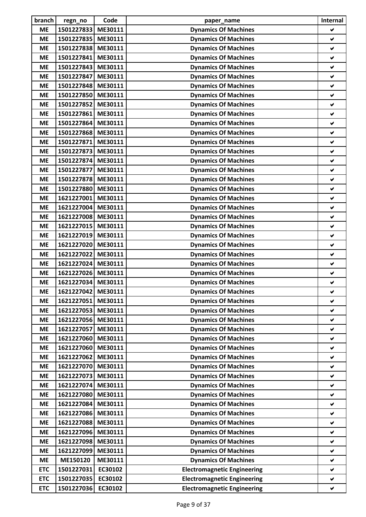| branch     | regn_no            | Code    | paper_name                         | Internal             |
|------------|--------------------|---------|------------------------------------|----------------------|
| <b>ME</b>  | 1501227833         | ME30111 | <b>Dynamics Of Machines</b>        | ✔                    |
| <b>ME</b>  | 1501227835         | ME30111 | <b>Dynamics Of Machines</b>        | ✔                    |
| <b>ME</b>  | 1501227838         | ME30111 | <b>Dynamics Of Machines</b>        | V                    |
| <b>ME</b>  | 1501227841         | ME30111 | <b>Dynamics Of Machines</b>        | V                    |
| <b>ME</b>  | 1501227843         | ME30111 | <b>Dynamics Of Machines</b>        | ✔                    |
| <b>ME</b>  | 1501227847         | ME30111 | <b>Dynamics Of Machines</b>        | V                    |
| <b>ME</b>  | 1501227848         | ME30111 | <b>Dynamics Of Machines</b>        | ✔                    |
| <b>ME</b>  | 1501227850         | ME30111 | <b>Dynamics Of Machines</b>        | ✔                    |
| <b>ME</b>  | 1501227852         | ME30111 | <b>Dynamics Of Machines</b>        | $\checkmark$         |
| <b>ME</b>  | 1501227861         | ME30111 | <b>Dynamics Of Machines</b>        | V                    |
| <b>ME</b>  | 1501227864         | ME30111 | <b>Dynamics Of Machines</b>        | ✔                    |
| <b>ME</b>  | 1501227868         | ME30111 | <b>Dynamics Of Machines</b>        | V                    |
| <b>ME</b>  | 1501227871         | ME30111 | <b>Dynamics Of Machines</b>        | ✔                    |
| <b>ME</b>  | 1501227873         | ME30111 | <b>Dynamics Of Machines</b>        | ✔                    |
| <b>ME</b>  | 1501227874         | ME30111 | <b>Dynamics Of Machines</b>        | V                    |
| <b>ME</b>  | 1501227877         | ME30111 | <b>Dynamics Of Machines</b>        | V                    |
| <b>ME</b>  | 1501227878         | ME30111 | <b>Dynamics Of Machines</b>        | ✔                    |
| <b>ME</b>  | 1501227880         | ME30111 | <b>Dynamics Of Machines</b>        | V                    |
| <b>ME</b>  | 1621227001         | ME30111 | <b>Dynamics Of Machines</b>        | ✔                    |
| <b>ME</b>  | 1621227004         | ME30111 | <b>Dynamics Of Machines</b>        | ✔                    |
| <b>ME</b>  | 1621227008         | ME30111 | <b>Dynamics Of Machines</b>        | V                    |
| <b>ME</b>  | 1621227015         | ME30111 | <b>Dynamics Of Machines</b>        | V                    |
| <b>ME</b>  | 1621227019         | ME30111 | <b>Dynamics Of Machines</b>        | ✔                    |
| <b>ME</b>  | 1621227020         | ME30111 | <b>Dynamics Of Machines</b>        | ✔                    |
| <b>ME</b>  | 1621227022         | ME30111 | <b>Dynamics Of Machines</b>        | ✔                    |
| <b>ME</b>  | 1621227024         | ME30111 | <b>Dynamics Of Machines</b>        | ✔                    |
| <b>ME</b>  | 1621227026 ME30111 |         | <b>Dynamics Of Machines</b>        | ✔                    |
| <b>ME</b>  | 1621227034 ME30111 |         | <b>Dynamics Of Machines</b>        | ✔                    |
| <b>ME</b>  | 1621227042 ME30111 |         | <b>Dynamics Of Machines</b>        |                      |
| <b>ME</b>  | 1621227051         | ME30111 | <b>Dynamics Of Machines</b>        | $\blacktriangledown$ |
| <b>ME</b>  | 1621227053 ME30111 |         | <b>Dynamics Of Machines</b>        | V                    |
| <b>ME</b>  | 1621227056 ME30111 |         | <b>Dynamics Of Machines</b>        | ✔                    |
| <b>ME</b>  | 1621227057         | ME30111 | <b>Dynamics Of Machines</b>        | $\checkmark$         |
| <b>ME</b>  | 1621227060         | ME30111 | <b>Dynamics Of Machines</b>        | ✔                    |
| <b>ME</b>  | 1621227060         | ME30111 | <b>Dynamics Of Machines</b>        | ✔                    |
| <b>ME</b>  | 1621227062         | ME30111 | <b>Dynamics Of Machines</b>        | V                    |
| <b>ME</b>  | 1621227070         | ME30111 | <b>Dynamics Of Machines</b>        | ✔                    |
| <b>ME</b>  | 1621227073         | ME30111 | <b>Dynamics Of Machines</b>        | V                    |
| <b>ME</b>  | 1621227074         | ME30111 | <b>Dynamics Of Machines</b>        | Ý.                   |
| <b>ME</b>  | 1621227080         | ME30111 | <b>Dynamics Of Machines</b>        | V                    |
| <b>ME</b>  | 1621227084         | ME30111 | <b>Dynamics Of Machines</b>        | ✔                    |
| <b>ME</b>  | 1621227086 ME30111 |         | <b>Dynamics Of Machines</b>        | V                    |
| <b>ME</b>  | 1621227088         | ME30111 | <b>Dynamics Of Machines</b>        | ✔                    |
| <b>ME</b>  | 1621227096         | ME30111 | <b>Dynamics Of Machines</b>        | ✔                    |
| <b>ME</b>  | 1621227098         | ME30111 | <b>Dynamics Of Machines</b>        | $\blacktriangledown$ |
| <b>ME</b>  | 1621227099         | ME30111 | <b>Dynamics Of Machines</b>        | ✔                    |
| <b>ME</b>  | ME150120           | ME30111 | <b>Dynamics Of Machines</b>        | ✔                    |
| <b>ETC</b> | 1501227031         | EC30102 | <b>Electromagnetic Engineering</b> | ✔                    |
| <b>ETC</b> | 1501227035         | EC30102 | <b>Electromagnetic Engineering</b> | V                    |
| <b>ETC</b> | 1501227036         | EC30102 | <b>Electromagnetic Engineering</b> | V                    |
|            |                    |         |                                    |                      |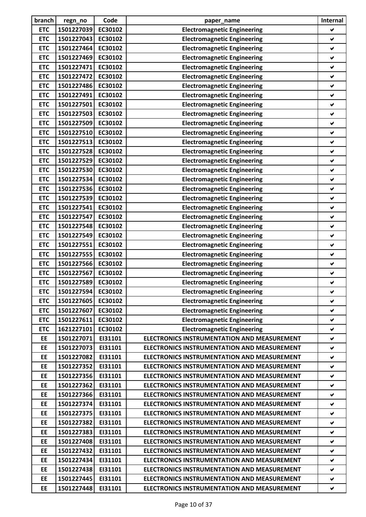| branch     | regn_no            | Code    | paper_name                                         | Internal             |
|------------|--------------------|---------|----------------------------------------------------|----------------------|
| <b>ETC</b> | 1501227039         | EC30102 | <b>Electromagnetic Engineering</b>                 | ✔                    |
| <b>ETC</b> | 1501227043         | EC30102 | <b>Electromagnetic Engineering</b>                 | ✔                    |
| <b>ETC</b> | 1501227464         | EC30102 | <b>Electromagnetic Engineering</b>                 | V                    |
| <b>ETC</b> | 1501227469         | EC30102 | <b>Electromagnetic Engineering</b>                 | ✔                    |
| <b>ETC</b> | 1501227471         | EC30102 | <b>Electromagnetic Engineering</b>                 | ✔                    |
| <b>ETC</b> | 1501227472         | EC30102 | <b>Electromagnetic Engineering</b>                 | ✔                    |
| <b>ETC</b> | 1501227486         | EC30102 | <b>Electromagnetic Engineering</b>                 | ✔                    |
| <b>ETC</b> | 1501227491         | EC30102 | <b>Electromagnetic Engineering</b>                 | ✔                    |
| <b>ETC</b> | 1501227501         | EC30102 | <b>Electromagnetic Engineering</b>                 | V                    |
| <b>ETC</b> | 1501227503         | EC30102 | <b>Electromagnetic Engineering</b>                 | ✔                    |
| <b>ETC</b> | 1501227509         | EC30102 | <b>Electromagnetic Engineering</b>                 | ✔                    |
| <b>ETC</b> | 1501227510         | EC30102 | <b>Electromagnetic Engineering</b>                 | V                    |
| <b>ETC</b> | 1501227513         | EC30102 | <b>Electromagnetic Engineering</b>                 | ✔                    |
| <b>ETC</b> | 1501227528         | EC30102 | <b>Electromagnetic Engineering</b>                 | ✔                    |
| <b>ETC</b> | 1501227529         | EC30102 | <b>Electromagnetic Engineering</b>                 | V                    |
| <b>ETC</b> | 1501227530         | EC30102 | <b>Electromagnetic Engineering</b>                 | ✔                    |
| <b>ETC</b> | 1501227534         | EC30102 | <b>Electromagnetic Engineering</b>                 | ✔                    |
| <b>ETC</b> | 1501227536         | EC30102 | <b>Electromagnetic Engineering</b>                 | $\checkmark$         |
| <b>ETC</b> | 1501227539         | EC30102 | <b>Electromagnetic Engineering</b>                 | ✔                    |
| <b>ETC</b> | 1501227541         | EC30102 | <b>Electromagnetic Engineering</b>                 | ✔                    |
| <b>ETC</b> | 1501227547         | EC30102 | <b>Electromagnetic Engineering</b>                 | V                    |
| <b>ETC</b> | 1501227548         | EC30102 | <b>Electromagnetic Engineering</b>                 | ✔                    |
| <b>ETC</b> | 1501227549         | EC30102 | <b>Electromagnetic Engineering</b>                 | ✔                    |
| <b>ETC</b> | 1501227551         | EC30102 | <b>Electromagnetic Engineering</b>                 | ✔                    |
| <b>ETC</b> | 1501227555         | EC30102 | <b>Electromagnetic Engineering</b>                 | ✔                    |
| <b>ETC</b> | 1501227566         | EC30102 | <b>Electromagnetic Engineering</b>                 | ✔                    |
| <b>ETC</b> | 1501227567         | EC30102 | <b>Electromagnetic Engineering</b>                 | ✔                    |
| <b>ETC</b> | 1501227589         | EC30102 | <b>Electromagnetic Engineering</b>                 | ✔                    |
| <b>ETC</b> | 1501227594 EC30102 |         | <b>Electromagnetic Engineering</b>                 | v                    |
| <b>ETC</b> | 1501227605         | EC30102 | <b>Electromagnetic Engineering</b>                 | V                    |
| <b>ETC</b> | 1501227607         | EC30102 | <b>Electromagnetic Engineering</b>                 | ✔                    |
| <b>ETC</b> | 1501227611         | EC30102 | <b>Electromagnetic Engineering</b>                 | ✔                    |
| <b>ETC</b> | 1621227101         | EC30102 | <b>Electromagnetic Engineering</b>                 | V                    |
| EE         | 1501227071         | EI31101 | ELECTRONICS INSTRUMENTATION AND MEASUREMENT        | ✔                    |
| <b>EE</b>  | 1501227073         | EI31101 | <b>ELECTRONICS INSTRUMENTATION AND MEASUREMENT</b> | ✔                    |
| EE         | 1501227082         | EI31101 | <b>ELECTRONICS INSTRUMENTATION AND MEASUREMENT</b> | V                    |
| EE         | 1501227352         | EI31101 | <b>ELECTRONICS INSTRUMENTATION AND MEASUREMENT</b> | ✔                    |
| EE         | 1501227356         | EI31101 | ELECTRONICS INSTRUMENTATION AND MEASUREMENT        | ✔                    |
| EE         | 1501227362         | EI31101 | <b>ELECTRONICS INSTRUMENTATION AND MEASUREMENT</b> | V                    |
| EE         | 1501227366         | EI31101 | <b>ELECTRONICS INSTRUMENTATION AND MEASUREMENT</b> | V                    |
| EE         | 1501227374         | EI31101 | <b>ELECTRONICS INSTRUMENTATION AND MEASUREMENT</b> | $\blacktriangledown$ |
| EE         | 1501227375         | EI31101 | ELECTRONICS INSTRUMENTATION AND MEASUREMENT        | ✔                    |
| EE         | 1501227382         | EI31101 | <b>ELECTRONICS INSTRUMENTATION AND MEASUREMENT</b> | V                    |
| EE         | 1501227383         | EI31101 | <b>ELECTRONICS INSTRUMENTATION AND MEASUREMENT</b> | ✔                    |
| EE         | 1501227408         | EI31101 | <b>ELECTRONICS INSTRUMENTATION AND MEASUREMENT</b> | ✔                    |
| <b>EE</b>  | 1501227432         | EI31101 | <b>ELECTRONICS INSTRUMENTATION AND MEASUREMENT</b> | V                    |
| EE         | 1501227434         | EI31101 | <b>ELECTRONICS INSTRUMENTATION AND MEASUREMENT</b> | $\blacktriangledown$ |
| EE         | 1501227438         | EI31101 | <b>ELECTRONICS INSTRUMENTATION AND MEASUREMENT</b> | V                    |
| EE         | 1501227445         | EI31101 | <b>ELECTRONICS INSTRUMENTATION AND MEASUREMENT</b> | ✔                    |
| <b>EE</b>  | 1501227448         | EI31101 | ELECTRONICS INSTRUMENTATION AND MEASUREMENT        | ✔                    |
|            |                    |         |                                                    |                      |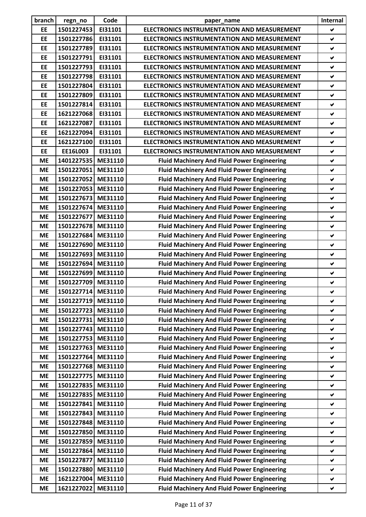| branch    | regn_no    | Code    | paper_name                                         | Internal             |
|-----------|------------|---------|----------------------------------------------------|----------------------|
| EE        | 1501227453 | EI31101 | ELECTRONICS INSTRUMENTATION AND MEASUREMENT        | ✔                    |
| EE        | 1501227786 | EI31101 | <b>ELECTRONICS INSTRUMENTATION AND MEASUREMENT</b> | $\blacktriangledown$ |
| <b>EE</b> | 1501227789 | EI31101 | <b>ELECTRONICS INSTRUMENTATION AND MEASUREMENT</b> | V                    |
| <b>EE</b> | 1501227791 | EI31101 | <b>ELECTRONICS INSTRUMENTATION AND MEASUREMENT</b> | ✔                    |
| <b>EE</b> | 1501227793 | EI31101 | <b>ELECTRONICS INSTRUMENTATION AND MEASUREMENT</b> | ✔                    |
| EE        | 1501227798 | EI31101 | <b>ELECTRONICS INSTRUMENTATION AND MEASUREMENT</b> | V                    |
| EE        | 1501227804 | EI31101 | <b>ELECTRONICS INSTRUMENTATION AND MEASUREMENT</b> | ✔                    |
| EE        | 1501227809 | EI31101 | <b>ELECTRONICS INSTRUMENTATION AND MEASUREMENT</b> | ✔                    |
| EE        | 1501227814 | EI31101 | <b>ELECTRONICS INSTRUMENTATION AND MEASUREMENT</b> | ✔                    |
| EE        | 1621227068 | EI31101 | <b>ELECTRONICS INSTRUMENTATION AND MEASUREMENT</b> | V                    |
| EE        | 1621227087 | EI31101 | <b>ELECTRONICS INSTRUMENTATION AND MEASUREMENT</b> | ✔                    |
| EE        | 1621227094 | EI31101 | <b>ELECTRONICS INSTRUMENTATION AND MEASUREMENT</b> | V                    |
| EE        | 1621227100 | EI31101 | <b>ELECTRONICS INSTRUMENTATION AND MEASUREMENT</b> | ✔                    |
| EE        | EE16L003   | EI31101 | <b>ELECTRONICS INSTRUMENTATION AND MEASUREMENT</b> | ✔                    |
| <b>ME</b> | 1401227535 | ME31110 | <b>Fluid Machinery And Fluid Power Engineering</b> | V                    |
| <b>ME</b> | 1501227051 | ME31110 | <b>Fluid Machinery And Fluid Power Engineering</b> | $\blacktriangledown$ |
| <b>ME</b> | 1501227052 | ME31110 | <b>Fluid Machinery And Fluid Power Engineering</b> | ✔                    |
| <b>ME</b> | 1501227053 | ME31110 | <b>Fluid Machinery And Fluid Power Engineering</b> | V                    |
| <b>ME</b> | 1501227673 | ME31110 | <b>Fluid Machinery And Fluid Power Engineering</b> | ✔                    |
| <b>ME</b> | 1501227674 | ME31110 | <b>Fluid Machinery And Fluid Power Engineering</b> | ✔                    |
| <b>ME</b> | 1501227677 | ME31110 | <b>Fluid Machinery And Fluid Power Engineering</b> | V                    |
| <b>ME</b> | 1501227678 | ME31110 | <b>Fluid Machinery And Fluid Power Engineering</b> | $\checkmark$         |
| <b>ME</b> | 1501227684 | ME31110 | <b>Fluid Machinery And Fluid Power Engineering</b> | ✔                    |
| <b>ME</b> | 1501227690 | ME31110 | <b>Fluid Machinery And Fluid Power Engineering</b> | V                    |
| <b>ME</b> | 1501227693 | ME31110 | <b>Fluid Machinery And Fluid Power Engineering</b> | ✔                    |
| <b>ME</b> | 1501227694 | ME31110 | <b>Fluid Machinery And Fluid Power Engineering</b> | ✔                    |
| <b>ME</b> | 1501227699 | ME31110 | <b>Fluid Machinery And Fluid Power Engineering</b> | ✔                    |
| <b>ME</b> | 1501227709 | ME31110 | <b>Fluid Machinery And Fluid Power Engineering</b> | ✔                    |
| МE        | 1501227714 | ME31110 | <b>Fluid Machinery And Fluid Power Engineering</b> | ✔                    |
| <b>ME</b> | 1501227719 | ME31110 | <b>Fluid Machinery And Fluid Power Engineering</b> | V                    |
| <b>ME</b> | 1501227723 | ME31110 | <b>Fluid Machinery And Fluid Power Engineering</b> | ✔                    |
| <b>ME</b> | 1501227731 | ME31110 | <b>Fluid Machinery And Fluid Power Engineering</b> | ✔                    |
| <b>ME</b> | 1501227743 | ME31110 | <b>Fluid Machinery And Fluid Power Engineering</b> | V                    |
| <b>ME</b> | 1501227753 | ME31110 | <b>Fluid Machinery And Fluid Power Engineering</b> | V                    |
| <b>ME</b> | 1501227763 | ME31110 | <b>Fluid Machinery And Fluid Power Engineering</b> | $\blacktriangledown$ |
| <b>ME</b> | 1501227764 | ME31110 | <b>Fluid Machinery And Fluid Power Engineering</b> | $\checkmark$         |
| <b>ME</b> | 1501227768 | ME31110 | <b>Fluid Machinery And Fluid Power Engineering</b> | V                    |
| <b>ME</b> | 1501227775 | ME31110 | <b>Fluid Machinery And Fluid Power Engineering</b> | ✔                    |
| <b>ME</b> | 1501227835 | ME31110 | <b>Fluid Machinery And Fluid Power Engineering</b> | ✔                    |
| <b>ME</b> | 1501227835 | ME31110 | <b>Fluid Machinery And Fluid Power Engineering</b> | ✔                    |
| <b>ME</b> | 1501227841 | ME31110 | <b>Fluid Machinery And Fluid Power Engineering</b> | ✔                    |
| <b>ME</b> | 1501227843 | ME31110 | <b>Fluid Machinery And Fluid Power Engineering</b> | V                    |
| <b>ME</b> | 1501227848 | ME31110 | <b>Fluid Machinery And Fluid Power Engineering</b> | V                    |
| <b>ME</b> | 1501227850 | ME31110 | <b>Fluid Machinery And Fluid Power Engineering</b> | ✔                    |
| <b>ME</b> | 1501227859 | ME31110 | <b>Fluid Machinery And Fluid Power Engineering</b> | ✔                    |
| <b>ME</b> | 1501227864 | ME31110 | <b>Fluid Machinery And Fluid Power Engineering</b> | $\checkmark$         |
| <b>ME</b> | 1501227877 | ME31110 | <b>Fluid Machinery And Fluid Power Engineering</b> | ✔                    |
| <b>ME</b> | 1501227880 | ME31110 | <b>Fluid Machinery And Fluid Power Engineering</b> | $\blacktriangledown$ |
| <b>ME</b> | 1621227004 | ME31110 | <b>Fluid Machinery And Fluid Power Engineering</b> | ✔                    |
| <b>ME</b> | 1621227022 | ME31110 | <b>Fluid Machinery And Fluid Power Engineering</b> | $\blacktriangledown$ |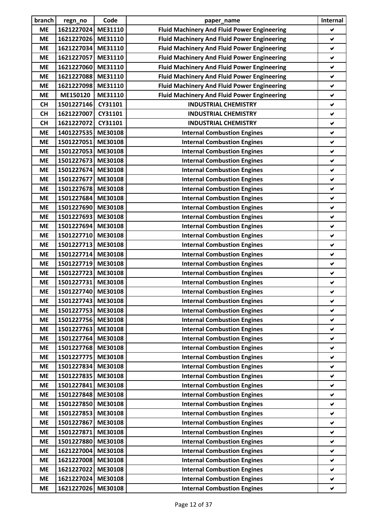| branch    | regn_no            | Code               | paper_name                                         | Internal     |
|-----------|--------------------|--------------------|----------------------------------------------------|--------------|
| <b>ME</b> | 1621227024         | ME31110            | <b>Fluid Machinery And Fluid Power Engineering</b> | ✔            |
| <b>ME</b> | 1621227026         | ME31110            | <b>Fluid Machinery And Fluid Power Engineering</b> | ✔            |
| <b>ME</b> | 1621227034         | ME31110            | <b>Fluid Machinery And Fluid Power Engineering</b> | V            |
| <b>ME</b> | 1621227057         | ME31110            | <b>Fluid Machinery And Fluid Power Engineering</b> | ✔            |
| <b>ME</b> | 1621227060         | ME31110            | <b>Fluid Machinery And Fluid Power Engineering</b> | ✔            |
| <b>ME</b> | 1621227088         | ME31110            | <b>Fluid Machinery And Fluid Power Engineering</b> | $\checkmark$ |
| <b>ME</b> | 1621227098         | ME31110            | <b>Fluid Machinery And Fluid Power Engineering</b> | ✔            |
| <b>ME</b> | ME150120           | ME31110            | <b>Fluid Machinery And Fluid Power Engineering</b> | ✔            |
| <b>CH</b> | 1501227146         | CY31101            | <b>INDUSTRIAL CHEMISTRY</b>                        | $\checkmark$ |
| <b>CH</b> | 1621227007         | CY31101            | <b>INDUSTRIAL CHEMISTRY</b>                        | ✔            |
| <b>CH</b> | 1621227072         | CY31101            | <b>INDUSTRIAL CHEMISTRY</b>                        | ✔            |
| <b>ME</b> | 1401227535         | ME30108            | <b>Internal Combustion Engines</b>                 | V            |
| <b>ME</b> | 1501227051         | ME30108            | <b>Internal Combustion Engines</b>                 | ✔            |
| <b>ME</b> | 1501227053         | ME30108            | <b>Internal Combustion Engines</b>                 | ✔            |
| <b>ME</b> | 1501227673         | ME30108            | <b>Internal Combustion Engines</b>                 | $\checkmark$ |
| <b>ME</b> | 1501227674         | ME30108            | <b>Internal Combustion Engines</b>                 | ✔            |
| <b>ME</b> | 1501227677         | ME30108            | <b>Internal Combustion Engines</b>                 | ✔            |
| <b>ME</b> | 1501227678         | ME30108            | <b>Internal Combustion Engines</b>                 | V            |
| <b>ME</b> | 1501227684         | ME30108            | <b>Internal Combustion Engines</b>                 | ✔            |
| <b>ME</b> | 1501227690         | ME30108            | <b>Internal Combustion Engines</b>                 | ✔            |
| <b>ME</b> | 1501227693         | ME30108            | <b>Internal Combustion Engines</b>                 | V            |
| <b>ME</b> | 1501227694         | ME30108            | <b>Internal Combustion Engines</b>                 | ✔            |
| <b>ME</b> | 1501227710         | ME30108            | <b>Internal Combustion Engines</b>                 | ✔            |
|           |                    |                    |                                                    |              |
| <b>ME</b> | 1501227713         | ME30108<br>ME30108 | <b>Internal Combustion Engines</b>                 | ✔<br>✔       |
| <b>ME</b> | 1501227714         |                    | <b>Internal Combustion Engines</b>                 |              |
| <b>ME</b> | 1501227719         | ME30108<br>ME30108 | <b>Internal Combustion Engines</b>                 | ✔            |
| <b>ME</b> | 1501227723         |                    | <b>Internal Combustion Engines</b>                 | $\checkmark$ |
| <b>ME</b> | 1501227731         | ME30108            | <b>Internal Combustion Engines</b>                 | ✔            |
| <b>ME</b> | 1501227740 ME30108 |                    | <b>Internal Combustion Engines</b>                 | V            |
| <b>ME</b> | 1501227743         | ME30108            | <b>Internal Combustion Engines</b>                 | V            |
| <b>ME</b> | 1501227753         | ME30108            | <b>Internal Combustion Engines</b>                 | ✔            |
| <b>ME</b> | 1501227756         | ME30108            | <b>Internal Combustion Engines</b>                 | ✔            |
| <b>ME</b> | 1501227763         | ME30108            | <b>Internal Combustion Engines</b>                 | ✔            |
| <b>ME</b> | 1501227764         | ME30108            | <b>Internal Combustion Engines</b>                 | ✔            |
| <b>ME</b> | 1501227768         | ME30108            | <b>Internal Combustion Engines</b>                 | V            |
| <b>ME</b> | 1501227775         | ME30108            | <b>Internal Combustion Engines</b>                 | V            |
| <b>ME</b> | 1501227834         | ME30108            | <b>Internal Combustion Engines</b>                 | ✔            |
| <b>ME</b> | 1501227835         | ME30108            | <b>Internal Combustion Engines</b>                 | V            |
| <b>ME</b> | 1501227841         | ME30108            | <b>Internal Combustion Engines</b>                 | ✔            |
| <b>ME</b> | 1501227848         | ME30108            | <b>Internal Combustion Engines</b>                 | ✔            |
| <b>ME</b> | 1501227850         | ME30108            | <b>Internal Combustion Engines</b>                 | ✔            |
| <b>ME</b> | 1501227853         | ME30108            | <b>Internal Combustion Engines</b>                 | ✔            |
| <b>ME</b> | 1501227867         | ME30108            | <b>Internal Combustion Engines</b>                 | ✔            |
| <b>ME</b> | 1501227871         | ME30108            | <b>Internal Combustion Engines</b>                 | ✔            |
| <b>ME</b> | 1501227880         | ME30108            | <b>Internal Combustion Engines</b>                 | ✔            |
| <b>ME</b> | 1621227004         | ME30108            | <b>Internal Combustion Engines</b>                 | ✔            |
| <b>ME</b> | 1621227008         | ME30108            | <b>Internal Combustion Engines</b>                 | V            |
| <b>ME</b> | 1621227022         | ME30108            | <b>Internal Combustion Engines</b>                 | ✔            |
| <b>ME</b> | 1621227024         | ME30108            | <b>Internal Combustion Engines</b>                 | ✔            |
| <b>ME</b> | 1621227026         | ME30108            | <b>Internal Combustion Engines</b>                 | ✔            |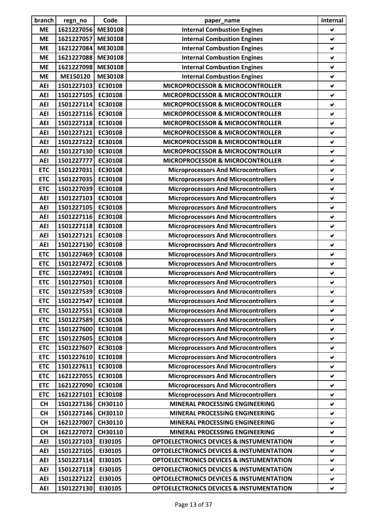| branch     | regn_no            | Code    | paper_name                                          | Internal             |
|------------|--------------------|---------|-----------------------------------------------------|----------------------|
| <b>ME</b>  | 1621227056         | ME30108 | <b>Internal Combustion Engines</b>                  | ✔                    |
| <b>ME</b>  | 1621227057         | ME30108 | <b>Internal Combustion Engines</b>                  | ✔                    |
| <b>ME</b>  | 1621227084         | ME30108 | <b>Internal Combustion Engines</b>                  | V                    |
| <b>ME</b>  | 1621227088         | ME30108 | <b>Internal Combustion Engines</b>                  | ✔                    |
| <b>ME</b>  | 1621227098         | ME30108 | <b>Internal Combustion Engines</b>                  | ✔                    |
| <b>ME</b>  | ME150120           | ME30108 | <b>Internal Combustion Engines</b>                  | $\checkmark$         |
| <b>AEI</b> | 1501227103         | EC30108 | MICROPROCESSOR & MICROCONTROLLER                    | ✔                    |
| <b>AEI</b> | 1501227105         | EC30108 | MICROPROCESSOR & MICROCONTROLLER                    | ✔                    |
| <b>AEI</b> | 1501227114         | EC30108 | <b>MICROPROCESSOR &amp; MICROCONTROLLER</b>         | $\checkmark$         |
| <b>AEI</b> | 1501227116         | EC30108 | MICROPROCESSOR & MICROCONTROLLER                    | ✔                    |
| <b>AEI</b> | 1501227118         | EC30108 | <b>MICROPROCESSOR &amp; MICROCONTROLLER</b>         | ✔                    |
| <b>AEI</b> | 1501227121         | EC30108 | <b>MICROPROCESSOR &amp; MICROCONTROLLER</b>         | V                    |
| <b>AEI</b> | 1501227122         | EC30108 | MICROPROCESSOR & MICROCONTROLLER                    | ✔                    |
| <b>AEI</b> | 1501227130         | EC30108 | MICROPROCESSOR & MICROCONTROLLER                    | ✔                    |
| <b>AEI</b> | 1501227777         | EC30108 | MICROPROCESSOR & MICROCONTROLLER                    | V                    |
| <b>ETC</b> | 1501227031         | EC30108 | <b>Microprocessors And Microcontrollers</b>         | ✔                    |
| <b>ETC</b> | 1501227035         | EC30108 | <b>Microprocessors And Microcontrollers</b>         | ✔                    |
| <b>ETC</b> | 1501227039         | EC30108 | <b>Microprocessors And Microcontrollers</b>         | $\checkmark$         |
| <b>AEI</b> | 1501227103         | EC30108 | <b>Microprocessors And Microcontrollers</b>         | ✔                    |
| <b>AEI</b> | 1501227105         | EC30108 | <b>Microprocessors And Microcontrollers</b>         | ✔                    |
| <b>AEI</b> | 1501227116         | EC30108 | <b>Microprocessors And Microcontrollers</b>         | V                    |
| <b>AEI</b> | 1501227118         | EC30108 | <b>Microprocessors And Microcontrollers</b>         | ✔                    |
| <b>AEI</b> | 1501227121         | EC30108 | <b>Microprocessors And Microcontrollers</b>         | V                    |
| <b>AEI</b> | 1501227130         | EC30108 | <b>Microprocessors And Microcontrollers</b>         | ✔                    |
| <b>ETC</b> | 1501227469         | EC30108 | <b>Microprocessors And Microcontrollers</b>         | ✔                    |
| <b>ETC</b> | 1501227472         | EC30108 | <b>Microprocessors And Microcontrollers</b>         | ✔                    |
| <b>ETC</b> | 1501227491         | EC30108 | <b>Microprocessors And Microcontrollers</b>         | ✔                    |
| <b>ETC</b> | 1501227501         | EC30108 | <b>Microprocessors And Microcontrollers</b>         | ✔                    |
| <b>ETC</b> | 1501227539 EC30108 |         | <b>Microprocessors And Microcontrollers</b>         | v                    |
| <b>ETC</b> | 1501227547         | EC30108 | <b>Microprocessors And Microcontrollers</b>         | V                    |
| <b>ETC</b> | 1501227551         | EC30108 | <b>Microprocessors And Microcontrollers</b>         | ✔                    |
| <b>ETC</b> | 1501227589         | EC30108 | <b>Microprocessors And Microcontrollers</b>         | ✔                    |
| <b>ETC</b> | 1501227600         | EC30108 | <b>Microprocessors And Microcontrollers</b>         | ✔                    |
| <b>ETC</b> | 1501227605         | EC30108 | <b>Microprocessors And Microcontrollers</b>         | ✔                    |
| <b>ETC</b> | 1501227607         | EC30108 | <b>Microprocessors And Microcontrollers</b>         | ✔                    |
| <b>ETC</b> | 1501227610         | EC30108 | <b>Microprocessors And Microcontrollers</b>         | V                    |
| <b>ETC</b> | 1501227611         | EC30108 | <b>Microprocessors And Microcontrollers</b>         | ✔                    |
| <b>ETC</b> | 1621227055         | EC30108 | <b>Microprocessors And Microcontrollers</b>         | ✔                    |
| <b>ETC</b> | 1621227090         | EC30108 | <b>Microprocessors And Microcontrollers</b>         | V                    |
| <b>ETC</b> | 1621227101         | EC30108 | <b>Microprocessors And Microcontrollers</b>         | V                    |
| <b>CH</b>  | 1501227136         | CH30110 | MINERAL PROCESSING ENGINEERING                      | $\checkmark$         |
| <b>CH</b>  | 1501227146         | CH30110 | MINERAL PROCESSING ENGINEERING                      | $\blacktriangledown$ |
| <b>CH</b>  | 1621227007         | CH30110 | MINERAL PROCESSING ENGINEERING                      | V                    |
| <b>CH</b>  | 1621227072         | CH30110 | MINERAL PROCESSING ENGINEERING                      | V                    |
| <b>AEI</b> | 1501227103         | EI30105 | <b>OPTOELECTRONICS DEVICES &amp; INSTUMENTATION</b> | ✔                    |
| <b>AEI</b> | 1501227105         | EI30105 | <b>OPTOELECTRONICS DEVICES &amp; INSTUMENTATION</b> | V                    |
| <b>AEI</b> | 1501227114         | EI30105 | <b>OPTOELECTRONICS DEVICES &amp; INSTUMENTATION</b> | V                    |
| <b>AEI</b> | 1501227118         | EI30105 | <b>OPTOELECTRONICS DEVICES &amp; INSTUMENTATION</b> | ✔                    |
| <b>AEI</b> | 1501227122         | EI30105 | <b>OPTOELECTRONICS DEVICES &amp; INSTUMENTATION</b> | ✔                    |
| <b>AEI</b> | 1501227130         | EI30105 | <b>OPTOELECTRONICS DEVICES &amp; INSTUMENTATION</b> | ✔                    |
|            |                    |         |                                                     |                      |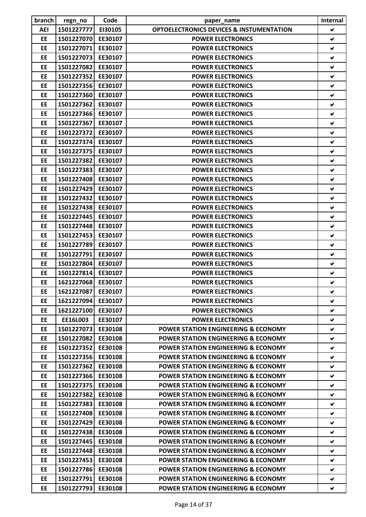| branch    | regn_no    | Code    | paper_name                                          | Internal             |
|-----------|------------|---------|-----------------------------------------------------|----------------------|
| AEI       | 1501227777 | EI30105 | <b>OPTOELECTRONICS DEVICES &amp; INSTUMENTATION</b> | V                    |
| EE        | 1501227070 | EE30107 | <b>POWER ELECTRONICS</b>                            | ✔                    |
| EE        | 1501227071 | EE30107 | <b>POWER ELECTRONICS</b>                            | V                    |
| EE        | 1501227073 | EE30107 | <b>POWER ELECTRONICS</b>                            | $\blacktriangledown$ |
| EE        | 1501227082 | EE30107 | <b>POWER ELECTRONICS</b>                            | ✔                    |
| <b>EE</b> | 1501227352 | EE30107 | <b>POWER ELECTRONICS</b>                            | ✔                    |
| EE        | 1501227356 | EE30107 | <b>POWER ELECTRONICS</b>                            | ✔                    |
| EE        | 1501227360 | EE30107 | <b>POWER ELECTRONICS</b>                            | ✔                    |
| EE        | 1501227362 | EE30107 | <b>POWER ELECTRONICS</b>                            | ✔                    |
| EE        | 1501227366 | EE30107 | <b>POWER ELECTRONICS</b>                            | V                    |
| EE        | 1501227367 | EE30107 | <b>POWER ELECTRONICS</b>                            | ✔                    |
| EE        | 1501227372 | EE30107 | <b>POWER ELECTRONICS</b>                            | ✔                    |
| EE        | 1501227374 | EE30107 | <b>POWER ELECTRONICS</b>                            | ✔                    |
| EE        | 1501227375 | EE30107 | <b>POWER ELECTRONICS</b>                            | V                    |
| EE        | 1501227382 | EE30107 | <b>POWER ELECTRONICS</b>                            | V                    |
| EE        | 1501227383 | EE30107 | <b>POWER ELECTRONICS</b>                            | $\checkmark$         |
| EE        | 1501227408 | EE30107 | <b>POWER ELECTRONICS</b>                            | ✔                    |
| EE        | 1501227429 | EE30107 | <b>POWER ELECTRONICS</b>                            | V                    |
| EE        | 1501227432 | EE30107 | <b>POWER ELECTRONICS</b>                            | ✔                    |
| EE        | 1501227438 | EE30107 | <b>POWER ELECTRONICS</b>                            | ✔                    |
| EE        | 1501227445 | EE30107 | <b>POWER ELECTRONICS</b>                            | ✔                    |
| EE        | 1501227448 | EE30107 | <b>POWER ELECTRONICS</b>                            | ✔                    |
| EE        | 1501227453 | EE30107 | <b>POWER ELECTRONICS</b>                            | ✔                    |
| EE        | 1501227789 | EE30107 | <b>POWER ELECTRONICS</b>                            | ✔                    |
| EE        | 1501227791 | EE30107 | <b>POWER ELECTRONICS</b>                            | ✔                    |
| EE        | 1501227804 | EE30107 | <b>POWER ELECTRONICS</b>                            | ✔                    |
| EE        | 1501227814 | EE30107 | <b>POWER ELECTRONICS</b>                            | V                    |
| EE        | 1621227068 | EE30107 | <b>POWER ELECTRONICS</b>                            | ✔                    |
| EE        | 1621227087 | EE30107 | <b>POWER ELECTRONICS</b>                            | ✔                    |
| <b>EE</b> | 1621227094 | EE30107 | <b>POWER ELECTRONICS</b>                            | ✔                    |
| EE        | 1621227100 | EE30107 | <b>POWER ELECTRONICS</b>                            | V                    |
| <b>EE</b> | EE16L003   | EE30107 | <b>POWER ELECTRONICS</b>                            | V                    |
| EE        | 1501227073 | EE30108 | <b>POWER STATION ENGINEERING &amp; ECONOMY</b>      | ✔                    |
| EE        | 1501227082 | EE30108 | <b>POWER STATION ENGINEERING &amp; ECONOMY</b>      | ✔                    |
| EE        | 1501227352 | EE30108 | <b>POWER STATION ENGINEERING &amp; ECONOMY</b>      | ✔                    |
| EE        | 1501227356 | EE30108 | <b>POWER STATION ENGINEERING &amp; ECONOMY</b>      | ✔                    |
| EE        | 1501227362 | EE30108 | <b>POWER STATION ENGINEERING &amp; ECONOMY</b>      | ✔                    |
| EE        | 1501227366 | EE30108 | <b>POWER STATION ENGINEERING &amp; ECONOMY</b>      | V                    |
| EE        | 1501227375 | EE30108 | <b>POWER STATION ENGINEERING &amp; ECONOMY</b>      | V                    |
| EE        | 1501227382 | EE30108 | <b>POWER STATION ENGINEERING &amp; ECONOMY</b>      | V                    |
| EE        | 1501227383 | EE30108 | <b>POWER STATION ENGINEERING &amp; ECONOMY</b>      | ✔                    |
| EE        | 1501227408 | EE30108 | <b>POWER STATION ENGINEERING &amp; ECONOMY</b>      | V                    |
| <b>EE</b> | 1501227429 | EE30108 | <b>POWER STATION ENGINEERING &amp; ECONOMY</b>      | V                    |
| EE        | 1501227438 | EE30108 | <b>POWER STATION ENGINEERING &amp; ECONOMY</b>      | V                    |
| <b>EE</b> | 1501227445 | EE30108 | <b>POWER STATION ENGINEERING &amp; ECONOMY</b>      | V                    |
| EE        | 1501227448 | EE30108 | <b>POWER STATION ENGINEERING &amp; ECONOMY</b>      | ✔                    |
| EE        | 1501227453 | EE30108 | <b>POWER STATION ENGINEERING &amp; ECONOMY</b>      | ✔                    |
| EE        | 1501227786 | EE30108 | <b>POWER STATION ENGINEERING &amp; ECONOMY</b>      | ✔                    |
| EE        | 1501227791 | EE30108 | <b>POWER STATION ENGINEERING &amp; ECONOMY</b>      | ✔                    |
| <b>EE</b> | 1501227793 | EE30108 | <b>POWER STATION ENGINEERING &amp; ECONOMY</b>      | V                    |
|           |            |         |                                                     |                      |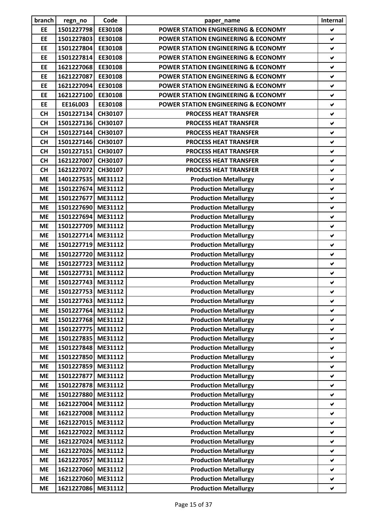| branch    | regn_no            | Code    | paper_name                                     | Internal             |
|-----------|--------------------|---------|------------------------------------------------|----------------------|
| EE        | 1501227798         | EE30108 | <b>POWER STATION ENGINEERING &amp; ECONOMY</b> | $\blacktriangledown$ |
| EE        | 1501227803         | EE30108 | <b>POWER STATION ENGINEERING &amp; ECONOMY</b> | ✔                    |
| EE        | 1501227804         | EE30108 | <b>POWER STATION ENGINEERING &amp; ECONOMY</b> | V                    |
| EE        | 1501227814         | EE30108 | <b>POWER STATION ENGINEERING &amp; ECONOMY</b> | $\checkmark$         |
| EE        | 1621227068         | EE30108 | <b>POWER STATION ENGINEERING &amp; ECONOMY</b> | $\checkmark$         |
| EE        | 1621227087         | EE30108 | <b>POWER STATION ENGINEERING &amp; ECONOMY</b> | $\checkmark$         |
| EE        | 1621227094         | EE30108 | <b>POWER STATION ENGINEERING &amp; ECONOMY</b> | $\checkmark$         |
| EE        | 1621227100         | EE30108 | <b>POWER STATION ENGINEERING &amp; ECONOMY</b> | ✔                    |
| EE        | EE16L003           | EE30108 | <b>POWER STATION ENGINEERING &amp; ECONOMY</b> | $\checkmark$         |
| <b>CH</b> | 1501227134         | CH30107 | <b>PROCESS HEAT TRANSFER</b>                   | $\blacktriangledown$ |
| <b>CH</b> | 1501227136 CH30107 |         | <b>PROCESS HEAT TRANSFER</b>                   | $\checkmark$         |
| <b>CH</b> | 1501227144         | CH30107 | <b>PROCESS HEAT TRANSFER</b>                   | V                    |
| <b>CH</b> | 1501227146         | CH30107 | <b>PROCESS HEAT TRANSFER</b>                   | $\checkmark$         |
| <b>CH</b> | 1501227151         | CH30107 | <b>PROCESS HEAT TRANSFER</b>                   | ✔                    |
| <b>CH</b> | 1621227007         | CH30107 | <b>PROCESS HEAT TRANSFER</b>                   | $\checkmark$         |
| <b>CH</b> | 1621227072         | CH30107 | <b>PROCESS HEAT TRANSFER</b>                   | $\checkmark$         |
| <b>ME</b> | 1401227535 ME31112 |         | <b>Production Metallurgy</b>                   | $\checkmark$         |
| <b>ME</b> | 1501227674 ME31112 |         | <b>Production Metallurgy</b>                   | $\checkmark$         |
| <b>ME</b> | 1501227677         | ME31112 | <b>Production Metallurgy</b>                   | $\checkmark$         |
| <b>ME</b> | 1501227690         | ME31112 | <b>Production Metallurgy</b>                   | $\checkmark$         |
| <b>ME</b> | 1501227694         | ME31112 | <b>Production Metallurgy</b>                   | $\checkmark$         |
| <b>ME</b> | 1501227709 ME31112 |         | <b>Production Metallurgy</b>                   | $\checkmark$         |
| <b>ME</b> | 1501227714 ME31112 |         | <b>Production Metallurgy</b>                   | $\checkmark$         |
| <b>ME</b> | 1501227719         | ME31112 | <b>Production Metallurgy</b>                   | $\checkmark$         |
| <b>ME</b> | 1501227720 ME31112 |         | <b>Production Metallurgy</b>                   | ✔                    |
| <b>ME</b> | 1501227723 ME31112 |         | <b>Production Metallurgy</b>                   | ✔                    |
| <b>ME</b> | 1501227731 ME31112 |         | <b>Production Metallurgy</b>                   | ✔                    |
| <b>ME</b> | 1501227743 ME31112 |         | <b>Production Metallurgy</b>                   | $\checkmark$         |
| <b>ME</b> | 1501227753 ME31112 |         | <b>Production Metallurgy</b>                   |                      |
| <b>ME</b> | 1501227763         | ME31112 | <b>Production Metallurgy</b>                   | V<br>V               |
| <b>ME</b> |                    | ME31112 |                                                | ✔                    |
|           | 1501227764         | ME31112 | <b>Production Metallurgy</b>                   |                      |
| <b>ME</b> | 1501227768         | ME31112 | <b>Production Metallurgy</b>                   | V                    |
| <b>ME</b> | 1501227775         |         | <b>Production Metallurgy</b>                   | V                    |
| <b>ME</b> | 1501227835         | ME31112 | <b>Production Metallurgy</b>                   | V                    |
| <b>ME</b> | 1501227848         | ME31112 | <b>Production Metallurgy</b>                   | V                    |
| <b>ME</b> | 1501227850         | ME31112 | <b>Production Metallurgy</b>                   | V                    |
| <b>ME</b> | 1501227859         | ME31112 | <b>Production Metallurgy</b>                   | ✔                    |
| <b>ME</b> | 1501227877         | ME31112 | <b>Production Metallurgy</b>                   | V                    |
| <b>ME</b> | 1501227878         | ME31112 | <b>Production Metallurgy</b>                   | V                    |
| <b>ME</b> | 1501227880         | ME31112 | <b>Production Metallurgy</b>                   | V                    |
| <b>ME</b> | 1621227004         | ME31112 | <b>Production Metallurgy</b>                   | $\blacktriangledown$ |
| <b>ME</b> | 1621227008         | ME31112 | <b>Production Metallurgy</b>                   | $\blacktriangledown$ |
| <b>ME</b> | 1621227015         | ME31112 | <b>Production Metallurgy</b>                   | V                    |
| <b>ME</b> | 1621227022         | ME31112 | <b>Production Metallurgy</b>                   | $\blacktriangledown$ |
| <b>ME</b> | 1621227024         | ME31112 | <b>Production Metallurgy</b>                   | $\blacktriangledown$ |
| <b>ME</b> | 1621227026         | ME31112 | <b>Production Metallurgy</b>                   | V                    |
| <b>ME</b> | 1621227057         | ME31112 | <b>Production Metallurgy</b>                   | V                    |
| <b>ME</b> | 1621227060         | ME31112 | <b>Production Metallurgy</b>                   | V                    |
| <b>ME</b> | 1621227060         | ME31112 | <b>Production Metallurgy</b>                   | ✔                    |
| <b>ME</b> | 1621227086         | ME31112 | <b>Production Metallurgy</b>                   | V                    |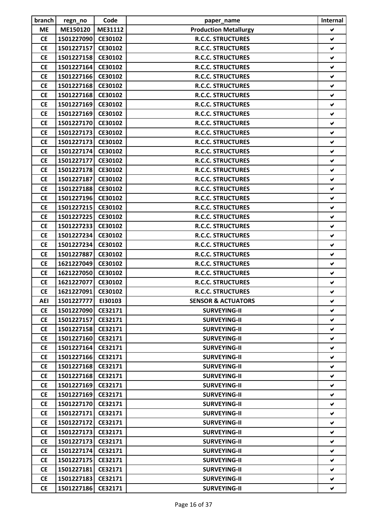| branch     | regn_no            | Code    | paper_name                    | Internal             |
|------------|--------------------|---------|-------------------------------|----------------------|
| <b>ME</b>  | ME150120           | ME31112 | <b>Production Metallurgy</b>  | V                    |
| <b>CE</b>  | 1501227090         | CE30102 | <b>R.C.C. STRUCTURES</b>      | ✔                    |
| <b>CE</b>  | 1501227157         | CE30102 | <b>R.C.C. STRUCTURES</b>      | V                    |
| <b>CE</b>  | 1501227158         | CE30102 | <b>R.C.C. STRUCTURES</b>      | $\blacktriangledown$ |
| <b>CE</b>  | 1501227164         | CE30102 | <b>R.C.C. STRUCTURES</b>      | ✔                    |
| <b>CE</b>  | 1501227166         | CE30102 | <b>R.C.C. STRUCTURES</b>      | V                    |
| <b>CE</b>  | 1501227168         | CE30102 | <b>R.C.C. STRUCTURES</b>      | V                    |
| <b>CE</b>  | 1501227168         | CE30102 | <b>R.C.C. STRUCTURES</b>      | ✔                    |
| <b>CE</b>  | 1501227169         | CE30102 | <b>R.C.C. STRUCTURES</b>      | V                    |
| <b>CE</b>  | 1501227169         | CE30102 | <b>R.C.C. STRUCTURES</b>      | ✔                    |
| <b>CE</b>  | 1501227170         | CE30102 | <b>R.C.C. STRUCTURES</b>      | ✔                    |
| <b>CE</b>  | 1501227173         | CE30102 | <b>R.C.C. STRUCTURES</b>      | V                    |
| <b>CE</b>  | 1501227173         | CE30102 | <b>R.C.C. STRUCTURES</b>      | ✔                    |
| <b>CE</b>  | 1501227174         | CE30102 | <b>R.C.C. STRUCTURES</b>      | V                    |
| <b>CE</b>  | 1501227177         | CE30102 | <b>R.C.C. STRUCTURES</b>      | $\checkmark$         |
| <b>CE</b>  | 1501227178         | CE30102 | <b>R.C.C. STRUCTURES</b>      | ✔                    |
| <b>CE</b>  | 1501227187         | CE30102 | <b>R.C.C. STRUCTURES</b>      | ✔                    |
| <b>CE</b>  | 1501227188         | CE30102 | <b>R.C.C. STRUCTURES</b>      | ✔                    |
| <b>CE</b>  | 1501227196         | CE30102 | <b>R.C.C. STRUCTURES</b>      | V                    |
| <b>CE</b>  | 1501227215         | CE30102 | <b>R.C.C. STRUCTURES</b>      | ✔                    |
| <b>CE</b>  | 1501227225         | CE30102 | <b>R.C.C. STRUCTURES</b>      | V                    |
| <b>CE</b>  | 1501227233         | CE30102 | <b>R.C.C. STRUCTURES</b>      | V                    |
| <b>CE</b>  | 1501227234         | CE30102 | <b>R.C.C. STRUCTURES</b>      | V                    |
| <b>CE</b>  | 1501227234         | CE30102 | <b>R.C.C. STRUCTURES</b>      | ✔                    |
| <b>CE</b>  | 1501227887         | CE30102 | <b>R.C.C. STRUCTURES</b>      | ✔                    |
| <b>CE</b>  | 1621227049         | CE30102 | <b>R.C.C. STRUCTURES</b>      | V                    |
| <b>CE</b>  | 1621227050         | CE30102 | <b>R.C.C. STRUCTURES</b>      | $\blacktriangledown$ |
| <b>CE</b>  | 1621227077         | CE30102 | <b>R.C.C. STRUCTURES</b>      | $\checkmark$         |
| <b>CE</b>  | 1621227091 CE30102 |         | <b>R.C.C. STRUCTURES</b>      | ✔                    |
| <b>AEI</b> | 1501227777         | EI30103 | <b>SENSOR &amp; ACTUATORS</b> | V                    |
| <b>CE</b>  | 1501227090         | CE32171 | <b>SURVEYING-II</b>           | V                    |
| <b>CE</b>  | 1501227157         | CE32171 | <b>SURVEYING-II</b>           | V                    |
| <b>CE</b>  | 1501227158         | CE32171 | <b>SURVEYING-II</b>           | V                    |
| <b>CE</b>  | 1501227160         | CE32171 | <b>SURVEYING-II</b>           | ✔                    |
| <b>CE</b>  | 1501227164         | CE32171 | <b>SURVEYING-II</b>           | V                    |
| <b>CE</b>  | 1501227166         | CE32171 | <b>SURVEYING-II</b>           | V                    |
| <b>CE</b>  | 1501227168         | CE32171 | <b>SURVEYING-II</b>           | V                    |
| <b>CE</b>  | 1501227168         | CE32171 | <b>SURVEYING-II</b>           | V                    |
| <b>CE</b>  | 1501227169         | CE32171 | <b>SURVEYING-II</b>           | V                    |
| <b>CE</b>  | 1501227169         | CE32171 | <b>SURVEYING-II</b>           | V                    |
| <b>CE</b>  | 1501227170         | CE32171 | <b>SURVEYING-II</b>           | ✔                    |
| <b>CE</b>  | 1501227171         | CE32171 | <b>SURVEYING-II</b>           | V                    |
| <b>CE</b>  | 1501227172         | CE32171 | <b>SURVEYING-II</b>           | V                    |
| <b>CE</b>  | 1501227173         | CE32171 | <b>SURVEYING-II</b>           | V                    |
| <b>CE</b>  | 1501227173         | CE32171 | <b>SURVEYING-II</b>           | V                    |
| <b>CE</b>  | 1501227174         | CE32171 | <b>SURVEYING-II</b>           | V                    |
| <b>CE</b>  | 1501227175         | CE32171 | <b>SURVEYING-II</b>           | V                    |
| <b>CE</b>  | 1501227181         | CE32171 | <b>SURVEYING-II</b>           | V                    |
| <b>CE</b>  | 1501227183         | CE32171 | <b>SURVEYING-II</b>           | V                    |
| <b>CE</b>  | 1501227186         | CE32171 | <b>SURVEYING-II</b>           | V                    |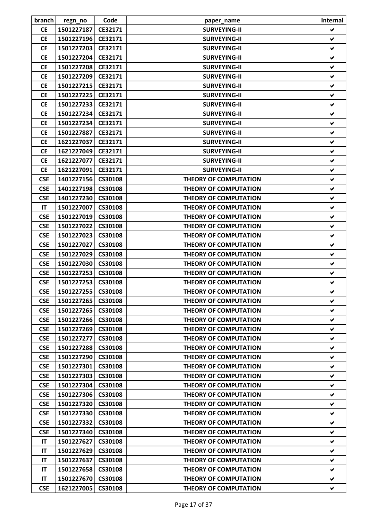| branch     | regn_no                  | Code           | paper_name                   | Internal             |
|------------|--------------------------|----------------|------------------------------|----------------------|
| <b>CE</b>  | 1501227187               | CE32171        | <b>SURVEYING-II</b>          | V                    |
| <b>CE</b>  | 1501227196               | CE32171        | <b>SURVEYING-II</b>          | ✔                    |
| <b>CE</b>  | 1501227203               | CE32171        | <b>SURVEYING-II</b>          | ✔                    |
| <b>CE</b>  | 1501227204               | CE32171        | <b>SURVEYING-II</b>          | V                    |
| <b>CE</b>  | 1501227208               | CE32171        | <b>SURVEYING-II</b>          | ✔                    |
| <b>CE</b>  | 1501227209               | CE32171        | <b>SURVEYING-II</b>          | ✔                    |
| <b>CE</b>  | 1501227215               | CE32171        | <b>SURVEYING-II</b>          | ✔                    |
| <b>CE</b>  | 1501227225               | CE32171        | <b>SURVEYING-II</b>          | ✔                    |
| <b>CE</b>  | 1501227233               | CE32171        | <b>SURVEYING-II</b>          | ✔                    |
| <b>CE</b>  | 1501227234               | CE32171        | <b>SURVEYING-II</b>          | ✔                    |
| <b>CE</b>  | 1501227234               | CE32171        | <b>SURVEYING-II</b>          | ✔                    |
| <b>CE</b>  | 1501227887               | CE32171        | <b>SURVEYING-II</b>          | $\blacktriangledown$ |
| <b>CE</b>  | 1621227037               | CE32171        | <b>SURVEYING-II</b>          | ✔                    |
| <b>CE</b>  | 1621227049               | CE32171        | <b>SURVEYING-II</b>          | ✔                    |
| <b>CE</b>  | 1621227077               | CE32171        | <b>SURVEYING-II</b>          | ✔                    |
| <b>CE</b>  | 1621227091               | CE32171        | <b>SURVEYING-II</b>          | ✔                    |
| <b>CSE</b> | 1401227156               | CS30108        | <b>THEORY OF COMPUTATION</b> | ✔                    |
| <b>CSE</b> | 1401227198               | CS30108        | <b>THEORY OF COMPUTATION</b> | V                    |
| <b>CSE</b> | 1401227230               | CS30108        | <b>THEORY OF COMPUTATION</b> | V                    |
| IT         | 1501227007               | CS30108        | <b>THEORY OF COMPUTATION</b> | ✔                    |
| <b>CSE</b> | 1501227019               | CS30108        | <b>THEORY OF COMPUTATION</b> | ✔                    |
| <b>CSE</b> | 1501227022               | CS30108        | <b>THEORY OF COMPUTATION</b> | ✔                    |
| <b>CSE</b> | 1501227023               | CS30108        | <b>THEORY OF COMPUTATION</b> | ✔                    |
| <b>CSE</b> | 1501227027               | CS30108        | <b>THEORY OF COMPUTATION</b> | ✔                    |
| <b>CSE</b> | 1501227029               | CS30108        | <b>THEORY OF COMPUTATION</b> | ✔                    |
| <b>CSE</b> |                          | CS30108        | <b>THEORY OF COMPUTATION</b> | ✔                    |
| <b>CSE</b> | 1501227030<br>1501227253 | CS30108        | <b>THEORY OF COMPUTATION</b> | ✔                    |
|            |                          |                |                              |                      |
| <b>CSE</b> | 1501227253               | CS30108        | <b>THEORY OF COMPUTATION</b> | ✔                    |
| <b>CSE</b> | 1501227255 CS30108       |                | <b>THEORY OF COMPUTATION</b> | V                    |
| <b>CSE</b> | 1501227265               | <b>CS30108</b> | <b>THEORY OF COMPUTATION</b> | V                    |
| <b>CSE</b> | 1501227265               | CS30108        | <b>THEORY OF COMPUTATION</b> | ✔                    |
| <b>CSE</b> | 1501227266               | CS30108        | <b>THEORY OF COMPUTATION</b> | ✔                    |
| <b>CSE</b> | 1501227269               | <b>CS30108</b> | <b>THEORY OF COMPUTATION</b> | V                    |
| <b>CSE</b> | 1501227277               | CS30108        | <b>THEORY OF COMPUTATION</b> | V                    |
| <b>CSE</b> | 1501227288               | <b>CS30108</b> | <b>THEORY OF COMPUTATION</b> | V                    |
| <b>CSE</b> | 1501227290               | CS30108        | <b>THEORY OF COMPUTATION</b> | V                    |
| <b>CSE</b> | 1501227301               | <b>CS30108</b> | <b>THEORY OF COMPUTATION</b> | V                    |
| <b>CSE</b> | 1501227303               | <b>CS30108</b> | <b>THEORY OF COMPUTATION</b> | V                    |
| <b>CSE</b> | 1501227304               | <b>CS30108</b> | <b>THEORY OF COMPUTATION</b> | V                    |
| <b>CSE</b> | 1501227306               | <b>CS30108</b> | <b>THEORY OF COMPUTATION</b> | V                    |
| <b>CSE</b> | 1501227320               | <b>CS30108</b> | <b>THEORY OF COMPUTATION</b> | ✔                    |
| <b>CSE</b> | 1501227330               | CS30108        | <b>THEORY OF COMPUTATION</b> | V                    |
| <b>CSE</b> | 1501227332               | <b>CS30108</b> | <b>THEORY OF COMPUTATION</b> | V                    |
| <b>CSE</b> | 1501227340               | <b>CS30108</b> | <b>THEORY OF COMPUTATION</b> | ✔                    |
| IT         | 1501227627               | CS30108        | <b>THEORY OF COMPUTATION</b> | V                    |
| IT         | 1501227629               | <b>CS30108</b> | <b>THEORY OF COMPUTATION</b> | V                    |
| IT         | 1501227637               | CS30108        | <b>THEORY OF COMPUTATION</b> | V                    |
| IT         | 1501227658               | <b>CS30108</b> | <b>THEORY OF COMPUTATION</b> | V                    |
| IT         | 1501227670               | CS30108        | <b>THEORY OF COMPUTATION</b> | V                    |
| <b>CSE</b> | 1621227005               | <b>CS30108</b> | <b>THEORY OF COMPUTATION</b> | V                    |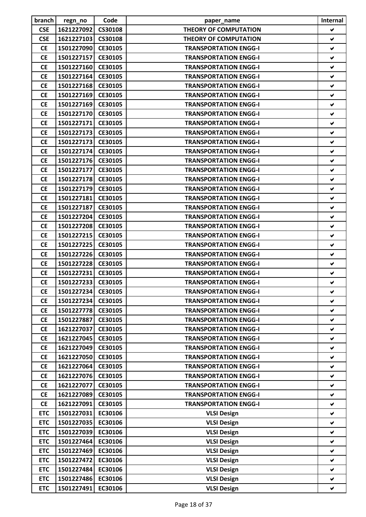| branch                 | regn_no            | Code    | paper_name                   | Internal             |
|------------------------|--------------------|---------|------------------------------|----------------------|
| <b>CSE</b>             | 1621227092         | CS30108 | <b>THEORY OF COMPUTATION</b> | V                    |
| <b>CSE</b>             | 1621227103         | CS30108 | <b>THEORY OF COMPUTATION</b> | ✔                    |
| <b>CE</b>              | 1501227090 CE30105 |         | <b>TRANSPORTATION ENGG-I</b> | ✔                    |
| <b>CE</b>              | 1501227157         | CE30105 | <b>TRANSPORTATION ENGG-I</b> | ✔                    |
| <b>CE</b>              | 1501227160         | CE30105 | <b>TRANSPORTATION ENGG-I</b> | ✔                    |
| <b>CE</b>              | 1501227164         | CE30105 | <b>TRANSPORTATION ENGG-I</b> | ✔                    |
| <b>CE</b>              | 1501227168         | CE30105 | <b>TRANSPORTATION ENGG-I</b> | ✔                    |
| <b>CE</b>              | 1501227169         | CE30105 | <b>TRANSPORTATION ENGG-I</b> | ✔                    |
| <b>CE</b>              | 1501227169         | CE30105 | <b>TRANSPORTATION ENGG-I</b> | V                    |
| <b>CE</b>              | 1501227170 CE30105 |         | <b>TRANSPORTATION ENGG-I</b> | ✔                    |
| <b>CE</b>              | 1501227171         | CE30105 | <b>TRANSPORTATION ENGG-I</b> | ✔                    |
| <b>CE</b>              | 1501227173         | CE30105 | <b>TRANSPORTATION ENGG-I</b> | $\blacktriangledown$ |
| <b>CE</b>              | 1501227173         | CE30105 | <b>TRANSPORTATION ENGG-I</b> | ✔                    |
| <b>CE</b>              | 1501227174         | CE30105 | <b>TRANSPORTATION ENGG-I</b> | ✔                    |
| <b>CE</b>              | 1501227176 CE30105 |         | <b>TRANSPORTATION ENGG-I</b> | ✔                    |
| <b>CE</b>              | 1501227177         | CE30105 | <b>TRANSPORTATION ENGG-I</b> | ✔                    |
| <b>CE</b>              | 1501227178         | CE30105 | <b>TRANSPORTATION ENGG-I</b> | ✔                    |
| <b>CE</b>              | 1501227179         | CE30105 | <b>TRANSPORTATION ENGG-I</b> | V                    |
| <b>CE</b>              | 1501227181         | CE30105 | <b>TRANSPORTATION ENGG-I</b> | $\blacktriangledown$ |
| <b>CE</b>              | 1501227187         | CE30105 | <b>TRANSPORTATION ENGG-I</b> | ✔                    |
| <b>CE</b>              | 1501227204         | CE30105 | <b>TRANSPORTATION ENGG-I</b> | ✔                    |
| <b>CE</b>              | 1501227208         | CE30105 | <b>TRANSPORTATION ENGG-I</b> | ✔                    |
| <b>CE</b>              | 1501227215         | CE30105 | <b>TRANSPORTATION ENGG-I</b> | ✔                    |
| <b>CE</b>              | 1501227225         | CE30105 | <b>TRANSPORTATION ENGG-I</b> | $\blacktriangledown$ |
| <b>CE</b>              | 1501227226 CE30105 |         | <b>TRANSPORTATION ENGG-I</b> | ✔                    |
| <b>CE</b>              | 1501227228         | CE30105 | <b>TRANSPORTATION ENGG-I</b> | ✔                    |
| <b>CE</b>              | 1501227231         | CE30105 | <b>TRANSPORTATION ENGG-I</b> | V                    |
| <b>CE</b>              | 1501227233 CE30105 |         |                              |                      |
|                        | 1501227234 CE30105 |         | <b>TRANSPORTATION ENGG-I</b> | ✔                    |
| <b>CE</b><br><b>CE</b> |                    |         | <b>TRANSPORTATION ENGG-I</b> | $\blacktriangledown$ |
|                        | 1501227234         | CE30105 | <b>TRANSPORTATION ENGG-I</b> |                      |
| <b>CE</b>              | 1501227778         | CE30105 | <b>TRANSPORTATION ENGG-I</b> | V                    |
| <b>CE</b>              | 1501227887         | CE30105 | <b>TRANSPORTATION ENGG-I</b> | ✔                    |
| <b>CE</b>              | 1621227037         | CE30105 | <b>TRANSPORTATION ENGG-I</b> | ✔                    |
| <b>CE</b>              | 1621227045         | CE30105 | <b>TRANSPORTATION ENGG-I</b> | ✔                    |
| <b>CE</b>              | 1621227049         | CE30105 | <b>TRANSPORTATION ENGG-I</b> | ✔                    |
| <b>CE</b>              | 1621227050         | CE30105 | <b>TRANSPORTATION ENGG-I</b> | $\blacktriangledown$ |
| <b>CE</b>              | 1621227064         | CE30105 | <b>TRANSPORTATION ENGG-I</b> | V                    |
| <b>CE</b>              | 1621227076         | CE30105 | <b>TRANSPORTATION ENGG-I</b> | ✔                    |
| <b>CE</b>              | 1621227077         | CE30105 | <b>TRANSPORTATION ENGG-I</b> | V                    |
| <b>CE</b>              | 1621227089         | CE30105 | <b>TRANSPORTATION ENGG-I</b> | V                    |
| <b>CE</b>              | 1621227091         | CE30105 | <b>TRANSPORTATION ENGG-I</b> | ✔                    |
| <b>ETC</b>             | 1501227031         | EC30106 | <b>VLSI Design</b>           | V                    |
| <b>ETC</b>             | 1501227035         | EC30106 | <b>VLSI Design</b>           | V                    |
| <b>ETC</b>             | 1501227039         | EC30106 | <b>VLSI Design</b>           | ✔                    |
| <b>ETC</b>             | 1501227464         | EC30106 | <b>VLSI Design</b>           | ✔                    |
| <b>ETC</b>             | 1501227469         | EC30106 | <b>VLSI Design</b>           | V                    |
| <b>ETC</b>             | 1501227472         | EC30106 | <b>VLSI Design</b>           | V                    |
| <b>ETC</b>             | 1501227484         | EC30106 | <b>VLSI Design</b>           | V                    |
| <b>ETC</b>             | 1501227486         | EC30106 | <b>VLSI Design</b>           | ✔                    |
| <b>ETC</b>             | 1501227491         | EC30106 | <b>VLSI Design</b>           | V                    |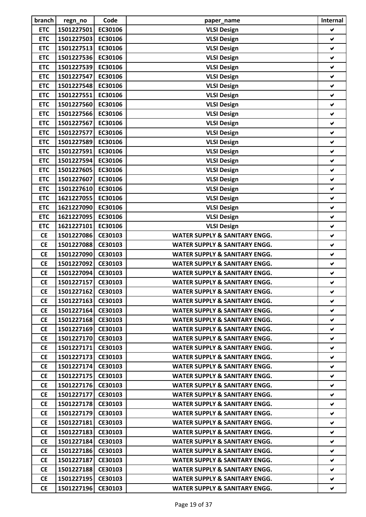| branch     | regn_no            | Code           | paper_name                               | Internal             |
|------------|--------------------|----------------|------------------------------------------|----------------------|
| <b>ETC</b> | 1501227501         | EC30106        | <b>VLSI Design</b>                       | V                    |
| <b>ETC</b> | 1501227503         | EC30106        | <b>VLSI Design</b>                       | ✔                    |
| <b>ETC</b> | 1501227513         | EC30106        | <b>VLSI Design</b>                       | ✔                    |
| <b>ETC</b> | 1501227536         | EC30106        | <b>VLSI Design</b>                       | ✔                    |
| <b>ETC</b> | 1501227539         | EC30106        | <b>VLSI Design</b>                       | ✔                    |
| <b>ETC</b> | 1501227547         | EC30106        | <b>VLSI Design</b>                       | $\checkmark$         |
| <b>ETC</b> | 1501227548         | EC30106        | <b>VLSI Design</b>                       | $\checkmark$         |
| <b>ETC</b> | 1501227551         | EC30106        | <b>VLSI Design</b>                       | ✔                    |
| <b>ETC</b> | 1501227560         | EC30106        | <b>VLSI Design</b>                       | $\checkmark$         |
| <b>ETC</b> | 1501227566         | EC30106        | <b>VLSI Design</b>                       | ✔                    |
| <b>ETC</b> | 1501227567         | EC30106        | <b>VLSI Design</b>                       | ✔                    |
| <b>ETC</b> | 1501227577         | EC30106        | <b>VLSI Design</b>                       | V                    |
| <b>ETC</b> | 1501227589         | EC30106        | <b>VLSI Design</b>                       | V                    |
| <b>ETC</b> | 1501227591         | EC30106        | <b>VLSI Design</b>                       | ✔                    |
| <b>ETC</b> | 1501227594         | EC30106        | <b>VLSI Design</b>                       | V                    |
| <b>ETC</b> | 1501227605         | EC30106        | <b>VLSI Design</b>                       | V                    |
| <b>ETC</b> | 1501227607         | EC30106        | <b>VLSI Design</b>                       | ✔                    |
| <b>ETC</b> | 1501227610         | EC30106        | <b>VLSI Design</b>                       | V                    |
| <b>ETC</b> | 1621227055         | EC30106        | <b>VLSI Design</b>                       | $\checkmark$         |
| <b>ETC</b> | 1621227090         | EC30106        | <b>VLSI Design</b>                       | ✔                    |
| <b>ETC</b> | 1621227095         | EC30106        | <b>VLSI Design</b>                       | V                    |
| <b>ETC</b> | 1621227101         | EC30106        | <b>VLSI Design</b>                       | V                    |
| <b>CE</b>  | 1501227086         | CE30103        | <b>WATER SUPPLY &amp; SANITARY ENGG.</b> | ✔                    |
| <b>CE</b>  | 1501227088         | CE30103        | <b>WATER SUPPLY &amp; SANITARY ENGG.</b> | $\checkmark$         |
| <b>CE</b>  | 1501227090         | CE30103        | <b>WATER SUPPLY &amp; SANITARY ENGG.</b> | V                    |
| <b>CE</b>  | 1501227092         | CE30103        | <b>WATER SUPPLY &amp; SANITARY ENGG.</b> | ✔                    |
| <b>CE</b>  | 1501227094         | CE30103        | <b>WATER SUPPLY &amp; SANITARY ENGG.</b> | V                    |
| <b>CE</b>  | 1501227157         | CE30103        | <b>WATER SUPPLY &amp; SANITARY ENGG.</b> | $\blacktriangledown$ |
| <b>CE</b>  | 1501227162 CE30103 |                | <b>WATER SUPPLY &amp; SANITARY ENGG.</b> |                      |
| <b>CE</b>  | 1501227163         | CE30103        | WATER SUPPLY & SANITARY ENGG.            | V.                   |
| <b>CE</b>  | 1501227164 CE30103 |                | <b>WATER SUPPLY &amp; SANITARY ENGG.</b> | V.                   |
|            |                    | CE30103        | <b>WATER SUPPLY &amp; SANITARY ENGG.</b> | V                    |
| <b>CE</b>  | 1501227168         | CE30103        |                                          |                      |
| <b>CE</b>  | 1501227169         |                | WATER SUPPLY & SANITARY ENGG.            | V                    |
| <b>CE</b>  | 1501227170 CE30103 |                | <b>WATER SUPPLY &amp; SANITARY ENGG.</b> | ✔                    |
| <b>CE</b>  | 1501227171         | CE30103        | WATER SUPPLY & SANITARY ENGG.            | ✔                    |
| <b>CE</b>  | 1501227173         | CE30103        | <b>WATER SUPPLY &amp; SANITARY ENGG.</b> | v.                   |
| <b>CE</b>  | 1501227174         | CE30103        | WATER SUPPLY & SANITARY ENGG.            | ✔                    |
| <b>CE</b>  | 1501227175         | CE30103        | <b>WATER SUPPLY &amp; SANITARY ENGG.</b> | V                    |
| <b>CE</b>  | 1501227176 CE30103 |                | WATER SUPPLY & SANITARY ENGG.            | V                    |
| <b>CE</b>  | 1501227177         | CE30103        | WATER SUPPLY & SANITARY ENGG.            | v                    |
| <b>CE</b>  | 1501227178         | CE30103        | <b>WATER SUPPLY &amp; SANITARY ENGG.</b> | V                    |
| <b>CE</b>  | 1501227179         | <b>CE30103</b> | WATER SUPPLY & SANITARY ENGG.            | V                    |
| <b>CE</b>  | 1501227181         | CE30103        | WATER SUPPLY & SANITARY ENGG.            | ✔                    |
| <b>CE</b>  | 1501227183         | CE30103        | <b>WATER SUPPLY &amp; SANITARY ENGG.</b> | V.                   |
| <b>CE</b>  | 1501227184         | CE30103        | <b>WATER SUPPLY &amp; SANITARY ENGG.</b> | V                    |
| <b>CE</b>  | 1501227186         | CE30103        | WATER SUPPLY & SANITARY ENGG.            | V                    |
| <b>CE</b>  | 1501227187         | CE30103        | <b>WATER SUPPLY &amp; SANITARY ENGG.</b> | V                    |
| <b>CE</b>  | 1501227188         | CE30103        | WATER SUPPLY & SANITARY ENGG.            | v                    |
| <b>CE</b>  | 1501227195         | CE30103        | <b>WATER SUPPLY &amp; SANITARY ENGG.</b> | ✔                    |
| <b>CE</b>  | 1501227196         | CE30103        | WATER SUPPLY & SANITARY ENGG.            | V                    |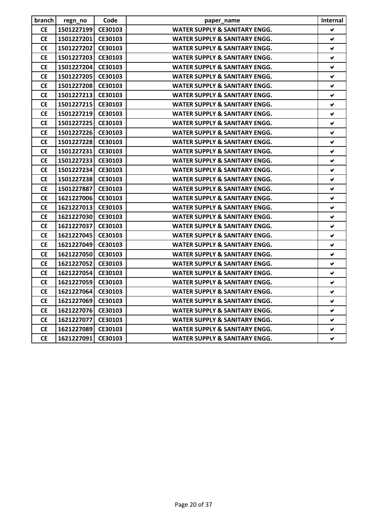| branch    | regn_no            | Code    | paper_name                               | Internal             |
|-----------|--------------------|---------|------------------------------------------|----------------------|
| <b>CE</b> | 1501227199 CE30103 |         | <b>WATER SUPPLY &amp; SANITARY ENGG.</b> | V                    |
| <b>CE</b> | 1501227201         | CE30103 | <b>WATER SUPPLY &amp; SANITARY ENGG.</b> | ✔                    |
| <b>CE</b> | 1501227202 CE30103 |         | <b>WATER SUPPLY &amp; SANITARY ENGG.</b> | V                    |
| <b>CE</b> | 1501227203 CE30103 |         | <b>WATER SUPPLY &amp; SANITARY ENGG.</b> | $\blacktriangledown$ |
| <b>CE</b> | 1501227204 CE30103 |         | <b>WATER SUPPLY &amp; SANITARY ENGG.</b> | $\blacktriangledown$ |
| <b>CE</b> | 1501227205         | CE30103 | <b>WATER SUPPLY &amp; SANITARY ENGG.</b> | ✔                    |
| <b>CE</b> | 1501227208 CE30103 |         | <b>WATER SUPPLY &amp; SANITARY ENGG.</b> | V                    |
| <b>CE</b> | 1501227213 CE30103 |         | <b>WATER SUPPLY &amp; SANITARY ENGG.</b> | ✔                    |
| <b>CE</b> | 1501227215 CE30103 |         | <b>WATER SUPPLY &amp; SANITARY ENGG.</b> | V                    |
| <b>CE</b> | 1501227219 CE30103 |         | <b>WATER SUPPLY &amp; SANITARY ENGG.</b> | ✔                    |
| <b>CE</b> | 1501227225 CE30103 |         | <b>WATER SUPPLY &amp; SANITARY ENGG.</b> | ✔                    |
| <b>CE</b> | 1501227226 CE30103 |         | <b>WATER SUPPLY &amp; SANITARY ENGG.</b> | V                    |
| <b>CE</b> | 1501227228 CE30103 |         | <b>WATER SUPPLY &amp; SANITARY ENGG.</b> | ✔                    |
| <b>CE</b> | 1501227231 CE30103 |         | <b>WATER SUPPLY &amp; SANITARY ENGG.</b> | ✔                    |
| <b>CE</b> | 1501227233 CE30103 |         | <b>WATER SUPPLY &amp; SANITARY ENGG.</b> | V                    |
| <b>CE</b> | 1501227234 CE30103 |         | WATER SUPPLY & SANITARY ENGG.            | V                    |
| <b>CE</b> | 1501227238 CE30103 |         | <b>WATER SUPPLY &amp; SANITARY ENGG.</b> | ✔                    |
| <b>CE</b> | 1501227887         | CE30103 | <b>WATER SUPPLY &amp; SANITARY ENGG.</b> | V                    |
| <b>CE</b> | 1621227006 CE30103 |         | <b>WATER SUPPLY &amp; SANITARY ENGG.</b> | ✔                    |
| <b>CE</b> | 1621227013         | CE30103 | <b>WATER SUPPLY &amp; SANITARY ENGG.</b> | ✔                    |
| <b>CE</b> | 1621227030 CE30103 |         | <b>WATER SUPPLY &amp; SANITARY ENGG.</b> | ✔                    |
| <b>CE</b> | 1621227037         | CE30103 | <b>WATER SUPPLY &amp; SANITARY ENGG.</b> | V                    |
| <b>CE</b> | 1621227045 CE30103 |         | <b>WATER SUPPLY &amp; SANITARY ENGG.</b> | V                    |
| <b>CE</b> | 1621227049 CE30103 |         | <b>WATER SUPPLY &amp; SANITARY ENGG.</b> | V                    |
| <b>CE</b> | 1621227050 CE30103 |         | <b>WATER SUPPLY &amp; SANITARY ENGG.</b> | ✔                    |
| <b>CE</b> | 1621227052 CE30103 |         | WATER SUPPLY & SANITARY ENGG.            | ✔                    |
| <b>CE</b> | 1621227054 CE30103 |         | <b>WATER SUPPLY &amp; SANITARY ENGG.</b> | V                    |
| <b>CE</b> | 1621227059 CE30103 |         | <b>WATER SUPPLY &amp; SANITARY ENGG.</b> | ✔                    |
| <b>CE</b> | 1621227064 CE30103 |         | <b>WATER SUPPLY &amp; SANITARY ENGG.</b> |                      |
| <b>CE</b> | 1621227069         | CE30103 | <b>WATER SUPPLY &amp; SANITARY ENGG.</b> | V.                   |
| <b>CE</b> | 1621227076         | CE30103 | WATER SUPPLY & SANITARY ENGG.            | ✔                    |
| <b>CE</b> | 1621227077         | CE30103 | <b>WATER SUPPLY &amp; SANITARY ENGG.</b> | V                    |
| <b>CE</b> | 1621227089         | CE30103 | <b>WATER SUPPLY &amp; SANITARY ENGG.</b> | V.                   |
| <b>CE</b> | 1621227091         | CE30103 | <b>WATER SUPPLY &amp; SANITARY ENGG.</b> | V                    |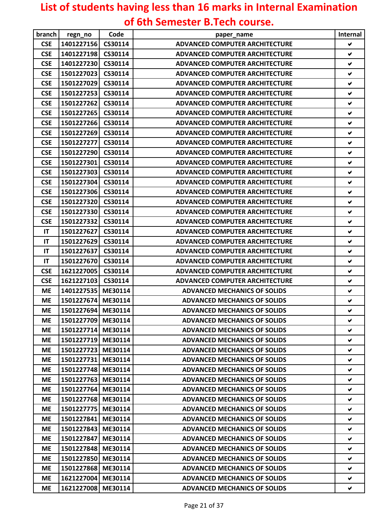## **List of students having less than 16 marks in Internal Examination of 6th Semester B.Tech course.**

| branch     | regn_no            | Code    | paper_name                            | Internal             |
|------------|--------------------|---------|---------------------------------------|----------------------|
| <b>CSE</b> | 1401227156         | CS30114 | <b>ADVANCED COMPUTER ARCHITECTURE</b> | ✔                    |
| <b>CSE</b> | 1401227198         | CS30114 | <b>ADVANCED COMPUTER ARCHITECTURE</b> | $\blacktriangledown$ |
| <b>CSE</b> | 1401227230         | CS30114 | <b>ADVANCED COMPUTER ARCHITECTURE</b> | $\blacktriangledown$ |
| <b>CSE</b> | 1501227023         | CS30114 | <b>ADVANCED COMPUTER ARCHITECTURE</b> | ✔                    |
| <b>CSE</b> | 1501227029         | CS30114 | <b>ADVANCED COMPUTER ARCHITECTURE</b> | V                    |
| <b>CSE</b> | 1501227253         | CS30114 | <b>ADVANCED COMPUTER ARCHITECTURE</b> | $\blacktriangledown$ |
| <b>CSE</b> | 1501227262         | CS30114 | <b>ADVANCED COMPUTER ARCHITECTURE</b> | ✔                    |
| <b>CSE</b> | 1501227265         | CS30114 | <b>ADVANCED COMPUTER ARCHITECTURE</b> | V                    |
| <b>CSE</b> | 1501227266         | CS30114 | <b>ADVANCED COMPUTER ARCHITECTURE</b> | ✔                    |
| <b>CSE</b> | 1501227269         | CS30114 | <b>ADVANCED COMPUTER ARCHITECTURE</b> | ✔                    |
| <b>CSE</b> | 1501227277         | CS30114 | <b>ADVANCED COMPUTER ARCHITECTURE</b> | V                    |
| <b>CSE</b> | 1501227290         | CS30114 | <b>ADVANCED COMPUTER ARCHITECTURE</b> | ✔                    |
| <b>CSE</b> | 1501227301         | CS30114 | <b>ADVANCED COMPUTER ARCHITECTURE</b> | ✔                    |
| <b>CSE</b> | 1501227303         | CS30114 | <b>ADVANCED COMPUTER ARCHITECTURE</b> | V                    |
| <b>CSE</b> | 1501227304         | CS30114 | <b>ADVANCED COMPUTER ARCHITECTURE</b> | $\blacktriangledown$ |
| <b>CSE</b> | 1501227306         | CS30114 | <b>ADVANCED COMPUTER ARCHITECTURE</b> | ✔                    |
| <b>CSE</b> | 1501227320         | CS30114 | <b>ADVANCED COMPUTER ARCHITECTURE</b> | $\checkmark$         |
| <b>CSE</b> | 1501227330         | CS30114 | <b>ADVANCED COMPUTER ARCHITECTURE</b> | ✔                    |
| <b>CSE</b> | 1501227332         | CS30114 | <b>ADVANCED COMPUTER ARCHITECTURE</b> | ✔                    |
| IT         | 1501227627         | CS30114 | <b>ADVANCED COMPUTER ARCHITECTURE</b> | V                    |
| IT         | 1501227629         | CS30114 | <b>ADVANCED COMPUTER ARCHITECTURE</b> | ✔                    |
| IT         | 1501227637         | CS30114 | <b>ADVANCED COMPUTER ARCHITECTURE</b> | ✔                    |
| IT         | 1501227670         | CS30114 | <b>ADVANCED COMPUTER ARCHITECTURE</b> | ✔                    |
| <b>CSE</b> | 1621227005         | CS30114 | <b>ADVANCED COMPUTER ARCHITECTURE</b> | ✔                    |
| <b>CSE</b> | 1621227103         | CS30114 | <b>ADVANCED COMPUTER ARCHITECTURE</b> | ✔                    |
| <b>ME</b>  | 1401227535         | ME30114 | <b>ADVANCED MECHANICS OF SOLIDS</b>   | V                    |
| <b>ME</b>  | 1501227674         | ME30114 | <b>ADVANCED MECHANICS OF SOLIDS</b>   | $\checkmark$         |
| <b>ME</b>  | 1501227694         | ME30114 | <b>ADVANCED MECHANICS OF SOLIDS</b>   | $\checkmark$         |
| ME         | 1501227709 ME30114 |         | <b>ADVANCED MECHANICS OF SOLIDS</b>   | ✔                    |
| МE         | 1501227714 ME30114 |         | <b>ADVANCED MECHANICS OF SOLIDS</b>   | ✔                    |
| <b>ME</b>  | 1501227719 ME30114 |         | <b>ADVANCED MECHANICS OF SOLIDS</b>   | V                    |
| <b>ME</b>  | 1501227723         | ME30114 | <b>ADVANCED MECHANICS OF SOLIDS</b>   | V.                   |
| <b>ME</b>  | 1501227731         | ME30114 | <b>ADVANCED MECHANICS OF SOLIDS</b>   | v                    |
| <b>ME</b>  | 1501227748         | ME30114 | <b>ADVANCED MECHANICS OF SOLIDS</b>   | ✔                    |
| МE         | 1501227763         | ME30114 | <b>ADVANCED MECHANICS OF SOLIDS</b>   | V                    |
| ME         | 1501227764         | ME30114 | <b>ADVANCED MECHANICS OF SOLIDS</b>   | V                    |
| <b>ME</b>  | 1501227768         | ME30114 | <b>ADVANCED MECHANICS OF SOLIDS</b>   | V                    |
| <b>ME</b>  | 1501227775         | ME30114 | <b>ADVANCED MECHANICS OF SOLIDS</b>   | ✔                    |
| <b>ME</b>  | 1501227841         | ME30114 | <b>ADVANCED MECHANICS OF SOLIDS</b>   | V                    |
| <b>ME</b>  | 1501227843         | ME30114 | <b>ADVANCED MECHANICS OF SOLIDS</b>   | V                    |
| <b>ME</b>  | 1501227847         | ME30114 | <b>ADVANCED MECHANICS OF SOLIDS</b>   | V.                   |
| <b>ME</b>  | 1501227848         | ME30114 | <b>ADVANCED MECHANICS OF SOLIDS</b>   | V                    |
| <b>ME</b>  | 1501227850         | ME30114 | <b>ADVANCED MECHANICS OF SOLIDS</b>   | V                    |
| <b>ME</b>  | 1501227868         | ME30114 | <b>ADVANCED MECHANICS OF SOLIDS</b>   | v                    |
| <b>ME</b>  | 1621227004         | ME30114 | <b>ADVANCED MECHANICS OF SOLIDS</b>   | V                    |
| <b>ME</b>  | 1621227008         | ME30114 | <b>ADVANCED MECHANICS OF SOLIDS</b>   | V                    |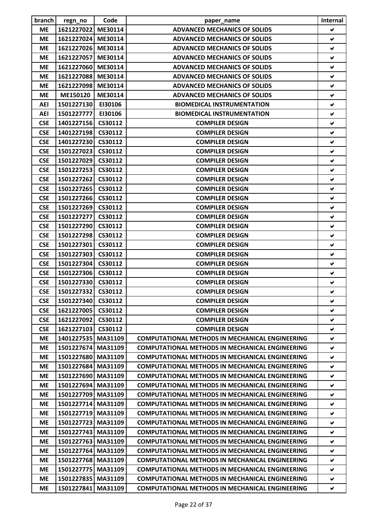| branch     | regn_no              | Code    | paper_name                                             | Internal             |
|------------|----------------------|---------|--------------------------------------------------------|----------------------|
| ME         | 1621227022           | ME30114 | <b>ADVANCED MECHANICS OF SOLIDS</b>                    | V                    |
| <b>ME</b>  | 1621227024           | ME30114 | <b>ADVANCED MECHANICS OF SOLIDS</b>                    | ✔                    |
| <b>ME</b>  | 1621227026           | ME30114 | <b>ADVANCED MECHANICS OF SOLIDS</b>                    | V                    |
| <b>ME</b>  | 1621227057           | ME30114 | <b>ADVANCED MECHANICS OF SOLIDS</b>                    | ✔                    |
| <b>ME</b>  | 1621227060           | ME30114 | <b>ADVANCED MECHANICS OF SOLIDS</b>                    | ✔                    |
| <b>ME</b>  | 1621227088           | ME30114 | <b>ADVANCED MECHANICS OF SOLIDS</b>                    | ✔                    |
| <b>ME</b>  | 1621227098           | ME30114 | <b>ADVANCED MECHANICS OF SOLIDS</b>                    | ✔                    |
| <b>ME</b>  | ME150120             | ME30114 | <b>ADVANCED MECHANICS OF SOLIDS</b>                    | ✔                    |
| <b>AEI</b> | 1501227130           | EI30106 | <b>BIOMEDICAL INSTRUMENTATION</b>                      | ✔                    |
| <b>AEI</b> | 1501227777           | EI30106 | <b>BIOMEDICAL INSTRUMENTATION</b>                      | ✔                    |
| <b>CSE</b> | 1401227156           | CS30112 | <b>COMPILER DESIGN</b>                                 | ✔                    |
| <b>CSE</b> | 1401227198           | CS30112 | <b>COMPILER DESIGN</b>                                 | V                    |
| <b>CSE</b> | 1401227230           | CS30112 | <b>COMPILER DESIGN</b>                                 | ✔                    |
| <b>CSE</b> | 1501227023           | CS30112 | <b>COMPILER DESIGN</b>                                 | ✔                    |
| <b>CSE</b> | 1501227029           | CS30112 | <b>COMPILER DESIGN</b>                                 | ✔                    |
| <b>CSE</b> | 1501227253           | CS30112 | <b>COMPILER DESIGN</b>                                 | ✔                    |
| <b>CSE</b> | 1501227262           | CS30112 | <b>COMPILER DESIGN</b>                                 | ✔                    |
| <b>CSE</b> | 1501227265           | CS30112 | <b>COMPILER DESIGN</b>                                 | ✔                    |
| <b>CSE</b> | 1501227266 CS30112   |         | <b>COMPILER DESIGN</b>                                 | ✔                    |
| <b>CSE</b> | 1501227269           | CS30112 | <b>COMPILER DESIGN</b>                                 | ✔                    |
| <b>CSE</b> | 1501227277           | CS30112 | <b>COMPILER DESIGN</b>                                 | ✔                    |
| <b>CSE</b> | 1501227290           | CS30112 | <b>COMPILER DESIGN</b>                                 | ✔                    |
| <b>CSE</b> | 1501227298           | CS30112 | <b>COMPILER DESIGN</b>                                 | ✔                    |
| <b>CSE</b> | 1501227301           | CS30112 | <b>COMPILER DESIGN</b>                                 | $\blacktriangledown$ |
| <b>CSE</b> | 1501227303           | CS30112 | <b>COMPILER DESIGN</b>                                 | ✔                    |
| <b>CSE</b> | 1501227304           | CS30112 | <b>COMPILER DESIGN</b>                                 | ✔                    |
| <b>CSE</b> | 1501227306           | CS30112 | <b>COMPILER DESIGN</b>                                 | V                    |
| <b>CSE</b> | 1501227330           | CS30112 | <b>COMPILER DESIGN</b>                                 | ✔                    |
| <b>CSE</b> | 1501227332           | CS30112 | <b>COMPILER DESIGN</b>                                 | ✔                    |
| <b>CSE</b> | 1501227340           | CS30112 | <b>COMPILER DESIGN</b>                                 | ✔                    |
| <b>CSE</b> | 1621227005           | CS30112 | <b>COMPILER DESIGN</b>                                 | V                    |
| <b>CSE</b> | 1621227092           | CS30112 | <b>COMPILER DESIGN</b>                                 | ✔                    |
| <b>CSE</b> | 1621227103           | CS30112 | <b>COMPILER DESIGN</b>                                 | V                    |
| <b>ME</b>  | 1401227535 MA31109   |         | <b>COMPUTATIONAL METHODS IN MECHANICAL ENGINEERING</b> | ✔                    |
| <b>ME</b>  | 1501227674 MA31109   |         | <b>COMPUTATIONAL METHODS IN MECHANICAL ENGINEERING</b> | ✔                    |
| <b>ME</b>  | 1501227680 MA31109   |         | <b>COMPUTATIONAL METHODS IN MECHANICAL ENGINEERING</b> | V                    |
| <b>ME</b>  | 1501227684           | MA31109 | <b>COMPUTATIONAL METHODS IN MECHANICAL ENGINEERING</b> | ✔                    |
| <b>ME</b>  | 1501227690 MA31109   |         | <b>COMPUTATIONAL METHODS IN MECHANICAL ENGINEERING</b> | V                    |
| <b>ME</b>  | 1501227694 MA31109   |         | <b>COMPUTATIONAL METHODS IN MECHANICAL ENGINEERING</b> | V                    |
| <b>ME</b>  | 1501227709           | MA31109 | <b>COMPUTATIONAL METHODS IN MECHANICAL ENGINEERING</b> | V                    |
| <b>ME</b>  | 1501227714 MA31109   |         | <b>COMPUTATIONAL METHODS IN MECHANICAL ENGINEERING</b> | ✔                    |
| <b>ME</b>  | 1501227719 MA31109   |         | <b>COMPUTATIONAL METHODS IN MECHANICAL ENGINEERING</b> | V                    |
| <b>ME</b>  | 1501227723 MA31109   |         | <b>COMPUTATIONAL METHODS IN MECHANICAL ENGINEERING</b> | V                    |
| <b>ME</b>  | 1501227743           | MA31109 | <b>COMPUTATIONAL METHODS IN MECHANICAL ENGINEERING</b> | ✔                    |
| <b>ME</b>  | 1501227763 MA31109   |         | <b>COMPUTATIONAL METHODS IN MECHANICAL ENGINEERING</b> | V                    |
| <b>ME</b>  | 1501227764 MA31109   |         | <b>COMPUTATIONAL METHODS IN MECHANICAL ENGINEERING</b> | ✔                    |
| <b>ME</b>  | 1501227768 MA31109   |         | <b>COMPUTATIONAL METHODS IN MECHANICAL ENGINEERING</b> | V                    |
| <b>ME</b>  | 1501227775           | MA31109 | <b>COMPUTATIONAL METHODS IN MECHANICAL ENGINEERING</b> | V                    |
| <b>ME</b>  | 1501227835   MA31109 |         | <b>COMPUTATIONAL METHODS IN MECHANICAL ENGINEERING</b> | ✔                    |
| <b>ME</b>  | 1501227841           | MA31109 | <b>COMPUTATIONAL METHODS IN MECHANICAL ENGINEERING</b> | V                    |
|            |                      |         |                                                        |                      |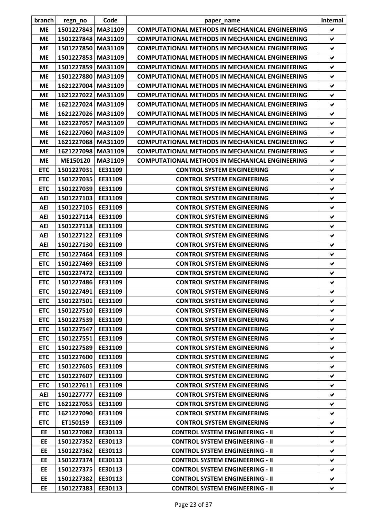| branch     | regn_no            | Code    | paper_name                                             | Internal             |
|------------|--------------------|---------|--------------------------------------------------------|----------------------|
| <b>ME</b>  | 1501227843         | MA31109 | <b>COMPUTATIONAL METHODS IN MECHANICAL ENGINEERING</b> | ✔                    |
| <b>ME</b>  | 1501227848 MA31109 |         | <b>COMPUTATIONAL METHODS IN MECHANICAL ENGINEERING</b> | ✔                    |
| <b>ME</b>  | 1501227850 MA31109 |         | <b>COMPUTATIONAL METHODS IN MECHANICAL ENGINEERING</b> | V                    |
| <b>ME</b>  | 1501227853 MA31109 |         | <b>COMPUTATIONAL METHODS IN MECHANICAL ENGINEERING</b> | ✔                    |
| <b>ME</b>  | 1501227859         | MA31109 | <b>COMPUTATIONAL METHODS IN MECHANICAL ENGINEERING</b> | ✔                    |
| <b>ME</b>  | 1501227880 MA31109 |         | <b>COMPUTATIONAL METHODS IN MECHANICAL ENGINEERING</b> | ✔                    |
| <b>ME</b>  | 1621227004 MA31109 |         | <b>COMPUTATIONAL METHODS IN MECHANICAL ENGINEERING</b> | ✔                    |
| <b>ME</b>  | 1621227022 MA31109 |         | <b>COMPUTATIONAL METHODS IN MECHANICAL ENGINEERING</b> | ✔                    |
| <b>ME</b>  | 1621227024 MA31109 |         | <b>COMPUTATIONAL METHODS IN MECHANICAL ENGINEERING</b> | $\blacktriangledown$ |
| <b>ME</b>  | 1621227026 MA31109 |         | <b>COMPUTATIONAL METHODS IN MECHANICAL ENGINEERING</b> | ✔                    |
| <b>ME</b>  | 1621227057 MA31109 |         | <b>COMPUTATIONAL METHODS IN MECHANICAL ENGINEERING</b> | ✔                    |
| <b>ME</b>  | 1621227060         | MA31109 | <b>COMPUTATIONAL METHODS IN MECHANICAL ENGINEERING</b> | V                    |
| <b>ME</b>  | 1621227088 MA31109 |         | <b>COMPUTATIONAL METHODS IN MECHANICAL ENGINEERING</b> | ✔                    |
| <b>ME</b>  | 1621227098 MA31109 |         | <b>COMPUTATIONAL METHODS IN MECHANICAL ENGINEERING</b> | ✔                    |
| <b>ME</b>  | ME150120           | MA31109 | <b>COMPUTATIONAL METHODS IN MECHANICAL ENGINEERING</b> | V                    |
| <b>ETC</b> | 1501227031         | EE31109 | <b>CONTROL SYSTEM ENGINEERING</b>                      | ✔                    |
| <b>ETC</b> | 1501227035         | EE31109 | <b>CONTROL SYSTEM ENGINEERING</b>                      | ✔                    |
| <b>ETC</b> | 1501227039         | EE31109 | <b>CONTROL SYSTEM ENGINEERING</b>                      | V                    |
| <b>AEI</b> | 1501227103         | EE31109 | <b>CONTROL SYSTEM ENGINEERING</b>                      | ✔                    |
| <b>AEI</b> | 1501227105         | EE31109 | <b>CONTROL SYSTEM ENGINEERING</b>                      | ✔                    |
| <b>AEI</b> | 1501227114         | EE31109 | <b>CONTROL SYSTEM ENGINEERING</b>                      | V                    |
| <b>AEI</b> | 1501227118         | EE31109 | <b>CONTROL SYSTEM ENGINEERING</b>                      | ✔                    |
| <b>AEI</b> | 1501227122         | EE31109 | <b>CONTROL SYSTEM ENGINEERING</b>                      | ✔                    |
| <b>AEI</b> | 1501227130         | EE31109 | <b>CONTROL SYSTEM ENGINEERING</b>                      | ✔                    |
| <b>ETC</b> | 1501227464         | EE31109 | <b>CONTROL SYSTEM ENGINEERING</b>                      | ✔                    |
| <b>ETC</b> | 1501227469         | EE31109 | <b>CONTROL SYSTEM ENGINEERING</b>                      | ✔                    |
| <b>ETC</b> | 1501227472         | EE31109 | <b>CONTROL SYSTEM ENGINEERING</b>                      | $\blacktriangledown$ |
| <b>ETC</b> | 1501227486         | EE31109 | <b>CONTROL SYSTEM ENGINEERING</b>                      | ✔                    |
| <b>ETC</b> | 1501227491         | EE31109 | <b>CONTROL SYSTEM ENGINEERING</b>                      | V                    |
| <b>ETC</b> | 1501227501         | EE31109 | <b>CONTROL SYSTEM ENGINEERING</b>                      | V                    |
| <b>ETC</b> | 1501227510 EE31109 |         | <b>CONTROL SYSTEM ENGINEERING</b>                      | V                    |
| <b>ETC</b> | 1501227539         | EE31109 | <b>CONTROL SYSTEM ENGINEERING</b>                      | ✔                    |
| <b>ETC</b> | 1501227547         | EE31109 | <b>CONTROL SYSTEM ENGINEERING</b>                      | V                    |
| <b>ETC</b> | 1501227551         | EE31109 | <b>CONTROL SYSTEM ENGINEERING</b>                      | ✔                    |
| <b>ETC</b> | 1501227589         | EE31109 | <b>CONTROL SYSTEM ENGINEERING</b>                      | ✔                    |
| <b>ETC</b> | 1501227600         | EE31109 | <b>CONTROL SYSTEM ENGINEERING</b>                      | V.                   |
| <b>ETC</b> | 1501227605         | EE31109 | <b>CONTROL SYSTEM ENGINEERING</b>                      | V                    |
| <b>ETC</b> | 1501227607         | EE31109 | <b>CONTROL SYSTEM ENGINEERING</b>                      | ✔                    |
| <b>ETC</b> | 1501227611         | EE31109 | <b>CONTROL SYSTEM ENGINEERING</b>                      | V                    |
| AEI        | 1501227777         | EE31109 | <b>CONTROL SYSTEM ENGINEERING</b>                      | V                    |
| <b>ETC</b> | 1621227055         | EE31109 | <b>CONTROL SYSTEM ENGINEERING</b>                      | ✔                    |
| <b>ETC</b> | 1621227090         | EE31109 | <b>CONTROL SYSTEM ENGINEERING</b>                      | V                    |
| <b>ETC</b> | ET150159           | EE31109 | <b>CONTROL SYSTEM ENGINEERING</b>                      | V                    |
| EE         | 1501227082         | EE30113 | <b>CONTROL SYSTEM ENGINEERING - II</b>                 | V                    |
| EE         | 1501227352         | EE30113 | <b>CONTROL SYSTEM ENGINEERING - II</b>                 | V                    |
| EE         | 1501227362         | EE30113 | <b>CONTROL SYSTEM ENGINEERING - II</b>                 | V                    |
| EE         | 1501227374         | EE30113 | <b>CONTROL SYSTEM ENGINEERING - II</b>                 | V                    |
| EE         | 1501227375         | EE30113 | <b>CONTROL SYSTEM ENGINEERING - II</b>                 | V                    |
| EE         | 1501227382         | EE30113 | <b>CONTROL SYSTEM ENGINEERING - II</b>                 | ✔                    |
| <b>EE</b>  | 1501227383         | EE30113 | <b>CONTROL SYSTEM ENGINEERING - II</b>                 | V                    |
|            |                    |         |                                                        |                      |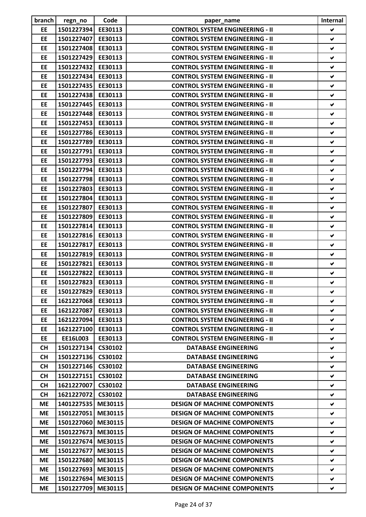| branch          | regn_no                  | Code               | paper_name                             | <b>Internal</b> |
|-----------------|--------------------------|--------------------|----------------------------------------|-----------------|
| <b>EE</b>       | 1501227394               | EE30113            | <b>CONTROL SYSTEM ENGINEERING - II</b> | V               |
| EE              | 1501227407               | EE30113            | <b>CONTROL SYSTEM ENGINEERING - II</b> | ✔               |
| EE              | 1501227408               | EE30113            | <b>CONTROL SYSTEM ENGINEERING - II</b> | V               |
| EE              | 1501227429               | EE30113            | <b>CONTROL SYSTEM ENGINEERING - II</b> | $\checkmark$    |
| EE              | 1501227432               | EE30113            | <b>CONTROL SYSTEM ENGINEERING - II</b> | V               |
| EE              | 1501227434               | EE30113            | <b>CONTROL SYSTEM ENGINEERING - II</b> | V               |
| EE              | 1501227435               | EE30113            | <b>CONTROL SYSTEM ENGINEERING - II</b> | ✔               |
| EE              | 1501227438               | EE30113            | <b>CONTROL SYSTEM ENGINEERING - II</b> | ✔               |
| EE              | 1501227445               | EE30113            | <b>CONTROL SYSTEM ENGINEERING - II</b> | V               |
| <b>EE</b>       | 1501227448               | EE30113            | <b>CONTROL SYSTEM ENGINEERING - II</b> | ✔               |
| EE              | 1501227453               | EE30113            | <b>CONTROL SYSTEM ENGINEERING - II</b> | ✔               |
| EE              | 1501227786               | EE30113            | <b>CONTROL SYSTEM ENGINEERING - II</b> | V               |
| EE              | 1501227789               | EE30113            | <b>CONTROL SYSTEM ENGINEERING - II</b> | ✔               |
| EE              | 1501227791               | EE30113            | <b>CONTROL SYSTEM ENGINEERING - II</b> | ✔               |
| EE              | 1501227793               | EE30113            | <b>CONTROL SYSTEM ENGINEERING - II</b> | V               |
| EE              | 1501227794               | EE30113            | <b>CONTROL SYSTEM ENGINEERING - II</b> | V               |
| EE              | 1501227798               | EE30113            | <b>CONTROL SYSTEM ENGINEERING - II</b> | ✔               |
| EE              | 1501227803               | EE30113            | <b>CONTROL SYSTEM ENGINEERING - II</b> | V               |
| EE              | 1501227804               | EE30113            | <b>CONTROL SYSTEM ENGINEERING - II</b> | ✔               |
| EE              | 1501227807               | EE30113            | <b>CONTROL SYSTEM ENGINEERING - II</b> | ✔               |
| EE              | 1501227809               | EE30113            | <b>CONTROL SYSTEM ENGINEERING - II</b> | V               |
| EE              | 1501227814               | EE30113            | <b>CONTROL SYSTEM ENGINEERING - II</b> | V               |
| <b>EE</b>       | 1501227816               | EE30113            | <b>CONTROL SYSTEM ENGINEERING - II</b> | V               |
| EE              | 1501227817               | EE30113            | <b>CONTROL SYSTEM ENGINEERING - II</b> | V               |
| EE              | 1501227819               | EE30113            | <b>CONTROL SYSTEM ENGINEERING - II</b> | ✔               |
| EE              | 1501227821               | EE30113            | <b>CONTROL SYSTEM ENGINEERING - II</b> | ✔               |
| EE              | 1501227822               | EE30113            | <b>CONTROL SYSTEM ENGINEERING - II</b> | V               |
| EE              | 1501227823               | EE30113            | <b>CONTROL SYSTEM ENGINEERING - II</b> | $\checkmark$    |
| EE              | 1501227829 EE30113       |                    | <b>CONTROL SYSTEM ENGINEERING - II</b> |                 |
| EE              | 1621227068               | EE30113            | <b>CONTROL SYSTEM ENGINEERING - II</b> | V<br>V          |
| EE              | 1621227087               | EE30113            | <b>CONTROL SYSTEM ENGINEERING - II</b> | V               |
| <b>EE</b>       |                          |                    | <b>CONTROL SYSTEM ENGINEERING - II</b> | V               |
|                 | 1621227094<br>1621227100 | EE30113            | <b>CONTROL SYSTEM ENGINEERING - II</b> |                 |
| EE<br><b>EE</b> | EE16L003                 | EE30113<br>EE30113 | <b>CONTROL SYSTEM ENGINEERING - II</b> | V               |
|                 |                          |                    |                                        | v               |
| <b>CH</b>       | 1501227134<br>1501227136 | CS30102            | <b>DATABASE ENGINEERING</b>            | V<br>V          |
| <b>CH</b>       |                          | CS30102            | <b>DATABASE ENGINEERING</b>            |                 |
| <b>CH</b>       | 1501227146<br>1501227151 | CS30102            | <b>DATABASE ENGINEERING</b>            | v<br>V          |
| <b>CH</b>       |                          | CS30102            | <b>DATABASE ENGINEERING</b>            |                 |
| <b>CH</b>       | 1621227007               | CS30102            | <b>DATABASE ENGINEERING</b>            | V               |
| <b>CH</b>       | 1621227072               | CS30102            | <b>DATABASE ENGINEERING</b>            | V               |
| ME              | 1401227535               | ME30115            | <b>DESIGN OF MACHINE COMPONENTS</b>    | ✔               |
| ME              | 1501227051               | ME30115            | <b>DESIGN OF MACHINE COMPONENTS</b>    | V               |
| ME              | 1501227060               | ME30115            | <b>DESIGN OF MACHINE COMPONENTS</b>    | V               |
| ME              | 1501227673               | ME30115            | <b>DESIGN OF MACHINE COMPONENTS</b>    | ✔               |
| ME              | 1501227674               | ME30115            | <b>DESIGN OF MACHINE COMPONENTS</b>    | ✔               |
| ME              | 1501227677               | ME30115            | <b>DESIGN OF MACHINE COMPONENTS</b>    | V               |
| ME              | 1501227680 ME30115       |                    | <b>DESIGN OF MACHINE COMPONENTS</b>    | V               |
| <b>ME</b>       | 1501227693               | ME30115            | <b>DESIGN OF MACHINE COMPONENTS</b>    | V               |
| МE              | 1501227694               | ME30115            | <b>DESIGN OF MACHINE COMPONENTS</b>    | V               |
| ME              | 1501227709               | ME30115            | <b>DESIGN OF MACHINE COMPONENTS</b>    | V               |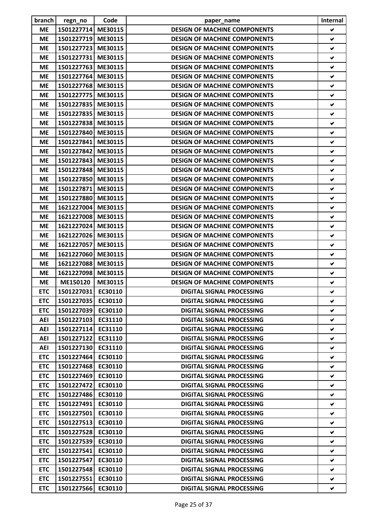| branch                   | regn_no                  | Code               | paper_name                                                           | Internal             |
|--------------------------|--------------------------|--------------------|----------------------------------------------------------------------|----------------------|
| <b>ME</b>                | 1501227714 ME30115       |                    | <b>DESIGN OF MACHINE COMPONENTS</b>                                  | V                    |
| <b>ME</b>                | 1501227719               | ME30115            | <b>DESIGN OF MACHINE COMPONENTS</b>                                  | ✔                    |
| <b>ME</b>                | 1501227723               | ME30115            | <b>DESIGN OF MACHINE COMPONENTS</b>                                  | V                    |
| <b>ME</b>                | 1501227731               | ME30115            | <b>DESIGN OF MACHINE COMPONENTS</b>                                  | $\checkmark$         |
| <b>ME</b>                | 1501227763               | ME30115            | <b>DESIGN OF MACHINE COMPONENTS</b>                                  | ✔                    |
| <b>ME</b>                | 1501227764               | ME30115            | <b>DESIGN OF MACHINE COMPONENTS</b>                                  | V                    |
| <b>ME</b>                | 1501227768               | ME30115            | <b>DESIGN OF MACHINE COMPONENTS</b>                                  | ✔                    |
| <b>ME</b>                | 1501227775               | ME30115            | <b>DESIGN OF MACHINE COMPONENTS</b>                                  | ✔                    |
| <b>ME</b>                | 1501227835               | ME30115            | <b>DESIGN OF MACHINE COMPONENTS</b>                                  | ✔                    |
| <b>ME</b>                | 1501227835 ME30115       |                    | <b>DESIGN OF MACHINE COMPONENTS</b>                                  | ✔                    |
| <b>ME</b>                | 1501227838 ME30115       |                    | <b>DESIGN OF MACHINE COMPONENTS</b>                                  | ✔                    |
| <b>ME</b>                | 1501227840               | ME30115            | <b>DESIGN OF MACHINE COMPONENTS</b>                                  | V                    |
| <b>ME</b>                | 1501227841               | ME30115            | <b>DESIGN OF MACHINE COMPONENTS</b>                                  | ✔                    |
| <b>ME</b>                | 1501227842               | ME30115            | <b>DESIGN OF MACHINE COMPONENTS</b>                                  | ✔                    |
| <b>ME</b>                | 1501227843               | ME30115            | <b>DESIGN OF MACHINE COMPONENTS</b>                                  | $\blacktriangledown$ |
| <b>ME</b>                | 1501227848               | ME30115            | <b>DESIGN OF MACHINE COMPONENTS</b>                                  | ✔                    |
| <b>ME</b>                | 1501227850               | ME30115            | <b>DESIGN OF MACHINE COMPONENTS</b>                                  | ✔                    |
| <b>ME</b>                | 1501227871               | ME30115            | <b>DESIGN OF MACHINE COMPONENTS</b>                                  | V                    |
| <b>ME</b>                | 1501227880               | ME30115            | <b>DESIGN OF MACHINE COMPONENTS</b>                                  | ✔                    |
| <b>ME</b>                | 1621227004               | ME30115            | <b>DESIGN OF MACHINE COMPONENTS</b>                                  | ✔                    |
| <b>ME</b>                | 1621227008               | ME30115            | <b>DESIGN OF MACHINE COMPONENTS</b>                                  | ✔                    |
| <b>ME</b>                | 1621227024               | ME30115            | <b>DESIGN OF MACHINE COMPONENTS</b>                                  | ✔                    |
| <b>ME</b>                | 1621227026 ME30115       |                    | <b>DESIGN OF MACHINE COMPONENTS</b>                                  | ✔                    |
| <b>ME</b>                | 1621227057               | ME30115            | <b>DESIGN OF MACHINE COMPONENTS</b>                                  | V                    |
| <b>ME</b>                | 1621227060               | ME30115            | <b>DESIGN OF MACHINE COMPONENTS</b>                                  | ✔                    |
| <b>ME</b>                | 1621227088 ME30115       |                    | <b>DESIGN OF MACHINE COMPONENTS</b>                                  | ✔                    |
| <b>ME</b>                | 1621227098 ME30115       |                    | <b>DESIGN OF MACHINE COMPONENTS</b>                                  | ✔                    |
| <b>ME</b>                | ME150120                 | ME30115            | <b>DESIGN OF MACHINE COMPONENTS</b>                                  | ✔                    |
| <b>ETC</b>               | 1501227031 EC30110       |                    | <b>DIGITAL SIGNAL PROCESSING</b>                                     | ✔                    |
| <b>ETC</b>               | 1501227035               | EC30110            | <b>DIGITAL SIGNAL PROCESSING</b>                                     | V                    |
| <b>ETC</b>               | 1501227039 EC30110       |                    | <b>DIGITAL SIGNAL PROCESSING</b>                                     | ✔                    |
| <b>AEI</b>               | 1501227103               | EC31110            | <b>DIGITAL SIGNAL PROCESSING</b>                                     | V                    |
| AEI                      | 1501227114               | EC31110            | <b>DIGITAL SIGNAL PROCESSING</b>                                     | v.                   |
| AEI                      | 1501227122 EC31110       |                    | <b>DIGITAL SIGNAL PROCESSING</b>                                     | v                    |
| AEI                      | 1501227130 EC31110       |                    | <b>DIGITAL SIGNAL PROCESSING</b>                                     | ✔                    |
|                          | 1501227464               |                    | <b>DIGITAL SIGNAL PROCESSING</b>                                     | V                    |
| <b>ETC</b><br><b>ETC</b> | 1501227468               | EC30110<br>EC30110 | <b>DIGITAL SIGNAL PROCESSING</b>                                     | V                    |
| <b>ETC</b>               | 1501227469               | EC30110            | <b>DIGITAL SIGNAL PROCESSING</b>                                     | ✔                    |
| <b>ETC</b>               | 1501227472               | EC30110            | <b>DIGITAL SIGNAL PROCESSING</b>                                     | V                    |
| <b>ETC</b>               | 1501227486               | EC30110            | <b>DIGITAL SIGNAL PROCESSING</b>                                     | ✔                    |
|                          |                          |                    |                                                                      |                      |
| <b>ETC</b><br><b>ETC</b> | 1501227491<br>1501227501 | EC30110<br>EC30110 | <b>DIGITAL SIGNAL PROCESSING</b><br><b>DIGITAL SIGNAL PROCESSING</b> | ✔<br>V               |
|                          |                          |                    |                                                                      |                      |
| <b>ETC</b>               | 1501227513               | EC30110            | <b>DIGITAL SIGNAL PROCESSING</b>                                     | V                    |
| <b>ETC</b>               | 1501227528               | EC30110            | <b>DIGITAL SIGNAL PROCESSING</b>                                     | ✔                    |
| <b>ETC</b>               | 1501227539               | EC30110            | <b>DIGITAL SIGNAL PROCESSING</b>                                     | V                    |
| <b>ETC</b>               | 1501227541               | EC30110            | <b>DIGITAL SIGNAL PROCESSING</b>                                     | V                    |
| <b>ETC</b>               | 1501227547               | EC30110            | <b>DIGITAL SIGNAL PROCESSING</b>                                     | V                    |
| <b>ETC</b>               | 1501227548               | EC30110            | <b>DIGITAL SIGNAL PROCESSING</b>                                     | V                    |
| <b>ETC</b>               | 1501227551               | EC30110            | <b>DIGITAL SIGNAL PROCESSING</b>                                     | V                    |
| <b>ETC</b>               | 1501227566               | EC30110            | <b>DIGITAL SIGNAL PROCESSING</b>                                     | V                    |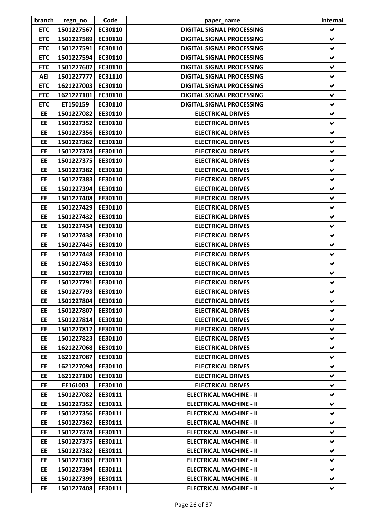| branch     | regn_no            | Code    | paper_name                       | Internal             |
|------------|--------------------|---------|----------------------------------|----------------------|
| <b>ETC</b> | 1501227567         | EC30110 | <b>DIGITAL SIGNAL PROCESSING</b> | V                    |
| <b>ETC</b> | 1501227589         | EC30110 | <b>DIGITAL SIGNAL PROCESSING</b> | ✔                    |
| <b>ETC</b> | 1501227591         | EC30110 | <b>DIGITAL SIGNAL PROCESSING</b> | ✔                    |
| <b>ETC</b> | 1501227594         | EC30110 | <b>DIGITAL SIGNAL PROCESSING</b> | $\checkmark$         |
| <b>ETC</b> | 1501227607         | EC30110 | <b>DIGITAL SIGNAL PROCESSING</b> | ✔                    |
| <b>AEI</b> | 1501227777         | EC31110 | <b>DIGITAL SIGNAL PROCESSING</b> | ✔                    |
| <b>ETC</b> | 1621227003         | EC30110 | <b>DIGITAL SIGNAL PROCESSING</b> | ✔                    |
| <b>ETC</b> | 1621227101         | EC30110 | <b>DIGITAL SIGNAL PROCESSING</b> | ✔                    |
| <b>ETC</b> | ET150159           | EC30110 | <b>DIGITAL SIGNAL PROCESSING</b> | ✔                    |
| EE         | 1501227082         | EE30110 | <b>ELECTRICAL DRIVES</b>         | ✔                    |
| <b>EE</b>  | 1501227352         | EE30110 | <b>ELECTRICAL DRIVES</b>         | ✔                    |
| EE         | 1501227356         | EE30110 | <b>ELECTRICAL DRIVES</b>         | V                    |
| EE         | 1501227362         | EE30110 | <b>ELECTRICAL DRIVES</b>         | ✔                    |
| EE         | 1501227374         | EE30110 | <b>ELECTRICAL DRIVES</b>         | ✔                    |
| EE         | 1501227375         | EE30110 | <b>ELECTRICAL DRIVES</b>         | $\blacktriangledown$ |
| EE         | 1501227382         | EE30110 | <b>ELECTRICAL DRIVES</b>         | $\blacktriangledown$ |
| EE         | 1501227383         | EE30110 | <b>ELECTRICAL DRIVES</b>         | ✔                    |
| EE         | 1501227394         | EE30110 | <b>ELECTRICAL DRIVES</b>         | V                    |
| EE         | 1501227408         | EE30110 | <b>ELECTRICAL DRIVES</b>         | ✔                    |
| EE         | 1501227429         | EE30110 | <b>ELECTRICAL DRIVES</b>         | ✔                    |
| EE         | 1501227432         | EE30110 | <b>ELECTRICAL DRIVES</b>         | ✔                    |
| <b>EE</b>  | 1501227434         | EE30110 | <b>ELECTRICAL DRIVES</b>         | ✔                    |
| EE         | 1501227438         | EE30110 | <b>ELECTRICAL DRIVES</b>         | $\blacktriangledown$ |
| EE         | 1501227445         | EE30110 | <b>ELECTRICAL DRIVES</b>         | ✔                    |
| EE         | 1501227448         | EE30110 | <b>ELECTRICAL DRIVES</b>         | ✔                    |
| EE         | 1501227453         | EE30110 | <b>ELECTRICAL DRIVES</b>         | ✔                    |
| EE         | 1501227789         | EE30110 | <b>ELECTRICAL DRIVES</b>         | ✔                    |
| EE         | 1501227791         | EE30110 | <b>ELECTRICAL DRIVES</b>         | ✔                    |
| EE         | 1501227793 EE30110 |         | <b>ELECTRICAL DRIVES</b>         | ✔                    |
| EE         | 1501227804         | EE30110 | <b>ELECTRICAL DRIVES</b>         | V.                   |
| EE         | 1501227807         | EE30110 | <b>ELECTRICAL DRIVES</b>         | ✔                    |
| <b>EE</b>  | 1501227814         | EE30110 | <b>ELECTRICAL DRIVES</b>         | ✔                    |
| EE         | 1501227817         | EE30110 | <b>ELECTRICAL DRIVES</b>         | ✔                    |
| <b>EE</b>  | 1501227823         | EE30110 | <b>ELECTRICAL DRIVES</b>         | v                    |
| EE         | 1621227068         | EE30110 | <b>ELECTRICAL DRIVES</b>         | ✔                    |
| EE         | 1621227087         | EE30110 | <b>ELECTRICAL DRIVES</b>         | V.                   |
| EE         | 1621227094         | EE30110 | <b>ELECTRICAL DRIVES</b>         | V                    |
| EE         | 1621227100         | EE30110 | <b>ELECTRICAL DRIVES</b>         | v                    |
| EE         | EE16L003           | EE30110 | <b>ELECTRICAL DRIVES</b>         | V                    |
| EE         | 1501227082         | EE30111 | <b>ELECTRICAL MACHINE - II</b>   | V                    |
| EE         | 1501227352         | EE30111 | <b>ELECTRICAL MACHINE - II</b>   | V                    |
| EE         | 1501227356         | EE30111 | <b>ELECTRICAL MACHINE - II</b>   | V.                   |
| EE         | 1501227362         | EE30111 | <b>ELECTRICAL MACHINE - II</b>   | ✔                    |
| EE         | 1501227374         | EE30111 | <b>ELECTRICAL MACHINE - II</b>   | ✔                    |
| <b>EE</b>  | 1501227375         | EE30111 | <b>ELECTRICAL MACHINE - II</b>   | V                    |
| EE         | 1501227382         | EE30111 | <b>ELECTRICAL MACHINE - II</b>   | V                    |
| <b>EE</b>  | 1501227383         | EE30111 | <b>ELECTRICAL MACHINE - II</b>   | v                    |
| EE         | 1501227394         | EE30111 | <b>ELECTRICAL MACHINE - II</b>   | V                    |
| EE         | 1501227399         | EE30111 | <b>ELECTRICAL MACHINE - II</b>   | V                    |
| EE         | 1501227408         | EE30111 | <b>ELECTRICAL MACHINE - II</b>   | v                    |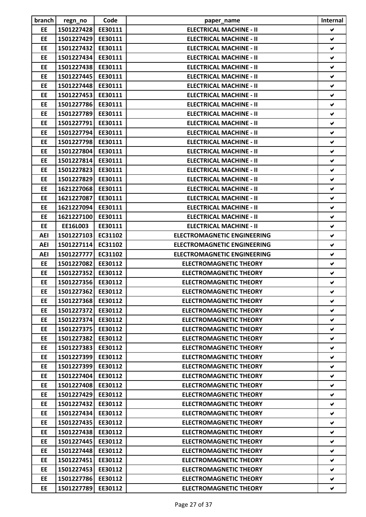| branch     | regn_no            | Code    | paper_name                         | Internal             |
|------------|--------------------|---------|------------------------------------|----------------------|
| <b>EE</b>  | 1501227428         | EE30111 | <b>ELECTRICAL MACHINE - II</b>     | V                    |
| EE         | 1501227429         | EE30111 | <b>ELECTRICAL MACHINE - II</b>     | ✔                    |
| <b>EE</b>  | 1501227432         | EE30111 | <b>ELECTRICAL MACHINE - II</b>     | ✔                    |
| EE         | 1501227434         | EE30111 | <b>ELECTRICAL MACHINE - II</b>     | $\checkmark$         |
| EE         | 1501227438         | EE30111 | <b>ELECTRICAL MACHINE - II</b>     | V                    |
| EE         | 1501227445         | EE30111 | <b>ELECTRICAL MACHINE - II</b>     | V                    |
| EE         | 1501227448         | EE30111 | <b>ELECTRICAL MACHINE - II</b>     | ✔                    |
| EE         | 1501227453         | EE30111 | <b>ELECTRICAL MACHINE - II</b>     | ✔                    |
| EE         | 1501227786         | EE30111 | <b>ELECTRICAL MACHINE - II</b>     | V                    |
| EE         | 1501227789         | EE30111 | <b>ELECTRICAL MACHINE - II</b>     | ✔                    |
| EE         | 1501227791         | EE30111 | <b>ELECTRICAL MACHINE - II</b>     | ✔                    |
| EE         | 1501227794         | EE30111 | <b>ELECTRICAL MACHINE - II</b>     | V                    |
| EE         | 1501227798         | EE30111 | <b>ELECTRICAL MACHINE - II</b>     | ✔                    |
| EE         | 1501227804         | EE30111 | <b>ELECTRICAL MACHINE - II</b>     | ✔                    |
| EE         | 1501227814         | EE30111 | <b>ELECTRICAL MACHINE - II</b>     | V                    |
| EE         | 1501227823         | EE30111 | <b>ELECTRICAL MACHINE - II</b>     | V                    |
| EE         | 1501227829         | EE30111 | <b>ELECTRICAL MACHINE - II</b>     | ✔                    |
| EE         | 1621227068         | EE30111 | <b>ELECTRICAL MACHINE - II</b>     | V                    |
| EE         | 1621227087         | EE30111 | <b>ELECTRICAL MACHINE - II</b>     | ✔                    |
| EE         | 1621227094         | EE30111 | <b>ELECTRICAL MACHINE - II</b>     | ✔                    |
| EE         | 1621227100         | EE30111 | <b>ELECTRICAL MACHINE - II</b>     | ✔                    |
| EE         | EE16L003           | EE30111 | <b>ELECTRICAL MACHINE - II</b>     | ✔                    |
| <b>AEI</b> | 1501227103         | EC31102 | <b>ELECTROMAGNETIC ENGINEERING</b> | V                    |
| <b>AEI</b> | 1501227114         | EC31102 | <b>ELECTROMAGNETIC ENGINEERING</b> | V                    |
| <b>AEI</b> | 1501227777         | EC31102 | <b>ELECTROMAGNETIC ENGINEERING</b> | ✔                    |
| EE         | 1501227082         | EE30112 | <b>ELECTROMAGNETIC THEORY</b>      | ✔                    |
| EE         | 1501227352         | EE30112 | <b>ELECTROMAGNETIC THEORY</b>      | V                    |
| EE         | 1501227356         | EE30112 | <b>ELECTROMAGNETIC THEORY</b>      | $\blacktriangledown$ |
| EE         | 1501227362 EE30112 |         | <b>ELECTROMAGNETIC THEORY</b>      | ✔                    |
| EE         | 1501227368         | EE30112 | <b>ELECTROMAGNETIC THEORY</b>      | V                    |
| EE         | 1501227372         | EE30112 | <b>ELECTROMAGNETIC THEORY</b>      | ✔                    |
| <b>EE</b>  | 1501227374         | EE30112 | <b>ELECTROMAGNETIC THEORY</b>      | V                    |
| EE         | 1501227375         | EE30112 | <b>ELECTROMAGNETIC THEORY</b>      | V.                   |
| <b>EE</b>  | 1501227382         | EE30112 | <b>ELECTROMAGNETIC THEORY</b>      | V                    |
| EE         | 1501227383         | EE30112 | <b>ELECTROMAGNETIC THEORY</b>      | V                    |
| <b>EE</b>  | 1501227399         | EE30112 | <b>ELECTROMAGNETIC THEORY</b>      | V.                   |
| EE         | 1501227399         | EE30112 | <b>ELECTROMAGNETIC THEORY</b>      | V                    |
| EE         | 1501227404         | EE30112 | <b>ELECTROMAGNETIC THEORY</b>      | V                    |
| EE         | 1501227408         | EE30112 | <b>ELECTROMAGNETIC THEORY</b>      | V                    |
| EE         | 1501227429         | EE30112 | <b>ELECTROMAGNETIC THEORY</b>      | V                    |
| EE         | 1501227432         | EE30112 | <b>ELECTROMAGNETIC THEORY</b>      | ✔                    |
| EE         | 1501227434         | EE30112 | <b>ELECTROMAGNETIC THEORY</b>      | V                    |
| EE         | 1501227435         | EE30112 | <b>ELECTROMAGNETIC THEORY</b>      | V                    |
| EE         | 1501227438         | EE30112 | <b>ELECTROMAGNETIC THEORY</b>      | V                    |
| <b>EE</b>  | 1501227445         | EE30112 | <b>ELECTROMAGNETIC THEORY</b>      | V                    |
| EE         | 1501227448         | EE30112 | <b>ELECTROMAGNETIC THEORY</b>      | V                    |
| <b>EE</b>  | 1501227451         | EE30112 | <b>ELECTROMAGNETIC THEORY</b>      | V                    |
| EE         | 1501227453         | EE30112 | <b>ELECTROMAGNETIC THEORY</b>      | V                    |
| EE         | 1501227786         | EE30112 | <b>ELECTROMAGNETIC THEORY</b>      | V                    |
| EE         | 1501227789         | EE30112 | <b>ELECTROMAGNETIC THEORY</b>      | V                    |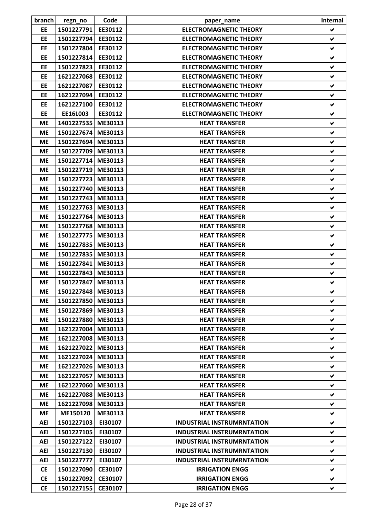| branch     | regn_no            | Code    | paper_name                        | Internal             |
|------------|--------------------|---------|-----------------------------------|----------------------|
| <b>EE</b>  | 1501227791         | EE30112 | <b>ELECTROMAGNETIC THEORY</b>     | V                    |
| EE         | 1501227794         | EE30112 | <b>ELECTROMAGNETIC THEORY</b>     | ✔                    |
| EE         | 1501227804         | EE30112 | <b>ELECTROMAGNETIC THEORY</b>     | ✔                    |
| EE         | 1501227814         | EE30112 | <b>ELECTROMAGNETIC THEORY</b>     | ✔                    |
| EE         | 1501227823         | EE30112 | <b>ELECTROMAGNETIC THEORY</b>     | ✔                    |
| EE         | 1621227068         | EE30112 | <b>ELECTROMAGNETIC THEORY</b>     | ✔                    |
| EE         | 1621227087         | EE30112 | <b>ELECTROMAGNETIC THEORY</b>     | ✔                    |
| EE         | 1621227094         | EE30112 | <b>ELECTROMAGNETIC THEORY</b>     | ✔                    |
| EE         | 1621227100         | EE30112 | <b>ELECTROMAGNETIC THEORY</b>     | V                    |
| EE         | EE16L003           | EE30112 | <b>ELECTROMAGNETIC THEORY</b>     | ✔                    |
| <b>ME</b>  | 1401227535         | ME30113 | <b>HEAT TRANSFER</b>              | ✔                    |
| <b>ME</b>  | 1501227674 ME30113 |         | <b>HEAT TRANSFER</b>              | $\blacktriangledown$ |
| <b>ME</b>  | 1501227694         | ME30113 | <b>HEAT TRANSFER</b>              | ✔                    |
| <b>ME</b>  | 1501227709 ME30113 |         | <b>HEAT TRANSFER</b>              | ✔                    |
| <b>ME</b>  | 1501227714 ME30113 |         | <b>HEAT TRANSFER</b>              | ✔                    |
| <b>ME</b>  | 1501227719 ME30113 |         | <b>HEAT TRANSFER</b>              | ✔                    |
| <b>ME</b>  | 1501227723         | ME30113 | <b>HEAT TRANSFER</b>              | ✔                    |
| <b>ME</b>  | 1501227740 ME30113 |         | <b>HEAT TRANSFER</b>              | V                    |
| <b>ME</b>  | 1501227743         | ME30113 | <b>HEAT TRANSFER</b>              | $\blacktriangledown$ |
| <b>ME</b>  | 1501227763         | ME30113 | <b>HEAT TRANSFER</b>              | ✔                    |
| <b>ME</b>  | 1501227764         | ME30113 | <b>HEAT TRANSFER</b>              | ✔                    |
| <b>ME</b>  | 1501227768         | ME30113 | <b>HEAT TRANSFER</b>              | ✔                    |
| <b>ME</b>  | 1501227775 ME30113 |         | <b>HEAT TRANSFER</b>              | ✔                    |
| <b>ME</b>  | 1501227835         | ME30113 | <b>HEAT TRANSFER</b>              | $\blacktriangledown$ |
| <b>ME</b>  | 1501227835 ME30113 |         | <b>HEAT TRANSFER</b>              | ✔                    |
| <b>ME</b>  | 1501227841         | ME30113 | <b>HEAT TRANSFER</b>              | ✔                    |
| <b>ME</b>  | 1501227843 ME30113 |         | <b>HEAT TRANSFER</b>              | V                    |
| <b>ME</b>  | 1501227847         | ME30113 | <b>HEAT TRANSFER</b>              | ✔                    |
| <b>ME</b>  | 1501227848 ME30113 |         | <b>HEAT TRANSFER</b>              | V                    |
| <b>ME</b>  | 1501227850 ME30113 |         | <b>HEAT TRANSFER</b>              | V                    |
| <b>ME</b>  | 1501227869 ME30113 |         | <b>HEAT TRANSFER</b>              | ✔                    |
| <b>ME</b>  | 1501227880 ME30113 |         | <b>HEAT TRANSFER</b>              | ✔                    |
| <b>ME</b>  | 1621227004         | ME30113 | <b>HEAT TRANSFER</b>              | V                    |
| <b>ME</b>  | 1621227008 ME30113 |         | <b>HEAT TRANSFER</b>              | ✔                    |
| <b>ME</b>  | 1621227022         | ME30113 | <b>HEAT TRANSFER</b>              | V                    |
| <b>ME</b>  | 1621227024 ME30113 |         | <b>HEAT TRANSFER</b>              | V                    |
| <b>ME</b>  | 1621227026         | ME30113 | <b>HEAT TRANSFER</b>              | V                    |
| <b>ME</b>  | 1621227057         | ME30113 | <b>HEAT TRANSFER</b>              | V                    |
| <b>ME</b>  | 1621227060 ME30113 |         | <b>HEAT TRANSFER</b>              | V                    |
| <b>ME</b>  | 1621227088         | ME30113 | <b>HEAT TRANSFER</b>              | V                    |
| <b>ME</b>  | 1621227098         | ME30113 | <b>HEAT TRANSFER</b>              | ✔                    |
| <b>ME</b>  | ME150120           | ME30113 | <b>HEAT TRANSFER</b>              | V                    |
| <b>AEI</b> | 1501227103         | EI30107 | <b>INDUSTRIAL INSTRUMRNTATION</b> | V                    |
| AEI        | 1501227105         | EI30107 | <b>INDUSTRIAL INSTRUMRNTATION</b> | ✔                    |
| <b>AEI</b> | 1501227122         | EI30107 | <b>INDUSTRIAL INSTRUMRNTATION</b> | V                    |
| AEI        | 1501227130         | EI30107 | <b>INDUSTRIAL INSTRUMRNTATION</b> | V                    |
| AEI        | 1501227777         | EI30107 | <b>INDUSTRIAL INSTRUMRNTATION</b> | V                    |
| <b>CE</b>  | 1501227090         | CE30107 | <b>IRRIGATION ENGG</b>            | V                    |
| <b>CE</b>  | 1501227092         | CE30107 | <b>IRRIGATION ENGG</b>            | V                    |
| <b>CE</b>  | 1501227155         | CE30107 | <b>IRRIGATION ENGG</b>            | V                    |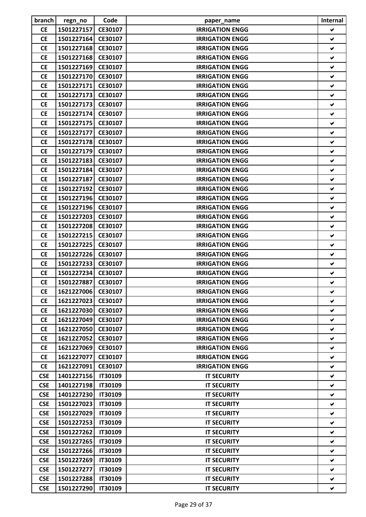| branch     | regn_no            | Code           | paper_name             | Internal             |
|------------|--------------------|----------------|------------------------|----------------------|
| <b>CE</b>  | 1501227157         | CE30107        | <b>IRRIGATION ENGG</b> | V                    |
| <b>CE</b>  | 1501227164         | CE30107        | <b>IRRIGATION ENGG</b> | ✔                    |
| <b>CE</b>  | 1501227168         | CE30107        | <b>IRRIGATION ENGG</b> | V                    |
| <b>CE</b>  | 1501227168         | CE30107        | <b>IRRIGATION ENGG</b> | ✔                    |
| <b>CE</b>  | 1501227169         | CE30107        | <b>IRRIGATION ENGG</b> | ✔                    |
| <b>CE</b>  | 1501227170         | CE30107        | <b>IRRIGATION ENGG</b> | V                    |
| <b>CE</b>  | 1501227171         | CE30107        | <b>IRRIGATION ENGG</b> | V                    |
| <b>CE</b>  | 1501227173         | CE30107        | <b>IRRIGATION ENGG</b> | ✔                    |
| <b>CE</b>  | 1501227173         | CE30107        | <b>IRRIGATION ENGG</b> | V                    |
| <b>CE</b>  | 1501227174         | CE30107        | <b>IRRIGATION ENGG</b> | ✔                    |
| <b>CE</b>  | 1501227175         | CE30107        | <b>IRRIGATION ENGG</b> | ✔                    |
| <b>CE</b>  | 1501227177         | CE30107        | <b>IRRIGATION ENGG</b> | V                    |
| <b>CE</b>  | 1501227178         | CE30107        | <b>IRRIGATION ENGG</b> | $\blacktriangledown$ |
| <b>CE</b>  | 1501227179         | CE30107        | <b>IRRIGATION ENGG</b> | ✔                    |
| <b>CE</b>  | 1501227183         | CE30107        | <b>IRRIGATION ENGG</b> | ✔                    |
| <b>CE</b>  | 1501227184         | CE30107        | <b>IRRIGATION ENGG</b> | V                    |
| <b>CE</b>  | 1501227187         | CE30107        | <b>IRRIGATION ENGG</b> | ✔                    |
| <b>CE</b>  | 1501227192         | CE30107        | <b>IRRIGATION ENGG</b> | V                    |
| <b>CE</b>  | 1501227196         | CE30107        | <b>IRRIGATION ENGG</b> | V                    |
| <b>CE</b>  | 1501227196         | CE30107        | <b>IRRIGATION ENGG</b> | ✔                    |
| <b>CE</b>  | 1501227203         | CE30107        | <b>IRRIGATION ENGG</b> | V                    |
| <b>CE</b>  | 1501227208         | CE30107        | <b>IRRIGATION ENGG</b> | ✔                    |
| <b>CE</b>  | 1501227215         | CE30107        | <b>IRRIGATION ENGG</b> | V                    |
| <b>CE</b>  | 1501227225         | CE30107        | <b>IRRIGATION ENGG</b> | V                    |
| <b>CE</b>  | 1501227226         | CE30107        | <b>IRRIGATION ENGG</b> | ✔                    |
| <b>CE</b>  | 1501227233         | CE30107        | <b>IRRIGATION ENGG</b> | ✔                    |
| <b>CE</b>  | 1501227234         | CE30107        | <b>IRRIGATION ENGG</b> | ✔                    |
|            | 1501227887         |                |                        |                      |
| <b>CE</b>  |                    | CE30107        | <b>IRRIGATION ENGG</b> | ✔                    |
| <b>CE</b>  | 1621227006 CE30107 |                | <b>IRRIGATION ENGG</b> |                      |
| <b>CE</b>  | 1621227023         | CE30107        | <b>IRRIGATION ENGG</b> | V                    |
| <b>CE</b>  | 1621227030         | CE30107        | <b>IRRIGATION ENGG</b> | ✔                    |
| <b>CE</b>  | 1621227049         | CE30107        | <b>IRRIGATION ENGG</b> | ✔                    |
| <b>CE</b>  | 1621227050         | CE30107        | <b>IRRIGATION ENGG</b> | ✔                    |
| <b>CE</b>  | 1621227052         | CE30107        | <b>IRRIGATION ENGG</b> | V                    |
| <b>CE</b>  | 1621227069         | CE30107        | <b>IRRIGATION ENGG</b> | V                    |
| <b>CE</b>  | 1621227077         | CE30107        | <b>IRRIGATION ENGG</b> | V                    |
| <b>CE</b>  | 1621227091         | CE30107        | <b>IRRIGATION ENGG</b> | V                    |
| <b>CSE</b> | 1401227156         | <b>IT30109</b> | <b>IT SECURITY</b>     | V                    |
| <b>CSE</b> | 1401227198         | <b>IT30109</b> | <b>IT SECURITY</b>     | V                    |
| <b>CSE</b> | 1401227230         | <b>IT30109</b> | <b>IT SECURITY</b>     | ✔                    |
| <b>CSE</b> | 1501227023         | <b>IT30109</b> | <b>IT SECURITY</b>     | V                    |
| <b>CSE</b> | 1501227029         | <b>IT30109</b> | <b>IT SECURITY</b>     | V                    |
| <b>CSE</b> | 1501227253         | <b>IT30109</b> | <b>IT SECURITY</b>     | V                    |
| <b>CSE</b> | 1501227262         | <b>IT30109</b> | <b>IT SECURITY</b>     | ✔                    |
| <b>CSE</b> | 1501227265         | <b>IT30109</b> | <b>IT SECURITY</b>     | V                    |
| <b>CSE</b> | 1501227266         | <b>IT30109</b> | <b>IT SECURITY</b>     | V                    |
| <b>CSE</b> | 1501227269         | <b>IT30109</b> | <b>IT SECURITY</b>     | V                    |
| <b>CSE</b> | 1501227277         | <b>IT30109</b> | <b>IT SECURITY</b>     | V                    |
| <b>CSE</b> | 1501227288         | <b>IT30109</b> | <b>IT SECURITY</b>     | v                    |
| <b>CSE</b> | 1501227290         | <b>IT30109</b> | <b>IT SECURITY</b>     | V                    |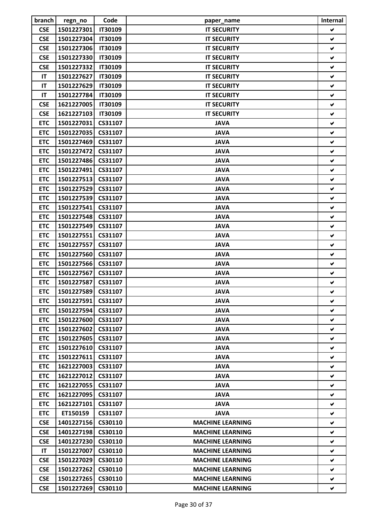| branch     | regn_no            | Code           | paper_name              | Internal |
|------------|--------------------|----------------|-------------------------|----------|
| <b>CSE</b> | 1501227301         | <b>IT30109</b> | <b>IT SECURITY</b>      | V        |
| <b>CSE</b> | 1501227304         | <b>IT30109</b> | <b>IT SECURITY</b>      | ✔        |
| <b>CSE</b> | 1501227306         | <b>IT30109</b> | <b>IT SECURITY</b>      | ✔        |
| <b>CSE</b> | 1501227330         | <b>IT30109</b> | <b>IT SECURITY</b>      | V        |
| <b>CSE</b> | 1501227332         | <b>IT30109</b> | <b>IT SECURITY</b>      | ✔        |
| IT         | 1501227627         | <b>IT30109</b> | <b>IT SECURITY</b>      | ✔        |
| IT         | 1501227629         | <b>IT30109</b> | <b>IT SECURITY</b>      | V        |
| IT         | 1501227784         | <b>IT30109</b> | <b>IT SECURITY</b>      | ✔        |
| <b>CSE</b> | 1621227005         | <b>IT30109</b> | <b>IT SECURITY</b>      | ✔        |
| <b>CSE</b> | 1621227103         | <b>IT30109</b> | <b>IT SECURITY</b>      | ✔        |
| <b>ETC</b> | 1501227031         | CS31107        | <b>JAVA</b>             | ✔        |
| <b>ETC</b> | 1501227035         | CS31107        | <b>JAVA</b>             | ✔        |
| <b>ETC</b> | 1501227469         | CS31107        | <b>JAVA</b>             | V        |
| <b>ETC</b> | 1501227472         | CS31107        | <b>JAVA</b>             | ✔        |
| <b>ETC</b> | 1501227486         | CS31107        | <b>JAVA</b>             | ✔        |
| <b>ETC</b> | 1501227491         | CS31107        | <b>JAVA</b>             | ✔        |
| <b>ETC</b> | 1501227513         | CS31107        | <b>JAVA</b>             | ✔        |
| <b>ETC</b> | 1501227529         | CS31107        | <b>JAVA</b>             | V        |
| <b>ETC</b> | 1501227539         | CS31107        | <b>JAVA</b>             | V        |
| <b>ETC</b> | 1501227541         | CS31107        | <b>JAVA</b>             | ✔        |
| <b>ETC</b> | 1501227548         | CS31107        | <b>JAVA</b>             | ✔        |
| <b>ETC</b> | 1501227549         | CS31107        | <b>JAVA</b>             | ✔        |
| <b>ETC</b> | 1501227551         | CS31107        | <b>JAVA</b>             | ✔        |
| <b>ETC</b> | 1501227557         | CS31107        | <b>JAVA</b>             | V        |
| <b>ETC</b> | 1501227560         | CS31107        | <b>JAVA</b>             | ✔        |
| <b>ETC</b> | 1501227566         | CS31107        | <b>JAVA</b>             | ✔        |
| <b>ETC</b> | 1501227567         | CS31107        | <b>JAVA</b>             | ✔        |
| <b>ETC</b> | 1501227587         | CS31107        | <b>JAVA</b>             | ✔        |
| <b>ETC</b> | 1501227589 CS31107 |                | <b>JAVA</b>             |          |
| <b>ETC</b> | 1501227591         | CS31107        | <b>JAVA</b>             | V        |
| <b>ETC</b> | 1501227594 CS31107 |                | <b>JAVA</b>             | V.       |
| <b>ETC</b> | 1501227600         | CS31107        | <b>JAVA</b>             | V        |
| <b>ETC</b> | 1501227602         | CS31107        | <b>JAVA</b>             | V        |
| <b>ETC</b> | 1501227605         | CS31107        | <b>JAVA</b>             | V        |
| <b>ETC</b> | 1501227610         | CS31107        | <b>JAVA</b>             | V        |
| <b>ETC</b> | 1501227611         | CS31107        | <b>JAVA</b>             | V        |
| <b>ETC</b> | 1621227003         | CS31107        | <b>JAVA</b>             | V        |
| <b>ETC</b> | 1621227012         | CS31107        | <b>JAVA</b>             | ✔        |
| <b>ETC</b> | 1621227055         | CS31107        | <b>JAVA</b>             | V        |
| <b>ETC</b> | 1621227095         | CS31107        | <b>JAVA</b>             | V        |
| <b>ETC</b> | 1621227101         | CS31107        | <b>JAVA</b>             | V        |
| <b>ETC</b> | ET150159           | CS31107        | <b>JAVA</b>             | V        |
| <b>CSE</b> | 1401227156         | CS30110        | <b>MACHINE LEARNING</b> | V        |
| <b>CSE</b> | 1401227198         | CS30110        | <b>MACHINE LEARNING</b> | ✔        |
| <b>CSE</b> | 1401227230         | CS30110        | <b>MACHINE LEARNING</b> | V        |
| IT         | 1501227007         | CS30110        | <b>MACHINE LEARNING</b> | V        |
| <b>CSE</b> | 1501227029         | CS30110        | <b>MACHINE LEARNING</b> | V        |
| <b>CSE</b> | 1501227262         | CS30110        | <b>MACHINE LEARNING</b> |          |
| <b>CSE</b> |                    |                |                         | v<br>V   |
|            | 1501227265         | CS30110        | <b>MACHINE LEARNING</b> |          |
| <b>CSE</b> | 1501227269         | CS30110        | <b>MACHINE LEARNING</b> | V        |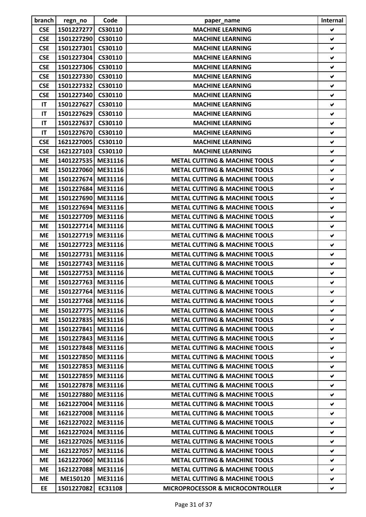| branch     | regn_no            | Code    | paper_name                                  | Internal             |
|------------|--------------------|---------|---------------------------------------------|----------------------|
| <b>CSE</b> | 1501227277         | CS30110 | <b>MACHINE LEARNING</b>                     | V                    |
| <b>CSE</b> | 1501227290         | CS30110 | <b>MACHINE LEARNING</b>                     | ✔                    |
| <b>CSE</b> | 1501227301         | CS30110 | <b>MACHINE LEARNING</b>                     | ✔                    |
| <b>CSE</b> | 1501227304         | CS30110 | <b>MACHINE LEARNING</b>                     | ✔                    |
| <b>CSE</b> | 1501227306         | CS30110 | <b>MACHINE LEARNING</b>                     | ✔                    |
| <b>CSE</b> | 1501227330         | CS30110 | <b>MACHINE LEARNING</b>                     | ✔                    |
| <b>CSE</b> | 1501227332         | CS30110 | <b>MACHINE LEARNING</b>                     | ✔                    |
| <b>CSE</b> | 1501227340         | CS30110 | <b>MACHINE LEARNING</b>                     | ✔                    |
| IT         | 1501227627         | CS30110 | <b>MACHINE LEARNING</b>                     | V                    |
| IT         | 1501227629         | CS30110 | <b>MACHINE LEARNING</b>                     | ✔                    |
| IT         | 1501227637         | CS30110 | <b>MACHINE LEARNING</b>                     | ✔                    |
| IT         | 1501227670         | CS30110 | <b>MACHINE LEARNING</b>                     | $\blacktriangledown$ |
| <b>CSE</b> | 1621227005         | CS30110 | <b>MACHINE LEARNING</b>                     | ✔                    |
| <b>CSE</b> | 1621227103         | CS30110 | <b>MACHINE LEARNING</b>                     | ✔                    |
| <b>ME</b>  | 1401227535 ME31116 |         | <b>METAL CUTTING &amp; MACHINE TOOLS</b>    | ✔                    |
| <b>ME</b>  | 1501227060 ME31116 |         | <b>METAL CUTTING &amp; MACHINE TOOLS</b>    | ✔                    |
| <b>ME</b>  | 1501227674         | ME31116 | <b>METAL CUTTING &amp; MACHINE TOOLS</b>    | ✔                    |
| <b>ME</b>  | 1501227684         | ME31116 | <b>METAL CUTTING &amp; MACHINE TOOLS</b>    | V                    |
| <b>ME</b>  | 1501227690         | ME31116 | <b>METAL CUTTING &amp; MACHINE TOOLS</b>    | ✔                    |
| <b>ME</b>  | 1501227694         | ME31116 | <b>METAL CUTTING &amp; MACHINE TOOLS</b>    | ✔                    |
| <b>ME</b>  | 1501227709         | ME31116 | <b>METAL CUTTING &amp; MACHINE TOOLS</b>    | V                    |
| <b>ME</b>  | 1501227714         | ME31116 | <b>METAL CUTTING &amp; MACHINE TOOLS</b>    | ✔                    |
| <b>ME</b>  | 1501227719 ME31116 |         | <b>METAL CUTTING &amp; MACHINE TOOLS</b>    | ✔                    |
| <b>ME</b>  | 1501227723         | ME31116 | <b>METAL CUTTING &amp; MACHINE TOOLS</b>    | ✔                    |
| <b>ME</b>  | 1501227731         | ME31116 | <b>METAL CUTTING &amp; MACHINE TOOLS</b>    | ✔                    |
| <b>ME</b>  | 1501227743 ME31116 |         | <b>METAL CUTTING &amp; MACHINE TOOLS</b>    | ✔                    |
| <b>ME</b>  | 1501227753 ME31116 |         | <b>METAL CUTTING &amp; MACHINE TOOLS</b>    | ✔                    |
| <b>ME</b>  | 1501227763 ME31116 |         | <b>METAL CUTTING &amp; MACHINE TOOLS</b>    | ✔                    |
| <b>ME</b>  | 1501227764 ME31116 |         | <b>METAL CUTTING &amp; MACHINE TOOLS</b>    | V                    |
| <b>ME</b>  | 1501227768 ME31116 |         | <b>METAL CUTTING &amp; MACHINE TOOLS</b>    | V                    |
| <b>ME</b>  | 1501227775 ME31116 |         | <b>METAL CUTTING &amp; MACHINE TOOLS</b>    | ✔                    |
| <b>ME</b>  | 1501227835 ME31116 |         | <b>METAL CUTTING &amp; MACHINE TOOLS</b>    | ✔                    |
| <b>ME</b>  | 1501227841         | ME31116 | <b>METAL CUTTING &amp; MACHINE TOOLS</b>    | V                    |
| <b>ME</b>  | 1501227843         | ME31116 | <b>METAL CUTTING &amp; MACHINE TOOLS</b>    | ✔                    |
| <b>ME</b>  | 1501227848         | ME31116 | <b>METAL CUTTING &amp; MACHINE TOOLS</b>    | V                    |
| <b>ME</b>  | 1501227850 ME31116 |         | <b>METAL CUTTING &amp; MACHINE TOOLS</b>    | V                    |
| <b>ME</b>  | 1501227853         | ME31116 | <b>METAL CUTTING &amp; MACHINE TOOLS</b>    | V                    |
| <b>ME</b>  | 1501227859 ME31116 |         | <b>METAL CUTTING &amp; MACHINE TOOLS</b>    | V                    |
| МE         | 1501227878 ME31116 |         | <b>METAL CUTTING &amp; MACHINE TOOLS</b>    | V                    |
| ME         | 1501227880 ME31116 |         | <b>METAL CUTTING &amp; MACHINE TOOLS</b>    | V                    |
| <b>ME</b>  | 1621227004         | ME31116 | <b>METAL CUTTING &amp; MACHINE TOOLS</b>    | ✔                    |
| <b>ME</b>  | 1621227008 ME31116 |         | <b>METAL CUTTING &amp; MACHINE TOOLS</b>    | V                    |
| ME         | 1621227022         | ME31116 | <b>METAL CUTTING &amp; MACHINE TOOLS</b>    | V                    |
| <b>ME</b>  | 1621227024         | ME31116 | <b>METAL CUTTING &amp; MACHINE TOOLS</b>    | ✔                    |
| <b>ME</b>  | 1621227026 ME31116 |         | <b>METAL CUTTING &amp; MACHINE TOOLS</b>    | V                    |
| <b>ME</b>  | 1621227057         | ME31116 | <b>METAL CUTTING &amp; MACHINE TOOLS</b>    | V                    |
| <b>ME</b>  | 1621227060 ME31116 |         | <b>METAL CUTTING &amp; MACHINE TOOLS</b>    | V                    |
| <b>ME</b>  | 1621227088         | ME31116 | <b>METAL CUTTING &amp; MACHINE TOOLS</b>    | V                    |
| <b>ME</b>  | ME150120           | ME31116 | <b>METAL CUTTING &amp; MACHINE TOOLS</b>    | V                    |
| EE         | 1501227082         | EC31108 | <b>MICROPROCESSOR &amp; MICROCONTROLLER</b> | ✔                    |
|            |                    |         |                                             |                      |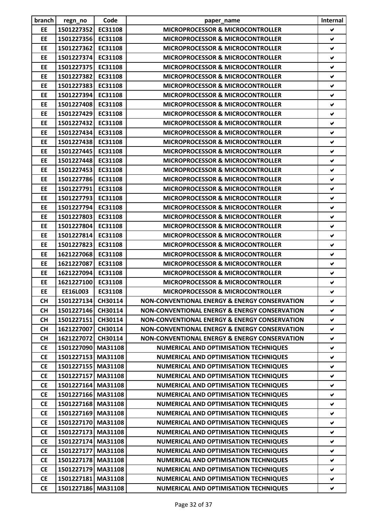| branch    | regn_no            | Code    | paper_name                                               | Internal             |
|-----------|--------------------|---------|----------------------------------------------------------|----------------------|
| EE        | 1501227352         | EC31108 | <b>MICROPROCESSOR &amp; MICROCONTROLLER</b>              | $\blacktriangledown$ |
| EE        | 1501227356         | EC31108 | MICROPROCESSOR & MICROCONTROLLER                         | ✔                    |
| EE        | 1501227362         | EC31108 | <b>MICROPROCESSOR &amp; MICROCONTROLLER</b>              | $\checkmark$         |
| EE        | 1501227374         | EC31108 | <b>MICROPROCESSOR &amp; MICROCONTROLLER</b>              | $\blacktriangledown$ |
| EE        | 1501227375         | EC31108 | <b>MICROPROCESSOR &amp; MICROCONTROLLER</b>              | ✔                    |
| <b>EE</b> | 1501227382         | EC31108 | <b>MICROPROCESSOR &amp; MICROCONTROLLER</b>              | V                    |
| <b>EE</b> | 1501227383         | EC31108 | <b>MICROPROCESSOR &amp; MICROCONTROLLER</b>              | V                    |
| EE        | 1501227394 EC31108 |         | MICROPROCESSOR & MICROCONTROLLER                         | V                    |
| EE        | 1501227408         | EC31108 | <b>MICROPROCESSOR &amp; MICROCONTROLLER</b>              | V                    |
| EE        | 1501227429 EC31108 |         | <b>MICROPROCESSOR &amp; MICROCONTROLLER</b>              | V                    |
| <b>EE</b> | 1501227432         | EC31108 | <b>MICROPROCESSOR &amp; MICROCONTROLLER</b>              | ✔                    |
| EE        | 1501227434         | EC31108 | <b>MICROPROCESSOR &amp; MICROCONTROLLER</b>              | V                    |
| EE        | 1501227438         | EC31108 | <b>MICROPROCESSOR &amp; MICROCONTROLLER</b>              | ✔                    |
| EE        | 1501227445         | EC31108 | <b>MICROPROCESSOR &amp; MICROCONTROLLER</b>              | V                    |
| EE        | 1501227448         | EC31108 | <b>MICROPROCESSOR &amp; MICROCONTROLLER</b>              | $\checkmark$         |
| EE        | 1501227453         | EC31108 | <b>MICROPROCESSOR &amp; MICROCONTROLLER</b>              | $\checkmark$         |
| EE        | 1501227786 EC31108 |         | <b>MICROPROCESSOR &amp; MICROCONTROLLER</b>              | ✔                    |
| <b>EE</b> | 1501227791         | EC31108 | <b>MICROPROCESSOR &amp; MICROCONTROLLER</b>              | V                    |
| EE        | 1501227793 EC31108 |         | <b>MICROPROCESSOR &amp; MICROCONTROLLER</b>              | ✔                    |
| <b>EE</b> | 1501227794         | EC31108 | <b>MICROPROCESSOR &amp; MICROCONTROLLER</b>              | ✔                    |
| EE        | 1501227803         | EC31108 | <b>MICROPROCESSOR &amp; MICROCONTROLLER</b>              | V                    |
| EE        | 1501227804 EC31108 |         | <b>MICROPROCESSOR &amp; MICROCONTROLLER</b>              | V                    |
| EE        | 1501227814         | EC31108 | <b>MICROPROCESSOR &amp; MICROCONTROLLER</b>              | ✔                    |
| EE        | 1501227823         | EC31108 | <b>MICROPROCESSOR &amp; MICROCONTROLLER</b>              | V                    |
| EE        | 1621227068         | EC31108 | <b>MICROPROCESSOR &amp; MICROCONTROLLER</b>              | $\blacktriangledown$ |
| EE        | 1621227087         | EC31108 | <b>MICROPROCESSOR &amp; MICROCONTROLLER</b>              | V                    |
| EE        | 1621227094         | EC31108 | <b>MICROPROCESSOR &amp; MICROCONTROLLER</b>              | $\checkmark$         |
| EE        | 1621227100         | EC31108 | <b>MICROPROCESSOR &amp; MICROCONTROLLER</b>              | $\blacktriangledown$ |
| EE        | <b>EE16L003</b>    | EC31108 | MICROPROCESSOR & MICROCONTROLLER                         | ✔                    |
| <b>CH</b> | 1501227134         | CH30114 | NON-CONVENTIONAL ENERGY & ENERGY CONSERVATION            | V                    |
| <b>CH</b> | 1501227146 CH30114 |         | NON-CONVENTIONAL ENERGY & ENERGY CONSERVATION            | ✔                    |
| <b>CH</b> | 1501227151         | CH30114 | NON-CONVENTIONAL ENERGY & ENERGY CONSERVATION            | ✔                    |
| <b>CH</b> | 1621227007         | CH30114 | <b>NON-CONVENTIONAL ENERGY &amp; ENERGY CONSERVATION</b> | ✔                    |
| <b>CH</b> | 1621227072         | CH30114 | NON-CONVENTIONAL ENERGY & ENERGY CONSERVATION            | V                    |
| <b>CE</b> | 1501227090 MA31108 |         | <b>NUMERICAL AND OPTIMISATION TECHNIQUES</b>             | ✔                    |
| <b>CE</b> | 1501227153 MA31108 |         | <b>NUMERICAL AND OPTIMISATION TECHNIQUES</b>             | $\blacktriangledown$ |
| <b>CE</b> | 1501227155 MA31108 |         | <b>NUMERICAL AND OPTIMISATION TECHNIQUES</b>             | ✔                    |
| <b>CE</b> | 1501227157 MA31108 |         | <b>NUMERICAL AND OPTIMISATION TECHNIQUES</b>             | V                    |
| <b>CE</b> | 1501227164 MA31108 |         | <b>NUMERICAL AND OPTIMISATION TECHNIQUES</b>             | V                    |
| <b>CE</b> | 1501227166 MA31108 |         | <b>NUMERICAL AND OPTIMISATION TECHNIQUES</b>             | $\checkmark$         |
| <b>CE</b> | 1501227168 MA31108 |         | <b>NUMERICAL AND OPTIMISATION TECHNIQUES</b>             | ✔                    |
| <b>CE</b> | 1501227169 MA31108 |         | <b>NUMERICAL AND OPTIMISATION TECHNIQUES</b>             | ✔                    |
| <b>CE</b> | 1501227170 MA31108 |         | <b>NUMERICAL AND OPTIMISATION TECHNIQUES</b>             | ✔                    |
| <b>CE</b> | 1501227173         | MA31108 | <b>NUMERICAL AND OPTIMISATION TECHNIQUES</b>             | ✔                    |
| <b>CE</b> | 1501227174 MA31108 |         | <b>NUMERICAL AND OPTIMISATION TECHNIQUES</b>             | ✔                    |
| <b>CE</b> | 1501227177 MA31108 |         | <b>NUMERICAL AND OPTIMISATION TECHNIQUES</b>             | ✔                    |
| <b>CE</b> | 1501227178 MA31108 |         | <b>NUMERICAL AND OPTIMISATION TECHNIQUES</b>             | ✔                    |
| <b>CE</b> | 1501227179         | MA31108 | <b>NUMERICAL AND OPTIMISATION TECHNIQUES</b>             | ✔                    |
| <b>CE</b> | 1501227181 MA31108 |         | <b>NUMERICAL AND OPTIMISATION TECHNIQUES</b>             | ✔                    |
| <b>CE</b> | 1501227186 MA31108 |         | NUMERICAL AND OPTIMISATION TECHNIQUES                    | V                    |
|           |                    |         |                                                          |                      |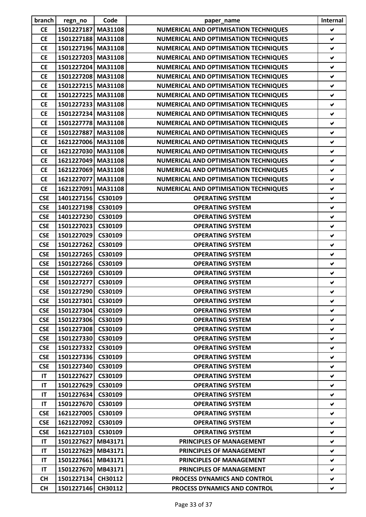| branch     | regn_no            | Code               | paper_name                                         | Internal             |
|------------|--------------------|--------------------|----------------------------------------------------|----------------------|
| <b>CE</b>  | 1501227187         | MA31108            | NUMERICAL AND OPTIMISATION TECHNIQUES              | $\blacktriangledown$ |
| <b>CE</b>  | 1501227188 MA31108 |                    | <b>NUMERICAL AND OPTIMISATION TECHNIQUES</b>       | $\checkmark$         |
| <b>CE</b>  | 1501227196 MA31108 |                    | <b>NUMERICAL AND OPTIMISATION TECHNIQUES</b>       | $\blacktriangledown$ |
| <b>CE</b>  | 1501227203 MA31108 |                    | <b>NUMERICAL AND OPTIMISATION TECHNIQUES</b>       | $\checkmark$         |
| <b>CE</b>  | 1501227204 MA31108 |                    | <b>NUMERICAL AND OPTIMISATION TECHNIQUES</b>       | $\checkmark$         |
| <b>CE</b>  | 1501227208 MA31108 |                    | <b>NUMERICAL AND OPTIMISATION TECHNIQUES</b>       | $\blacktriangledown$ |
| <b>CE</b>  | 1501227215 MA31108 |                    | NUMERICAL AND OPTIMISATION TECHNIQUES              | ✔                    |
| <b>CE</b>  | 1501227225 MA31108 |                    | <b>NUMERICAL AND OPTIMISATION TECHNIQUES</b>       | V                    |
| <b>CE</b>  | 1501227233 MA31108 |                    | <b>NUMERICAL AND OPTIMISATION TECHNIQUES</b>       | $\checkmark$         |
| <b>CE</b>  | 1501227234 MA31108 |                    | <b>NUMERICAL AND OPTIMISATION TECHNIQUES</b>       | V                    |
| <b>CE</b>  | 1501227778 MA31108 |                    | <b>NUMERICAL AND OPTIMISATION TECHNIQUES</b>       | ✔                    |
| <b>CE</b>  | 1501227887 MA31108 |                    | <b>NUMERICAL AND OPTIMISATION TECHNIQUES</b>       | V                    |
| <b>CE</b>  | 1621227006 MA31108 |                    | <b>NUMERICAL AND OPTIMISATION TECHNIQUES</b>       | $\checkmark$         |
| <b>CE</b>  | 1621227030 MA31108 |                    | <b>NUMERICAL AND OPTIMISATION TECHNIQUES</b>       | $\blacktriangledown$ |
| <b>CE</b>  | 1621227049 MA31108 |                    | <b>NUMERICAL AND OPTIMISATION TECHNIQUES</b>       | $\checkmark$         |
| <b>CE</b>  | 1621227069 MA31108 |                    | <b>NUMERICAL AND OPTIMISATION TECHNIQUES</b>       | $\checkmark$         |
| <b>CE</b>  | 1621227077 MA31108 |                    | <b>NUMERICAL AND OPTIMISATION TECHNIQUES</b>       | ✔                    |
| <b>CE</b>  | 1621227091         | MA31108            | <b>NUMERICAL AND OPTIMISATION TECHNIQUES</b>       | V                    |
| <b>CSE</b> | 1401227156 CS30109 |                    | <b>OPERATING SYSTEM</b>                            | ✔                    |
| <b>CSE</b> | 1401227198         | CS30109            | <b>OPERATING SYSTEM</b>                            | $\checkmark$         |
| <b>CSE</b> | 1401227230 CS30109 |                    | <b>OPERATING SYSTEM</b>                            | ✔                    |
| <b>CSE</b> | 1501227023         | CS30109            | <b>OPERATING SYSTEM</b>                            | $\checkmark$         |
| <b>CSE</b> | 1501227029         | CS30109            | <b>OPERATING SYSTEM</b>                            | V                    |
|            |                    |                    | <b>OPERATING SYSTEM</b>                            | V                    |
| <b>CSE</b> | 1501227262         | CS30109            |                                                    | $\blacktriangledown$ |
| <b>CSE</b> | 1501227265         | CS30109            | <b>OPERATING SYSTEM</b>                            | $\checkmark$         |
| <b>CSE</b> | 1501227266         | CS30109<br>CS30109 | <b>OPERATING SYSTEM</b><br><b>OPERATING SYSTEM</b> | $\checkmark$         |
| <b>CSE</b> | 1501227269         |                    |                                                    |                      |
| <b>CSE</b> | 1501227277         | CS30109            | <b>OPERATING SYSTEM</b>                            | $\blacktriangledown$ |
| <b>CSE</b> | 1501227290         | CS30109            | <b>OPERATING SYSTEM</b>                            | ✔                    |
| <b>CSE</b> | 1501227301         | CS30109            | <b>OPERATING SYSTEM</b>                            | v                    |
| <b>CSE</b> | 1501227304 CS30109 |                    | <b>OPERATING SYSTEM</b>                            | v                    |
| <b>CSE</b> | 1501227306 CS30109 |                    | <b>OPERATING SYSTEM</b>                            | ✔                    |
| <b>CSE</b> | 1501227308         | CS30109            | <b>OPERATING SYSTEM</b>                            | V                    |
| <b>CSE</b> | 1501227330 CS30109 |                    | <b>OPERATING SYSTEM</b>                            | v                    |
| <b>CSE</b> | 1501227332         | CS30109            | <b>OPERATING SYSTEM</b>                            | V                    |
| <b>CSE</b> | 1501227336         | CS30109            | <b>OPERATING SYSTEM</b>                            | V                    |
| <b>CSE</b> | 1501227340         | CS30109            | <b>OPERATING SYSTEM</b>                            | V                    |
| <b>IT</b>  | 1501227627         | CS30109            | <b>OPERATING SYSTEM</b>                            | V                    |
| IT         | 1501227629         | CS30109            | <b>OPERATING SYSTEM</b>                            | V.                   |
| IT         | 1501227634         | CS30109            | <b>OPERATING SYSTEM</b>                            | V                    |
| IT         | 1501227670         | CS30109            | <b>OPERATING SYSTEM</b>                            | V                    |
| <b>CSE</b> | 1621227005         | CS30109            | <b>OPERATING SYSTEM</b>                            | v                    |
| <b>CSE</b> | 1621227092         | CS30109            | <b>OPERATING SYSTEM</b>                            | ✔                    |
| <b>CSE</b> | 1621227103         | CS30109            | <b>OPERATING SYSTEM</b>                            | ✔                    |
| <b>IT</b>  | 1501227627 MB43171 |                    | PRINCIPLES OF MANAGEMENT                           | V                    |
| ΙT         | 1501227629 MB43171 |                    | <b>PRINCIPLES OF MANAGEMENT</b>                    | V                    |
| <b>IT</b>  | 1501227661         | MB43171            | PRINCIPLES OF MANAGEMENT                           | V                    |
| IT         | 1501227670 MB43171 |                    | PRINCIPLES OF MANAGEMENT                           | ✔                    |
| <b>CH</b>  | 1501227134 CH30112 |                    | <b>PROCESS DYNAMICS AND CONTROL</b>                | v                    |
| <b>CH</b>  | 1501227146         | CH30112            | PROCESS DYNAMICS AND CONTROL                       | V                    |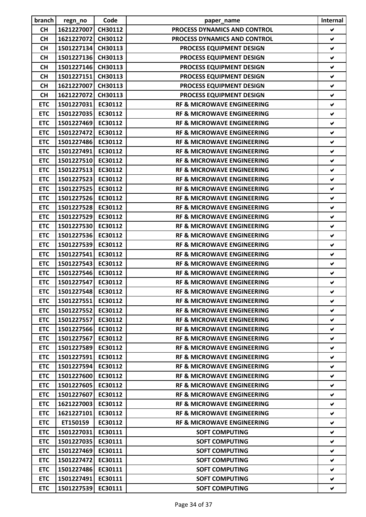| branch     | regn_no            | Code    | paper_name                            | Internal             |
|------------|--------------------|---------|---------------------------------------|----------------------|
| <b>CH</b>  | 1621227007         | CH30112 | PROCESS DYNAMICS AND CONTROL          | V                    |
| <b>CH</b>  | 1621227072         | CH30112 | PROCESS DYNAMICS AND CONTROL          | ✔                    |
| <b>CH</b>  | 1501227134 CH30113 |         | PROCESS EQUIPMENT DESIGN              | V                    |
| <b>CH</b>  | 1501227136 CH30113 |         | PROCESS EQUIPMENT DESIGN              | $\checkmark$         |
| <b>CH</b>  | 1501227146         | CH30113 | PROCESS EQUIPMENT DESIGN              | $\checkmark$         |
| <b>CH</b>  | 1501227151         | CH30113 | PROCESS EQUIPMENT DESIGN              | V                    |
| <b>CH</b>  | 1621227007         | CH30113 | PROCESS EQUIPMENT DESIGN              | ✔                    |
| CH         | 1621227072 CH30113 |         | PROCESS EQUIPMENT DESIGN              | ✔                    |
| <b>ETC</b> | 1501227031         | EC30112 | <b>RF &amp; MICROWAVE ENGINEERING</b> | $\checkmark$         |
| <b>ETC</b> | 1501227035 EC30112 |         | <b>RF &amp; MICROWAVE ENGINEERING</b> | ✔                    |
| <b>ETC</b> | 1501227469 EC30112 |         | <b>RF &amp; MICROWAVE ENGINEERING</b> | ✔                    |
| <b>ETC</b> | 1501227472         | EC30112 | <b>RF &amp; MICROWAVE ENGINEERING</b> | V                    |
| <b>ETC</b> | 1501227486         | EC30112 | <b>RF &amp; MICROWAVE ENGINEERING</b> | ✔                    |
| <b>ETC</b> | 1501227491         | EC30112 | <b>RF &amp; MICROWAVE ENGINEERING</b> | ✔                    |
| <b>ETC</b> | 1501227510         | EC30112 | <b>RF &amp; MICROWAVE ENGINEERING</b> | $\checkmark$         |
| <b>ETC</b> | 1501227513         | EC30112 | <b>RF &amp; MICROWAVE ENGINEERING</b> | ✔                    |
| <b>ETC</b> | 1501227523         | EC30112 | <b>RF &amp; MICROWAVE ENGINEERING</b> | ✔                    |
| <b>ETC</b> | 1501227525         | EC30112 | <b>RF &amp; MICROWAVE ENGINEERING</b> | $\checkmark$         |
| <b>ETC</b> | 1501227526 EC30112 |         | <b>RF &amp; MICROWAVE ENGINEERING</b> | ✔                    |
| <b>ETC</b> | 1501227528         | EC30112 | <b>RF &amp; MICROWAVE ENGINEERING</b> | $\checkmark$         |
| <b>ETC</b> | 1501227529 EC30112 |         | <b>RF &amp; MICROWAVE ENGINEERING</b> | V                    |
| <b>ETC</b> | 1501227530 EC30112 |         | <b>RF &amp; MICROWAVE ENGINEERING</b> | ✔                    |
| <b>ETC</b> | 1501227536         | EC30112 | <b>RF &amp; MICROWAVE ENGINEERING</b> | ✔                    |
| <b>ETC</b> | 1501227539         | EC30112 | <b>RF &amp; MICROWAVE ENGINEERING</b> | ✔                    |
| <b>ETC</b> | 1501227541         | EC30112 | <b>RF &amp; MICROWAVE ENGINEERING</b> | ✔                    |
| <b>ETC</b> | 1501227543         | EC30112 | <b>RF &amp; MICROWAVE ENGINEERING</b> | ✔                    |
| <b>ETC</b> | 1501227546         | EC30112 | <b>RF &amp; MICROWAVE ENGINEERING</b> | $\blacktriangledown$ |
| <b>ETC</b> | 1501227547         | EC30112 | <b>RF &amp; MICROWAVE ENGINEERING</b> | ✔                    |
| <b>ETC</b> | 1501227548 EC30112 |         | RF & MICROWAVE ENGINEERING            | ✔                    |
| <b>ETC</b> | 1501227551         | EC30112 | <b>RF &amp; MICROWAVE ENGINEERING</b> | ✔                    |
| <b>ETC</b> | 1501227552         | EC30112 | <b>RF &amp; MICROWAVE ENGINEERING</b> | V                    |
| <b>ETC</b> | 1501227557         | EC30112 | <b>RF &amp; MICROWAVE ENGINEERING</b> | ✔                    |
| <b>ETC</b> | 1501227566         | EC30112 | <b>RF &amp; MICROWAVE ENGINEERING</b> | V                    |
| <b>ETC</b> | 1501227567         | EC30112 | <b>RF &amp; MICROWAVE ENGINEERING</b> | ✔                    |
| <b>ETC</b> | 1501227589         | EC30112 | <b>RF &amp; MICROWAVE ENGINEERING</b> | ✔                    |
| <b>ETC</b> | 1501227591         | EC30112 | <b>RF &amp; MICROWAVE ENGINEERING</b> | V                    |
| <b>ETC</b> | 1501227594         | EC30112 | <b>RF &amp; MICROWAVE ENGINEERING</b> | ✔                    |
| <b>ETC</b> | 1501227600         | EC30112 | <b>RF &amp; MICROWAVE ENGINEERING</b> | ✔                    |
| <b>ETC</b> | 1501227605         | EC30112 | <b>RF &amp; MICROWAVE ENGINEERING</b> | ✔                    |
| <b>ETC</b> | 1501227607         | EC30112 | <b>RF &amp; MICROWAVE ENGINEERING</b> | V                    |
| <b>ETC</b> | 1621227003         | EC30112 | <b>RF &amp; MICROWAVE ENGINEERING</b> | ✔                    |
| <b>ETC</b> | 1621227101         | EC30112 | <b>RF &amp; MICROWAVE ENGINEERING</b> | ✔                    |
| <b>ETC</b> | ET150159           | EC30112 | <b>RF &amp; MICROWAVE ENGINEERING</b> | ✔                    |
| <b>ETC</b> | 1501227031         | EC30111 | <b>SOFT COMPUTING</b>                 | V                    |
| <b>ETC</b> | 1501227035         | EC30111 | <b>SOFT COMPUTING</b>                 | ✔                    |
| <b>ETC</b> | 1501227469         | EC30111 | <b>SOFT COMPUTING</b>                 | V                    |
| <b>ETC</b> | 1501227472         | EC30111 | <b>SOFT COMPUTING</b>                 | ✔                    |
| <b>ETC</b> | 1501227486         | EC30111 | <b>SOFT COMPUTING</b>                 | ✔                    |
| <b>ETC</b> | 1501227491         | EC30111 | <b>SOFT COMPUTING</b>                 | ✔                    |
| <b>ETC</b> | 1501227539         | EC30111 | <b>SOFT COMPUTING</b>                 | V                    |
|            |                    |         |                                       |                      |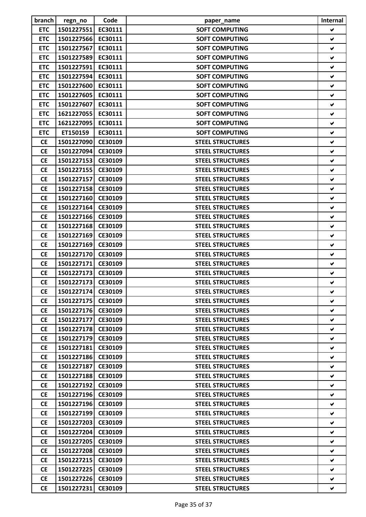| branch     | regn_no            | Code    | paper_name              | Internal             |
|------------|--------------------|---------|-------------------------|----------------------|
| <b>ETC</b> | 1501227551         | EC30111 | <b>SOFT COMPUTING</b>   | V                    |
| <b>ETC</b> | 1501227566         | EC30111 | <b>SOFT COMPUTING</b>   | ✔                    |
| <b>ETC</b> | 1501227567         | EC30111 | <b>SOFT COMPUTING</b>   | ✔                    |
| <b>ETC</b> | 1501227589         | EC30111 | <b>SOFT COMPUTING</b>   | $\blacktriangledown$ |
| <b>ETC</b> | 1501227591         | EC30111 | <b>SOFT COMPUTING</b>   | ✔                    |
| <b>ETC</b> | 1501227594         | EC30111 | <b>SOFT COMPUTING</b>   | ✔                    |
| <b>ETC</b> | 1501227600         | EC30111 | <b>SOFT COMPUTING</b>   | ✔                    |
| <b>ETC</b> | 1501227605         | EC30111 | <b>SOFT COMPUTING</b>   | ✔                    |
| <b>ETC</b> | 1501227607         | EC30111 | <b>SOFT COMPUTING</b>   | ✔                    |
| <b>ETC</b> | 1621227055         | EC30111 | <b>SOFT COMPUTING</b>   | ✔                    |
| <b>ETC</b> | 1621227095         | EC30111 | <b>SOFT COMPUTING</b>   | ✔                    |
| <b>ETC</b> | ET150159           | EC30111 | <b>SOFT COMPUTING</b>   | ✔                    |
| <b>CE</b>  | 1501227090         | CE30109 | <b>STEEL STRUCTURES</b> | ✔                    |
| <b>CE</b>  | 1501227094         | CE30109 | <b>STEEL STRUCTURES</b> | ✔                    |
| <b>CE</b>  | 1501227153         | CE30109 | <b>STEEL STRUCTURES</b> | V                    |
| <b>CE</b>  | 1501227155         | CE30109 | <b>STEEL STRUCTURES</b> | ✔                    |
| <b>CE</b>  | 1501227157         | CE30109 | <b>STEEL STRUCTURES</b> | ✔                    |
| <b>CE</b>  | 1501227158         | CE30109 | <b>STEEL STRUCTURES</b> | V                    |
| <b>CE</b>  | 1501227160         | CE30109 | <b>STEEL STRUCTURES</b> | $\blacktriangledown$ |
| <b>CE</b>  | 1501227164         | CE30109 | <b>STEEL STRUCTURES</b> | ✔                    |
| <b>CE</b>  | 1501227166         | CE30109 | <b>STEEL STRUCTURES</b> | ✔                    |
| <b>CE</b>  | 1501227168         | CE30109 | <b>STEEL STRUCTURES</b> | ✔                    |
| <b>CE</b>  | 1501227169         | CE30109 | <b>STEEL STRUCTURES</b> | ✔                    |
| <b>CE</b>  | 1501227169         | CE30109 | <b>STEEL STRUCTURES</b> | ✔                    |
| <b>CE</b>  | 1501227170         | CE30109 | <b>STEEL STRUCTURES</b> | ✔                    |
| <b>CE</b>  | 1501227171         | CE30109 | <b>STEEL STRUCTURES</b> | ✔                    |
| <b>CE</b>  | 1501227173         | CE30109 | <b>STEEL STRUCTURES</b> | ✔                    |
| <b>CE</b>  | 1501227173         | CE30109 | <b>STEEL STRUCTURES</b> | ✔                    |
| <b>CE</b>  | 1501227174 CE30109 |         | <b>STEEL STRUCTURES</b> | ⊻                    |
| <b>CE</b>  | 1501227175         | CE30109 | <b>STEEL STRUCTURES</b> | V                    |
| <b>CE</b>  | 1501227176         | CE30109 | <b>STEEL STRUCTURES</b> | V                    |
| <b>CE</b>  | 1501227177         | CE30109 | <b>STEEL STRUCTURES</b> | V                    |
| <b>CE</b>  | 1501227178         | CE30109 | <b>STEEL STRUCTURES</b> | V                    |
| <b>CE</b>  | 1501227179         | CE30109 | <b>STEEL STRUCTURES</b> | V                    |
| <b>CE</b>  | 1501227181         | CE30109 | <b>STEEL STRUCTURES</b> | V                    |
| <b>CE</b>  | 1501227186         | CE30109 | <b>STEEL STRUCTURES</b> | V                    |
| <b>CE</b>  | 1501227187         | CE30109 | <b>STEEL STRUCTURES</b> | v                    |
| <b>CE</b>  | 1501227188         | CE30109 | <b>STEEL STRUCTURES</b> | V                    |
| <b>CE</b>  | 1501227192         | CE30109 | <b>STEEL STRUCTURES</b> | V                    |
| <b>CE</b>  | 1501227196         | CE30109 | <b>STEEL STRUCTURES</b> | V                    |
| <b>CE</b>  | 1501227196         | CE30109 | <b>STEEL STRUCTURES</b> | ✔                    |
| <b>CE</b>  | 1501227199         | CE30109 | <b>STEEL STRUCTURES</b> | V                    |
| <b>CE</b>  | 1501227203         | CE30109 | <b>STEEL STRUCTURES</b> | V                    |
| <b>CE</b>  | 1501227204         | CE30109 | <b>STEEL STRUCTURES</b> | ✔                    |
| <b>CE</b>  | 1501227205         | CE30109 | <b>STEEL STRUCTURES</b> | V                    |
| <b>CE</b>  | 1501227208         | CE30109 | <b>STEEL STRUCTURES</b> | V                    |
| <b>CE</b>  | 1501227215         | CE30109 | <b>STEEL STRUCTURES</b> | V                    |
| <b>CE</b>  | 1501227225         | CE30109 | <b>STEEL STRUCTURES</b> | V                    |
| <b>CE</b>  | 1501227226         | CE30109 | <b>STEEL STRUCTURES</b> | V                    |
| <b>CE</b>  | 1501227231         | CE30109 | <b>STEEL STRUCTURES</b> | V                    |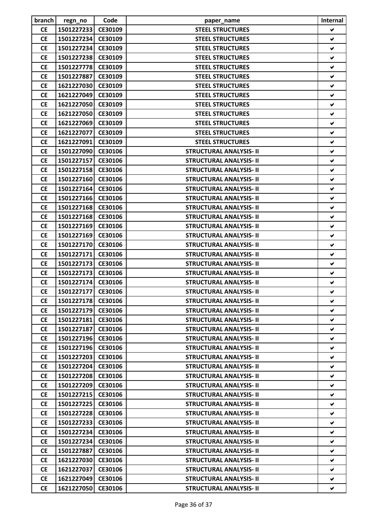| branch    | regn_no            | Code    | paper_name                     | Internal             |
|-----------|--------------------|---------|--------------------------------|----------------------|
| <b>CE</b> | 1501227233         | CE30109 | <b>STEEL STRUCTURES</b>        | V                    |
| <b>CE</b> | 1501227234         | CE30109 | <b>STEEL STRUCTURES</b>        | ✔                    |
| <b>CE</b> | 1501227234         | CE30109 | <b>STEEL STRUCTURES</b>        | V                    |
| <b>CE</b> | 1501227238         | CE30109 | <b>STEEL STRUCTURES</b>        | ✔                    |
| <b>CE</b> | 1501227778         | CE30109 | <b>STEEL STRUCTURES</b>        | ✔                    |
| <b>CE</b> | 1501227887         | CE30109 | <b>STEEL STRUCTURES</b>        | V                    |
| <b>CE</b> | 1621227030         | CE30109 | <b>STEEL STRUCTURES</b>        | V                    |
| <b>CE</b> | 1621227049         | CE30109 | <b>STEEL STRUCTURES</b>        | ✔                    |
| <b>CE</b> | 1621227050         | CE30109 | <b>STEEL STRUCTURES</b>        | V                    |
| <b>CE</b> | 1621227050         | CE30109 | <b>STEEL STRUCTURES</b>        | ✔                    |
| <b>CE</b> | 1621227069         | CE30109 | <b>STEEL STRUCTURES</b>        | ✔                    |
| <b>CE</b> | 1621227077         | CE30109 | <b>STEEL STRUCTURES</b>        | V                    |
| <b>CE</b> | 1621227091         | CE30109 | <b>STEEL STRUCTURES</b>        | $\blacktriangledown$ |
| <b>CE</b> | 1501227090         | CE30106 | <b>STRUCTURAL ANALYSIS- II</b> | ✔                    |
| <b>CE</b> | 1501227157         | CE30106 | <b>STRUCTURAL ANALYSIS- II</b> | ✔                    |
| <b>CE</b> | 1501227158         | CE30106 | <b>STRUCTURAL ANALYSIS- II</b> | ✔                    |
| <b>CE</b> | 1501227160         | CE30106 | <b>STRUCTURAL ANALYSIS- II</b> | ✔                    |
| <b>CE</b> | 1501227164         | CE30106 | <b>STRUCTURAL ANALYSIS- II</b> | V                    |
| <b>CE</b> | 1501227166         | CE30106 | <b>STRUCTURAL ANALYSIS- II</b> | $\blacktriangledown$ |
| <b>CE</b> | 1501227168         | CE30106 | <b>STRUCTURAL ANALYSIS- II</b> | ✔                    |
| <b>CE</b> | 1501227168         | CE30106 | <b>STRUCTURAL ANALYSIS- II</b> | V                    |
| <b>CE</b> | 1501227169         | CE30106 | <b>STRUCTURAL ANALYSIS- II</b> | ✔                    |
| <b>CE</b> | 1501227169         | CE30106 | <b>STRUCTURAL ANALYSIS- II</b> | ✔                    |
| <b>CE</b> | 1501227170         | CE30106 | <b>STRUCTURAL ANALYSIS- II</b> | V                    |
| <b>CE</b> | 1501227171         | CE30106 | <b>STRUCTURAL ANALYSIS- II</b> | ✔                    |
| <b>CE</b> | 1501227173         | CE30106 | <b>STRUCTURAL ANALYSIS- II</b> | ✔                    |
| <b>CE</b> | 1501227173         | CE30106 | <b>STRUCTURAL ANALYSIS- II</b> | ✔                    |
| <b>CE</b> | 1501227174         | CE30106 | <b>STRUCTURAL ANALYSIS- II</b> | ✔                    |
| <b>CE</b> | 1501227177 CE30106 |         | <b>STRUCTURAL ANALYSIS- II</b> | v                    |
| <b>CE</b> | 1501227178         | CE30106 | <b>STRUCTURAL ANALYSIS- II</b> | V                    |
| <b>CE</b> | 1501227179         | CE30106 | <b>STRUCTURAL ANALYSIS- II</b> | ✔                    |
| <b>CE</b> | 1501227181         | CE30106 | <b>STRUCTURAL ANALYSIS- II</b> | ✔                    |
| <b>CE</b> | 1501227187         | CE30106 | <b>STRUCTURAL ANALYSIS- II</b> | V                    |
| <b>CE</b> | 1501227196         | CE30106 | <b>STRUCTURAL ANALYSIS- II</b> | ✔                    |
| <b>CE</b> | 1501227196         | CE30106 | <b>STRUCTURAL ANALYSIS- II</b> | V                    |
| <b>CE</b> | 1501227203         | CE30106 | <b>STRUCTURAL ANALYSIS- II</b> | V                    |
| <b>CE</b> | 1501227204         | CE30106 | <b>STRUCTURAL ANALYSIS- II</b> | v                    |
| <b>CE</b> | 1501227208         | CE30106 | <b>STRUCTURAL ANALYSIS- II</b> | ✔                    |
| <b>CE</b> | 1501227209         | CE30106 | <b>STRUCTURAL ANALYSIS- II</b> | V                    |
| <b>CE</b> | 1501227215         | CE30106 | <b>STRUCTURAL ANALYSIS- II</b> | V                    |
| <b>CE</b> | 1501227225         | CE30106 | <b>STRUCTURAL ANALYSIS- II</b> | V                    |
| <b>CE</b> | 1501227228         | CE30106 | <b>STRUCTURAL ANALYSIS- II</b> | V                    |
| <b>CE</b> | 1501227233         | CE30106 | <b>STRUCTURAL ANALYSIS- II</b> | V                    |
| <b>CE</b> | 1501227234         | CE30106 | <b>STRUCTURAL ANALYSIS- II</b> | V                    |
| <b>CE</b> | 1501227234         | CE30106 | <b>STRUCTURAL ANALYSIS- II</b> | V                    |
| <b>CE</b> | 1501227887         | CE30106 | <b>STRUCTURAL ANALYSIS- II</b> | V                    |
| <b>CE</b> | 1621227030         | CE30106 | <b>STRUCTURAL ANALYSIS- II</b> | V                    |
| <b>CE</b> | 1621227037         | CE30106 | <b>STRUCTURAL ANALYSIS- II</b> | V                    |
| <b>CE</b> | 1621227049         | CE30106 | <b>STRUCTURAL ANALYSIS- II</b> | V                    |
| <b>CE</b> | 1621227050         | CE30106 | <b>STRUCTURAL ANALYSIS- II</b> | V                    |
|           |                    |         |                                |                      |